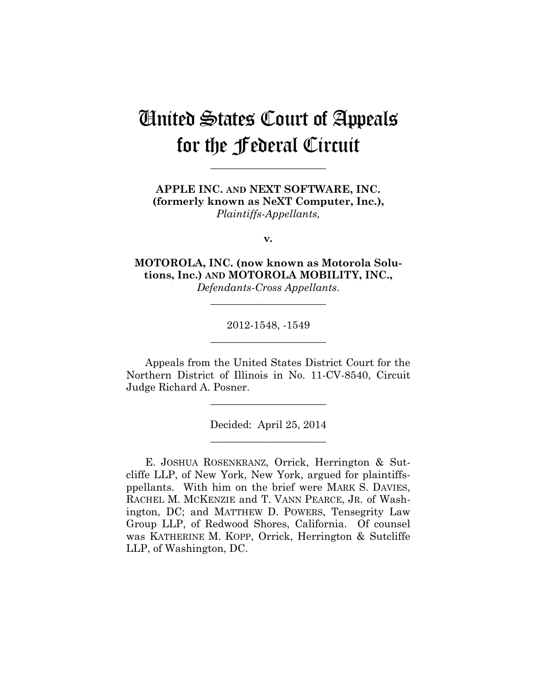# United States Court of Appeals for the Federal Circuit

**\_\_\_\_\_\_\_\_\_\_\_\_\_\_\_\_\_\_\_\_\_\_** 

**APPLE INC. AND NEXT SOFTWARE, INC. (formerly known as NeXT Computer, Inc.),** *Plaintiffs-Appellants,*

**v***.*

**MOTOROLA, INC. (now known as Motorola Solutions, Inc.) AND MOTOROLA MOBILITY, INC.,**

*Defendants-Cross Appellants*. **\_\_\_\_\_\_\_\_\_\_\_\_\_\_\_\_\_\_\_\_\_\_** 

> 2012-1548, -1549 **\_\_\_\_\_\_\_\_\_\_\_\_\_\_\_\_\_\_\_\_\_\_**

Appeals from the United States District Court for the Northern District of Illinois in No. 11-CV-8540, Circuit Judge Richard A. Posner.

> Decided: April 25, 2014 **\_\_\_\_\_\_\_\_\_\_\_\_\_\_\_\_\_\_\_\_\_\_**

**\_\_\_\_\_\_\_\_\_\_\_\_\_\_\_\_\_\_\_\_\_\_** 

E. JOSHUA ROSENKRANZ, Orrick, Herrington & Sutcliffe LLP, of New York, New York, argued for plaintiffsppellants. With him on the brief were MARK S. DAVIES, RACHEL M. MCKENZIE and T. VANN PEARCE, JR. of Washington, DC; and MATTHEW D. POWERS, Tensegrity Law Group LLP, of Redwood Shores, California. Of counsel was KATHERINE M. KOPP, Orrick, Herrington & Sutcliffe LLP, of Washington, DC.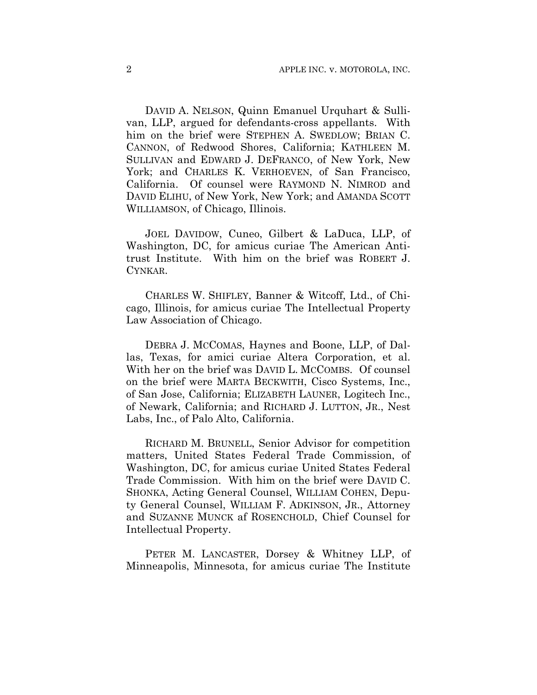DAVID A. NELSON, Quinn Emanuel Urquhart & Sullivan, LLP, argued for defendants-cross appellants. With him on the brief were STEPHEN A. SWEDLOW; BRIAN C. CANNON, of Redwood Shores, California; KATHLEEN M. SULLIVAN and EDWARD J. DEFRANCO, of New York, New York; and CHARLES K. VERHOEVEN, of San Francisco, California. Of counsel were RAYMOND N. NIMROD and DAVID ELIHU, of New York, New York; and AMANDA SCOTT WILLIAMSON, of Chicago, Illinois.

JOEL DAVIDOW, Cuneo, Gilbert & LaDuca, LLP, of Washington, DC, for amicus curiae The American Antitrust Institute. With him on the brief was ROBERT J. CYNKAR.

CHARLES W. SHIFLEY, Banner & Witcoff, Ltd., of Chicago, Illinois, for amicus curiae The Intellectual Property Law Association of Chicago.

DEBRA J. MCCOMAS, Haynes and Boone, LLP, of Dallas, Texas, for amici curiae Altera Corporation, et al. With her on the brief was DAVID L. MCCOMBS. Of counsel on the brief were MARTA BECKWITH, Cisco Systems, Inc., of San Jose, California; ELIZABETH LAUNER, Logitech Inc., of Newark, California; and RICHARD J. LUTTON, JR., Nest Labs, Inc., of Palo Alto, California.

RICHARD M. BRUNELL, Senior Advisor for competition matters, United States Federal Trade Commission, of Washington, DC, for amicus curiae United States Federal Trade Commission. With him on the brief were DAVID C. SHONKA, Acting General Counsel, WILLIAM COHEN, Deputy General Counsel, WILLIAM F. ADKINSON, JR., Attorney and SUZANNE MUNCK af ROSENCHOLD, Chief Counsel for Intellectual Property.

PETER M. LANCASTER, Dorsey & Whitney LLP, of Minneapolis, Minnesota, for amicus curiae The Institute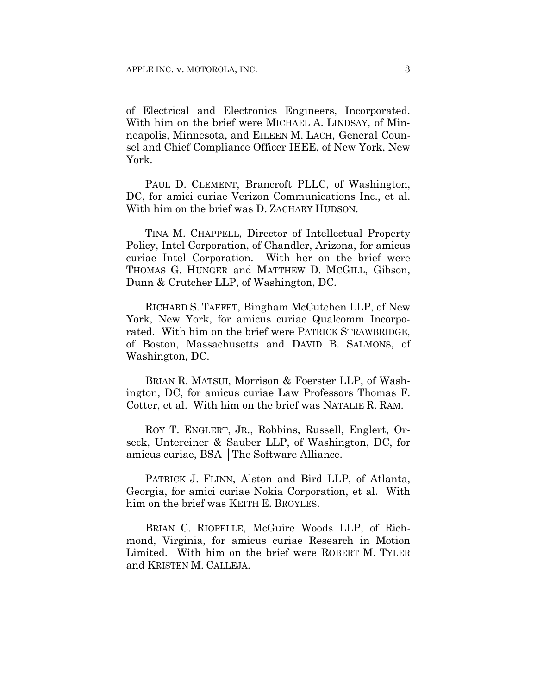of Electrical and Electronics Engineers, Incorporated. With him on the brief were MICHAEL A. LINDSAY, of Minneapolis, Minnesota, and EILEEN M. LACH, General Counsel and Chief Compliance Officer IEEE, of New York, New York.

PAUL D. CLEMENT, Brancroft PLLC, of Washington, DC, for amici curiae Verizon Communications Inc., et al. With him on the brief was D. ZACHARY HUDSON.

TINA M. CHAPPELL, Director of Intellectual Property Policy, Intel Corporation, of Chandler, Arizona, for amicus curiae Intel Corporation. With her on the brief were THOMAS G. HUNGER and MATTHEW D. MCGILL, Gibson, Dunn & Crutcher LLP, of Washington, DC.

RICHARD S. TAFFET, Bingham McCutchen LLP, of New York, New York, for amicus curiae Qualcomm Incorporated. With him on the brief were PATRICK STRAWBRIDGE, of Boston, Massachusetts and DAVID B. SALMONS, of Washington, DC.

BRIAN R. MATSUI, Morrison & Foerster LLP, of Washington, DC, for amicus curiae Law Professors Thomas F. Cotter, et al. With him on the brief was NATALIE R. RAM.

ROY T. ENGLERT, JR., Robbins, Russell, Englert, Orseck, Untereiner & Sauber LLP, of Washington, DC, for amicus curiae, BSA │The Software Alliance.

PATRICK J. FLINN, Alston and Bird LLP, of Atlanta, Georgia, for amici curiae Nokia Corporation, et al. With him on the brief was KEITH E. BROYLES.

BRIAN C. RIOPELLE, McGuire Woods LLP, of Richmond, Virginia, for amicus curiae Research in Motion Limited. With him on the brief were ROBERT M. TYLER and KRISTEN M. CALLEJA.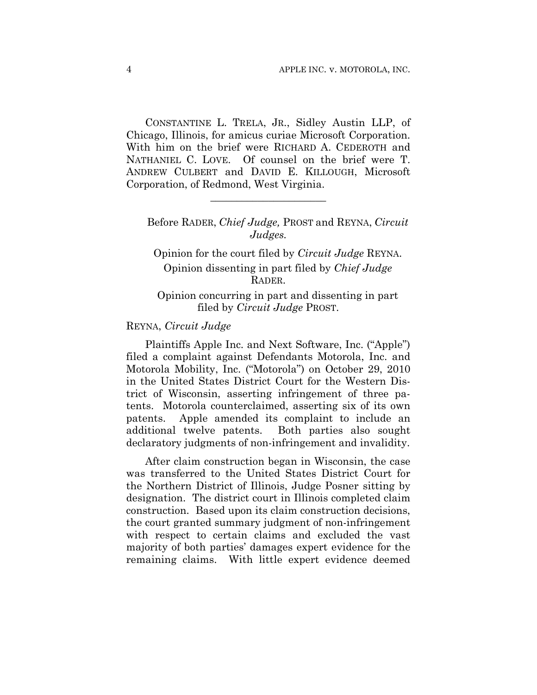CONSTANTINE L. TRELA, JR., Sidley Austin LLP, of Chicago, Illinois, for amicus curiae Microsoft Corporation. With him on the brief were RICHARD A. CEDEROTH and NATHANIEL C. LOVE. Of counsel on the brief were T. ANDREW CULBERT and DAVID E. KILLOUGH, Microsoft Corporation, of Redmond, West Virginia.

**\_\_\_\_\_\_\_\_\_\_\_\_\_\_\_\_\_\_\_\_\_\_** 

# Before RADER, *Chief Judge,* PROST and REYNA, *Circuit Judges.*

Opinion for the court filed by *Circuit Judge* REYNA. Opinion dissenting in part filed by *Chief Judge* RADER.

# Opinion concurring in part and dissenting in part filed by *Circuit Judge* PROST.

### REYNA, *Circuit Judge*

Plaintiffs Apple Inc. and Next Software, Inc. ("Apple") filed a complaint against Defendants Motorola, Inc. and Motorola Mobility, Inc. ("Motorola") on October 29, 2010 in the United States District Court for the Western District of Wisconsin, asserting infringement of three patents. Motorola counterclaimed, asserting six of its own patents. Apple amended its complaint to include an additional twelve patents. Both parties also sought declaratory judgments of non-infringement and invalidity.

After claim construction began in Wisconsin, the case was transferred to the United States District Court for the Northern District of Illinois, Judge Posner sitting by designation. The district court in Illinois completed claim construction. Based upon its claim construction decisions, the court granted summary judgment of non-infringement with respect to certain claims and excluded the vast majority of both parties' damages expert evidence for the remaining claims. With little expert evidence deemed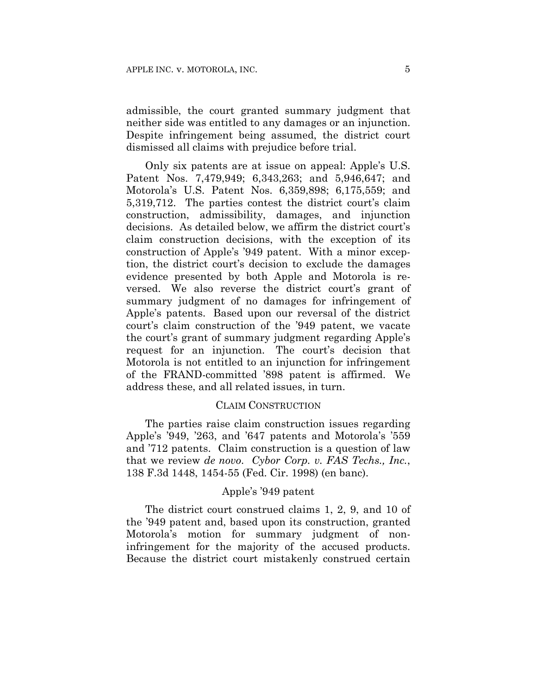admissible, the court granted summary judgment that neither side was entitled to any damages or an injunction. Despite infringement being assumed, the district court dismissed all claims with prejudice before trial.

Only six patents are at issue on appeal: Apple's U.S. Patent Nos. 7,479,949; 6,343,263; and 5,946,647; and Motorola's U.S. Patent Nos. 6,359,898; 6,175,559; and 5,319,712. The parties contest the district court's claim construction, admissibility, damages, and injunction decisions. As detailed below, we affirm the district court's claim construction decisions, with the exception of its construction of Apple's '949 patent. With a minor exception, the district court's decision to exclude the damages evidence presented by both Apple and Motorola is reversed. We also reverse the district court's grant of summary judgment of no damages for infringement of Apple's patents. Based upon our reversal of the district court's claim construction of the '949 patent, we vacate the court's grant of summary judgment regarding Apple's request for an injunction. The court's decision that Motorola is not entitled to an injunction for infringement of the FRAND-committed '898 patent is affirmed. We address these, and all related issues, in turn.

### CLAIM CONSTRUCTION

The parties raise claim construction issues regarding Apple's '949, '263, and '647 patents and Motorola's '559 and '712 patents. Claim construction is a question of law that we review *de novo*. *Cybor Corp. v. FAS Techs., Inc.*, 138 F.3d 1448, 1454-55 (Fed. Cir. 1998) (en banc).

### Apple's '949 patent

The district court construed claims 1, 2, 9, and 10 of the '949 patent and, based upon its construction, granted Motorola's motion for summary judgment of noninfringement for the majority of the accused products. Because the district court mistakenly construed certain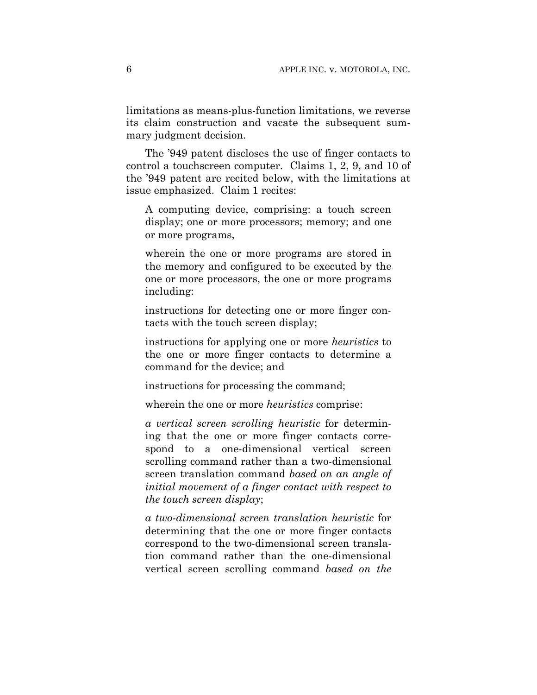limitations as means-plus-function limitations, we reverse its claim construction and vacate the subsequent summary judgment decision.

The '949 patent discloses the use of finger contacts to control a touchscreen computer. Claims 1, 2, 9, and 10 of the '949 patent are recited below, with the limitations at issue emphasized. Claim 1 recites:

A computing device, comprising: a touch screen display; one or more processors; memory; and one or more programs,

wherein the one or more programs are stored in the memory and configured to be executed by the one or more processors, the one or more programs including:

instructions for detecting one or more finger contacts with the touch screen display;

instructions for applying one or more *heuristics* to the one or more finger contacts to determine a command for the device; and

instructions for processing the command;

wherein the one or more *heuristics* comprise:

*a vertical screen scrolling heuristic* for determining that the one or more finger contacts correspond to a one-dimensional vertical screen scrolling command rather than a two-dimensional screen translation command *based on an angle of initial movement of a finger contact with respect to the touch screen display*;

*a two-dimensional screen translation heuristic* for determining that the one or more finger contacts correspond to the two-dimensional screen translation command rather than the one-dimensional vertical screen scrolling command *based on the*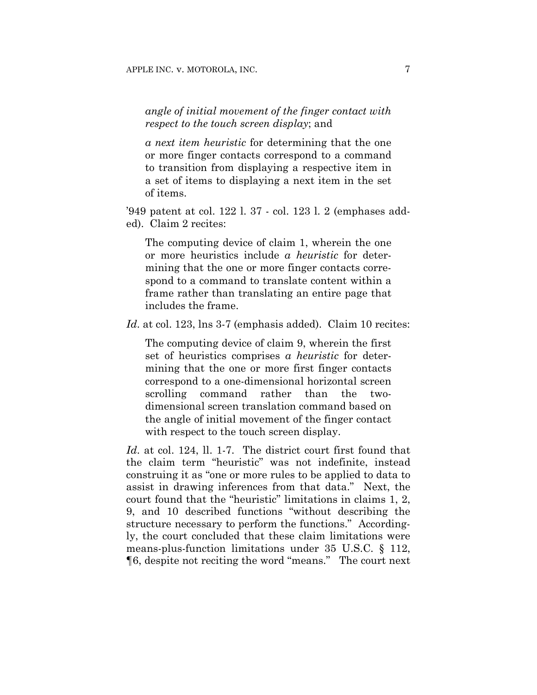# *angle of initial movement of the finger contact with respect to the touch screen display*; and

*a next item heuristic* for determining that the one or more finger contacts correspond to a command to transition from displaying a respective item in a set of items to displaying a next item in the set of items.

'949 patent at col. 122 l. 37 - col. 123 l. 2 (emphases added). Claim 2 recites:

The computing device of claim 1, wherein the one or more heuristics include *a heuristic* for determining that the one or more finger contacts correspond to a command to translate content within a frame rather than translating an entire page that includes the frame.

*Id.* at col. 123, lns 3-7 (emphasis added). Claim 10 recites:

The computing device of claim 9, wherein the first set of heuristics comprises *a heuristic* for determining that the one or more first finger contacts correspond to a one-dimensional horizontal screen scrolling command rather than the twodimensional screen translation command based on the angle of initial movement of the finger contact with respect to the touch screen display.

*Id*. at col. 124, ll. 1-7. The district court first found that the claim term "heuristic" was not indefinite, instead construing it as "one or more rules to be applied to data to assist in drawing inferences from that data." Next, the court found that the "heuristic" limitations in claims 1, 2, 9, and 10 described functions "without describing the structure necessary to perform the functions." Accordingly, the court concluded that these claim limitations were means-plus-function limitations under 35 U.S.C. § 112, ¶6, despite not reciting the word "means." The court next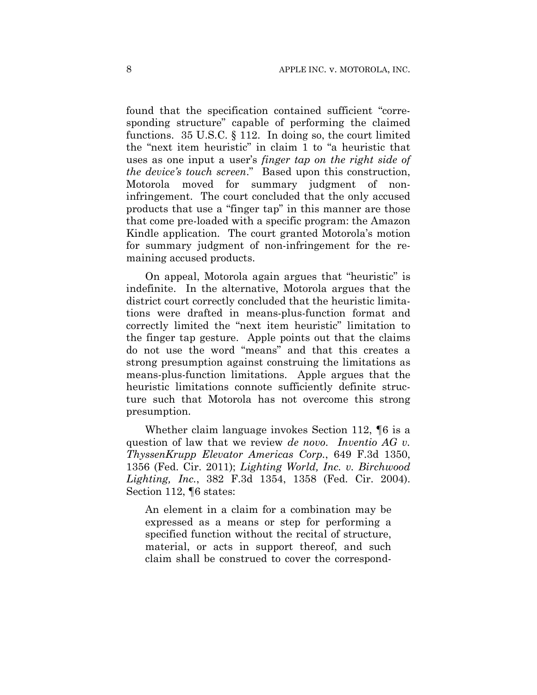found that the specification contained sufficient "corresponding structure" capable of performing the claimed functions. 35 U.S.C. § 112. In doing so, the court limited the "next item heuristic" in claim 1 to "a heuristic that uses as one input a user's *finger tap on the right side of the device's touch screen*." Based upon this construction, Motorola moved for summary judgment of noninfringement. The court concluded that the only accused products that use a "finger tap" in this manner are those that come pre-loaded with a specific program: the Amazon Kindle application. The court granted Motorola's motion for summary judgment of non-infringement for the remaining accused products.

On appeal, Motorola again argues that "heuristic" is indefinite. In the alternative, Motorola argues that the district court correctly concluded that the heuristic limitations were drafted in means-plus-function format and correctly limited the "next item heuristic" limitation to the finger tap gesture. Apple points out that the claims do not use the word "means" and that this creates a strong presumption against construing the limitations as means-plus-function limitations. Apple argues that the heuristic limitations connote sufficiently definite structure such that Motorola has not overcome this strong presumption.

Whether claim language invokes Section 112, ¶6 is a question of law that we review *de novo*. *Inventio AG v. ThyssenKrupp Elevator Americas Corp.*, 649 F.3d 1350, 1356 (Fed. Cir. 2011); *Lighting World, Inc. v. Birchwood Lighting, Inc.*, 382 F.3d 1354, 1358 (Fed. Cir. 2004). Section 112, ¶6 states:

An element in a claim for a combination may be expressed as a means or step for performing a specified function without the recital of structure, material, or acts in support thereof, and such claim shall be construed to cover the correspond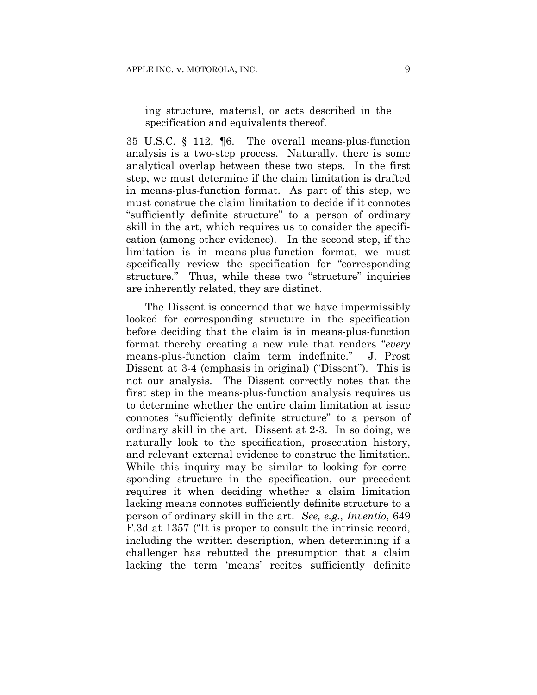ing structure, material, or acts described in the specification and equivalents thereof.

35 U.S.C. § 112, ¶6. The overall means-plus-function analysis is a two-step process. Naturally, there is some analytical overlap between these two steps. In the first step, we must determine if the claim limitation is drafted in means-plus-function format. As part of this step, we must construe the claim limitation to decide if it connotes "sufficiently definite structure" to a person of ordinary skill in the art, which requires us to consider the specification (among other evidence). In the second step, if the limitation is in means-plus-function format, we must specifically review the specification for "corresponding structure." Thus, while these two "structure" inquiries are inherently related, they are distinct.

The Dissent is concerned that we have impermissibly looked for corresponding structure in the specification before deciding that the claim is in means-plus-function format thereby creating a new rule that renders "*every* means-plus-function claim term indefinite." J. Prost Dissent at 3-4 (emphasis in original) ("Dissent"). This is not our analysis. The Dissent correctly notes that the first step in the means-plus-function analysis requires us to determine whether the entire claim limitation at issue connotes "sufficiently definite structure" to a person of ordinary skill in the art. Dissent at 2-3. In so doing, we naturally look to the specification, prosecution history, and relevant external evidence to construe the limitation. While this inquiry may be similar to looking for corresponding structure in the specification, our precedent requires it when deciding whether a claim limitation lacking means connotes sufficiently definite structure to a person of ordinary skill in the art. *See, e.g.*, *Inventio*, 649 F.3d at 1357 ("It is proper to consult the intrinsic record, including the written description, when determining if a challenger has rebutted the presumption that a claim lacking the term 'means' recites sufficiently definite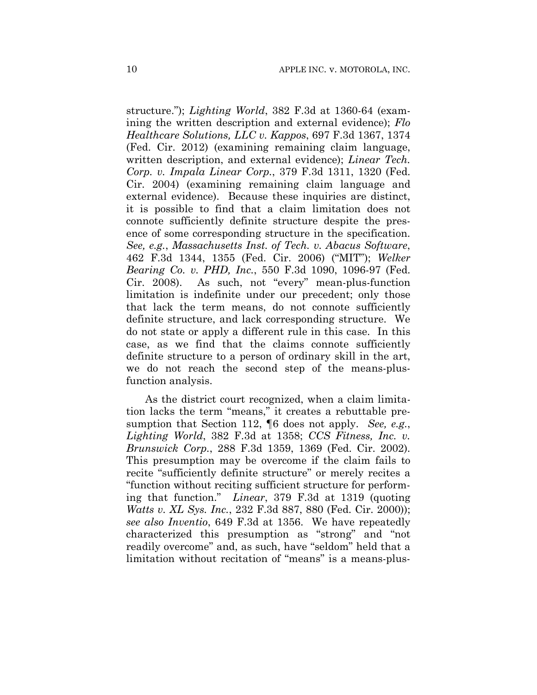structure."); *Lighting World*, 382 F.3d at 1360-64 (examining the written description and external evidence); *Flo Healthcare Solutions, LLC v. Kappos*, 697 F.3d 1367, 1374 (Fed. Cir. 2012) (examining remaining claim language, written description, and external evidence); *Linear Tech. Corp. v. Impala Linear Corp.*, 379 F.3d 1311, 1320 (Fed. Cir. 2004) (examining remaining claim language and external evidence). Because these inquiries are distinct, it is possible to find that a claim limitation does not connote sufficiently definite structure despite the presence of some corresponding structure in the specification. *See, e.g.*, *Massachusetts Inst. of Tech. v. Abacus Software*, 462 F.3d 1344, 1355 (Fed. Cir. 2006) ("MIT"); *Welker Bearing Co. v. PHD, Inc.*, 550 F.3d 1090, 1096-97 (Fed. Cir. 2008). As such, not "every" mean-plus-function limitation is indefinite under our precedent; only those that lack the term means, do not connote sufficiently definite structure, and lack corresponding structure. We do not state or apply a different rule in this case. In this case, as we find that the claims connote sufficiently definite structure to a person of ordinary skill in the art, we do not reach the second step of the means-plusfunction analysis.

As the district court recognized, when a claim limitation lacks the term "means," it creates a rebuttable presumption that Section 112, ¶6 does not apply. *See, e.g.*, *Lighting World*, 382 F.3d at 1358; *CCS Fitness, Inc. v. Brunswick Corp.*, 288 F.3d 1359, 1369 (Fed. Cir. 2002). This presumption may be overcome if the claim fails to recite "sufficiently definite structure" or merely recites a "function without reciting sufficient structure for performing that function." *Linear*, 379 F.3d at 1319 (quoting *Watts v. XL Sys. Inc.*, 232 F.3d 887, 880 (Fed. Cir. 2000)); *see also Inventio*, 649 F.3d at 1356. We have repeatedly characterized this presumption as "strong" and "not readily overcome" and, as such, have "seldom" held that a limitation without recitation of "means" is a means-plus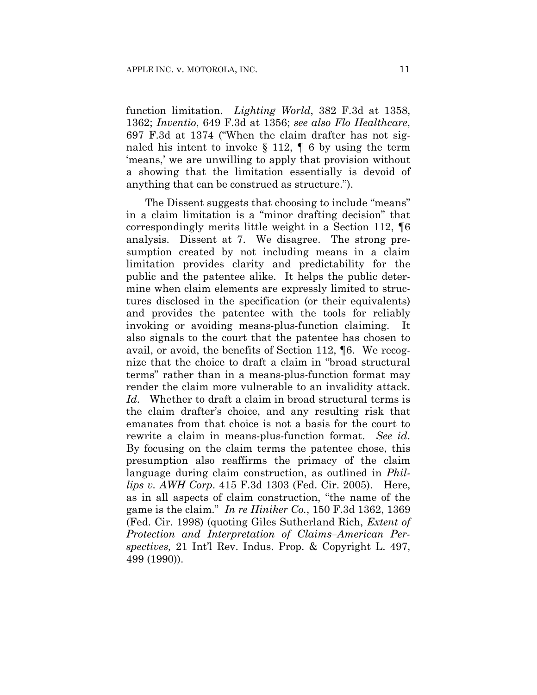function limitation. *Lighting World*, 382 F.3d at 1358, 1362; *Inventio*, 649 F.3d at 1356; *see also Flo Healthcare*, 697 F.3d at 1374 ("When the claim drafter has not signaled his intent to invoke  $\S$  112,  $\P$  6 by using the term 'means,' we are unwilling to apply that provision without a showing that the limitation essentially is devoid of anything that can be construed as structure.").

The Dissent suggests that choosing to include "means" in a claim limitation is a "minor drafting decision" that correspondingly merits little weight in a Section 112, ¶6 analysis. Dissent at 7. We disagree. The strong presumption created by not including means in a claim limitation provides clarity and predictability for the public and the patentee alike. It helps the public determine when claim elements are expressly limited to structures disclosed in the specification (or their equivalents) and provides the patentee with the tools for reliably invoking or avoiding means-plus-function claiming. It also signals to the court that the patentee has chosen to avail, or avoid, the benefits of Section 112, ¶6. We recognize that the choice to draft a claim in "broad structural terms" rather than in a means-plus-function format may render the claim more vulnerable to an invalidity attack. *Id*. Whether to draft a claim in broad structural terms is the claim drafter's choice, and any resulting risk that emanates from that choice is not a basis for the court to rewrite a claim in means-plus-function format. *See id*. By focusing on the claim terms the patentee chose, this presumption also reaffirms the primacy of the claim language during claim construction, as outlined in *Phillips v. AWH Corp*. 415 F.3d 1303 (Fed. Cir. 2005). Here, as in all aspects of claim construction, "the name of the game is the claim." *In re Hiniker Co.*, 150 F.3d 1362, 1369 (Fed. Cir. 1998) (quoting Giles Sutherland Rich, *Extent of Protection and Interpretation of Claims–American Perspectives,* 21 Int'l Rev. Indus. Prop. & Copyright L. 497, 499 (1990)).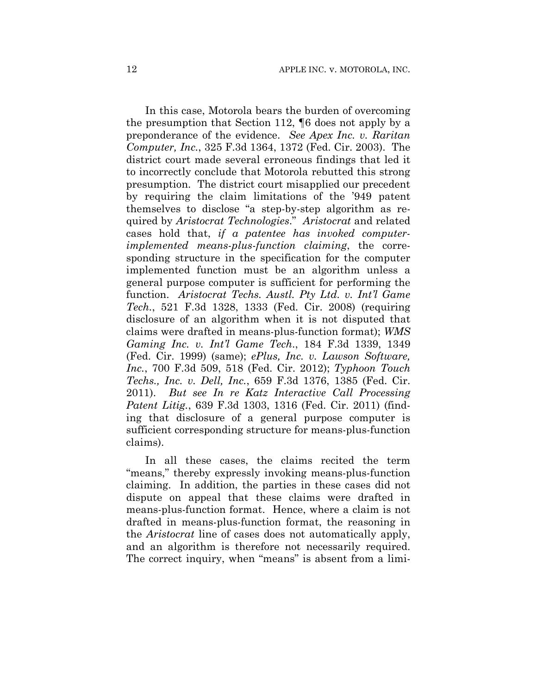In this case, Motorola bears the burden of overcoming the presumption that Section 112, ¶6 does not apply by a preponderance of the evidence. *See Apex Inc. v. Raritan Computer, Inc.*, 325 F.3d 1364, 1372 (Fed. Cir. 2003). The district court made several erroneous findings that led it to incorrectly conclude that Motorola rebutted this strong presumption. The district court misapplied our precedent by requiring the claim limitations of the '949 patent themselves to disclose "a step-by-step algorithm as required by *Aristocrat Technologies*." *Aristocrat* and related cases hold that, *if a patentee has invoked computerimplemented means-plus-function claiming*, the corresponding structure in the specification for the computer implemented function must be an algorithm unless a general purpose computer is sufficient for performing the function. *Aristocrat Techs. Austl. Pty Ltd. v. Int'l Game Tech.*, 521 F.3d 1328, 1333 (Fed. Cir. 2008) (requiring disclosure of an algorithm when it is not disputed that claims were drafted in means-plus-function format); *WMS Gaming Inc. v. Int'l Game Tech*., 184 F.3d 1339, 1349 (Fed. Cir. 1999) (same); *ePlus, Inc. v. Lawson Software, Inc.*, 700 F.3d 509, 518 (Fed. Cir. 2012); *Typhoon Touch Techs., Inc. v. Dell, Inc.*, 659 F.3d 1376, 1385 (Fed. Cir. 2011). *But see In re Katz Interactive Call Processing Patent Litig.*, 639 F.3d 1303, 1316 (Fed. Cir. 2011) (finding that disclosure of a general purpose computer is sufficient corresponding structure for means-plus-function claims).

In all these cases, the claims recited the term "means," thereby expressly invoking means-plus-function claiming. In addition, the parties in these cases did not dispute on appeal that these claims were drafted in means-plus-function format. Hence, where a claim is not drafted in means-plus-function format, the reasoning in the *Aristocrat* line of cases does not automatically apply, and an algorithm is therefore not necessarily required. The correct inquiry, when "means" is absent from a limi-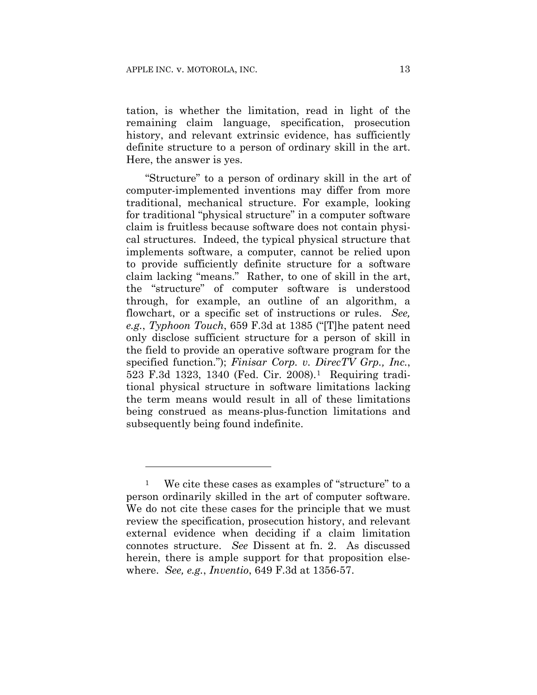1

tation, is whether the limitation, read in light of the remaining claim language, specification, prosecution history, and relevant extrinsic evidence, has sufficiently definite structure to a person of ordinary skill in the art. Here, the answer is yes.

"Structure" to a person of ordinary skill in the art of computer-implemented inventions may differ from more traditional, mechanical structure. For example, looking for traditional "physical structure" in a computer software claim is fruitless because software does not contain physical structures. Indeed, the typical physical structure that implements software, a computer, cannot be relied upon to provide sufficiently definite structure for a software claim lacking "means." Rather, to one of skill in the art, the "structure" of computer software is understood through, for example, an outline of an algorithm, a flowchart, or a specific set of instructions or rules. *See, e.g.*, *Typhoon Touch*, 659 F.3d at 1385 ("[T]he patent need only disclose sufficient structure for a person of skill in the field to provide an operative software program for the specified function."); *Finisar Corp. v. DirecTV Grp., Inc.*, 523 F.3d 1323, 1340 (Fed. Cir. 2008).1 Requiring traditional physical structure in software limitations lacking the term means would result in all of these limitations being construed as means-plus-function limitations and subsequently being found indefinite.

<sup>&</sup>lt;sup>1</sup> We cite these cases as examples of "structure" to a person ordinarily skilled in the art of computer software. We do not cite these cases for the principle that we must review the specification, prosecution history, and relevant external evidence when deciding if a claim limitation connotes structure. *See* Dissent at fn. 2. As discussed herein, there is ample support for that proposition elsewhere. *See, e.g.*, *Inventio*, 649 F.3d at 1356-57.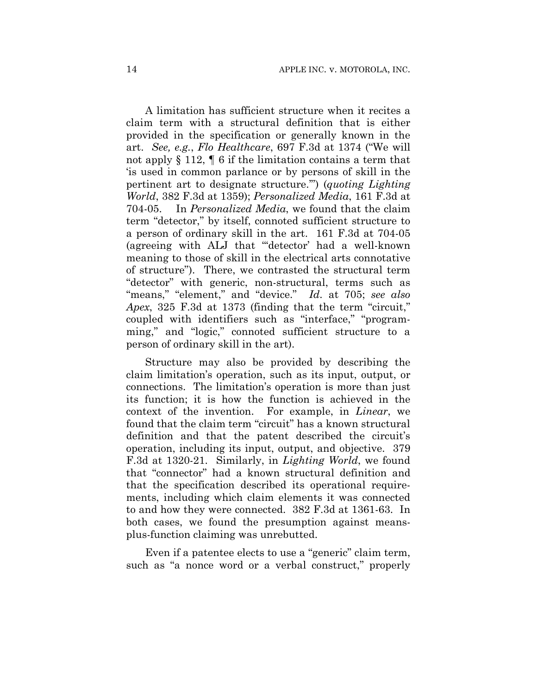A limitation has sufficient structure when it recites a claim term with a structural definition that is either provided in the specification or generally known in the art. *See, e.g.*, *Flo Healthcare*, 697 F.3d at 1374 ("We will not apply § 112, ¶ 6 if the limitation contains a term that 'is used in common parlance or by persons of skill in the pertinent art to designate structure.'") (*quoting Lighting World*, 382 F.3d at 1359); *Personalized Media*, 161 F.3d at 704-05. In *Personalized Media*, we found that the claim term "detector," by itself, connoted sufficient structure to a person of ordinary skill in the art. 161 F.3d at 704-05 (agreeing with ALJ that "'detector' had a well-known meaning to those of skill in the electrical arts connotative of structure"). There, we contrasted the structural term "detector" with generic, non-structural, terms such as "means," "element," and "device." *Id*. at 705; *see also Apex*, 325 F.3d at 1373 (finding that the term "circuit," coupled with identifiers such as "interface," "programming," and "logic," connoted sufficient structure to a person of ordinary skill in the art).

Structure may also be provided by describing the claim limitation's operation, such as its input, output, or connections. The limitation's operation is more than just its function; it is how the function is achieved in the context of the invention. For example, in *Linear*, we found that the claim term "circuit" has a known structural definition and that the patent described the circuit's operation, including its input, output, and objective. 379 F.3d at 1320-21. Similarly, in *Lighting World*, we found that "connector" had a known structural definition and that the specification described its operational requirements, including which claim elements it was connected to and how they were connected.382 F.3d at 1361-63. In both cases, we found the presumption against meansplus-function claiming was unrebutted.

Even if a patentee elects to use a "generic" claim term, such as "a nonce word or a verbal construct," properly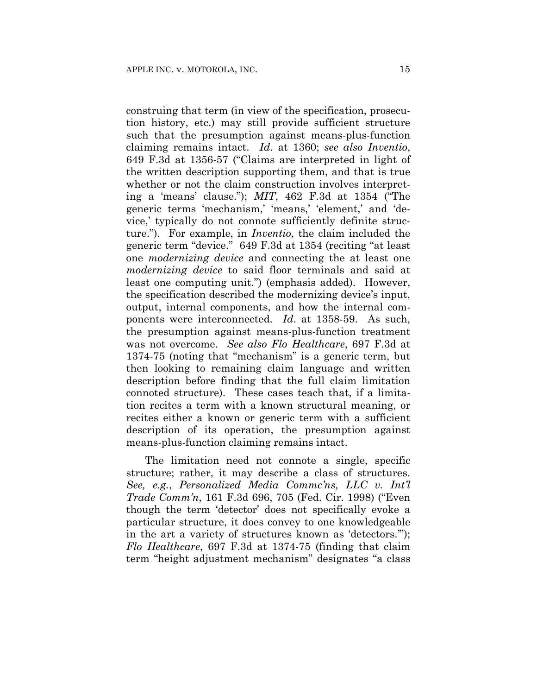construing that term (in view of the specification, prosecution history, etc.) may still provide sufficient structure such that the presumption against means-plus-function claiming remains intact. *Id*. at 1360; *see also Inventio*, 649 F.3d at 1356-57 ("Claims are interpreted in light of the written description supporting them, and that is true whether or not the claim construction involves interpreting a 'means' clause."); *MIT*, 462 F.3d at 1354 ("The generic terms 'mechanism,' 'means,' 'element,' and 'device,' typically do not connote sufficiently definite structure."). For example, in *Inventio*, the claim included the generic term "device." 649 F.3d at 1354 (reciting "at least one *modernizing device* and connecting the at least one *modernizing device* to said floor terminals and said at least one computing unit.") (emphasis added). However, the specification described the modernizing device's input, output, internal components, and how the internal components were interconnected. *Id*. at 1358-59. As such, the presumption against means-plus-function treatment was not overcome. *See also Flo Healthcare*, 697 F.3d at 1374-75 (noting that "mechanism" is a generic term, but then looking to remaining claim language and written description before finding that the full claim limitation connoted structure). These cases teach that, if a limitation recites a term with a known structural meaning, or recites either a known or generic term with a sufficient description of its operation, the presumption against means-plus-function claiming remains intact.

The limitation need not connote a single, specific structure; rather, it may describe a class of structures. *See, e.g.*, *Personalized Media Commc'ns, LLC v. Int'l Trade Comm'n*, 161 F.3d 696, 705 (Fed. Cir. 1998) ("Even though the term 'detector' does not specifically evoke a particular structure, it does convey to one knowledgeable in the art a variety of structures known as 'detectors.'"); *Flo Healthcare*, 697 F.3d at 1374-75 (finding that claim term "height adjustment mechanism" designates "a class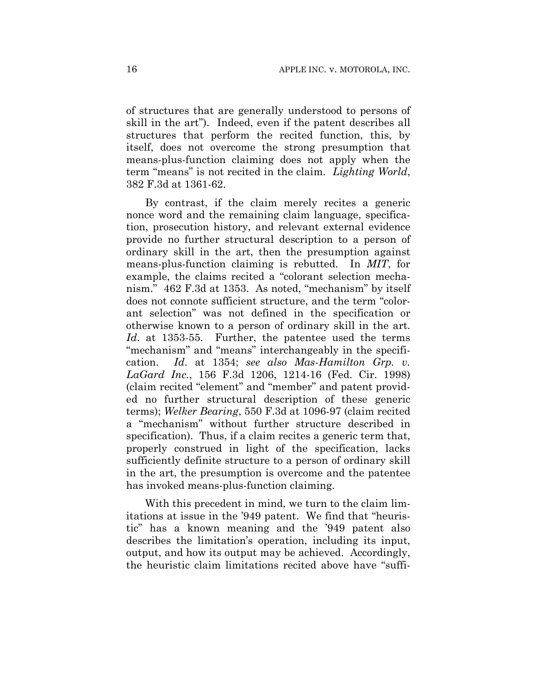of structures that are generally understood to persons of skill in the art"). Indeed, even if the patent describes all structures that perform the recited function, this, by itself, does not overcome the strong presumption that means-plus-function claiming does not apply when the term "means" is not recited in the claim. *Lighting World*, 382 F.3d at 1361-62.

By contrast, if the claim merely recites a generic nonce word and the remaining claim language, specification, prosecution history, and relevant external evidence provide no further structural description to a person of ordinary skill in the art, then the presumption against means-plus-function claiming is rebutted. In *MIT*, for example, the claims recited a "colorant selection mechanism." 462 F.3d at 1353. As noted, "mechanism" by itself does not connote sufficient structure, and the term "colorant selection" was not defined in the specification or otherwise known to a person of ordinary skill in the art. *Id*. at 1353-55. Further, the patentee used the terms "mechanism" and "means" interchangeably in the specification. *Id*. at 1354; *see also Mas-Hamilton Grp. v. LaGard Inc.*, 156 F.3d 1206, 1214-16 (Fed. Cir. 1998) (claim recited "element" and "member" and patent provided no further structural description of these generic terms); *Welker Bearing*, 550 F.3d at 1096-97 (claim recited a "mechanism" without further structure described in specification). Thus, if a claim recites a generic term that, properly construed in light of the specification, lacks sufficiently definite structure to a person of ordinary skill in the art, the presumption is overcome and the patentee has invoked means-plus-function claiming.

With this precedent in mind, we turn to the claim limitations at issue in the '949 patent. We find that "heuristic" has a known meaning and the '949 patent also describes the limitation's operation, including its input, output, and how its output may be achieved. Accordingly, the heuristic claim limitations recited above have "suffi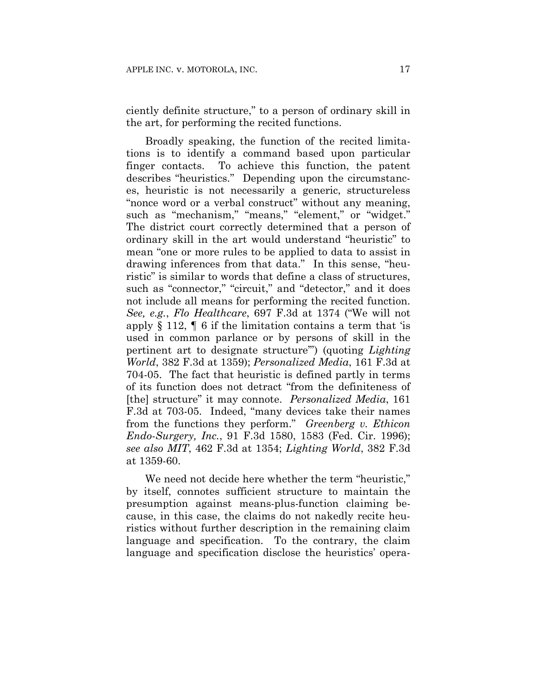ciently definite structure," to a person of ordinary skill in the art, for performing the recited functions.

Broadly speaking, the function of the recited limitations is to identify a command based upon particular finger contacts. To achieve this function, the patent describes "heuristics." Depending upon the circumstances, heuristic is not necessarily a generic, structureless "nonce word or a verbal construct" without any meaning, such as "mechanism," "means," "element," or "widget." The district court correctly determined that a person of ordinary skill in the art would understand "heuristic" to mean "one or more rules to be applied to data to assist in drawing inferences from that data." In this sense, "heuristic" is similar to words that define a class of structures, such as "connector," "circuit," and "detector," and it does not include all means for performing the recited function. *See, e.g.*, *Flo Healthcare*, 697 F.3d at 1374 ("We will not apply  $\S 112$ ,  $\P 6$  if the limitation contains a term that 'is used in common parlance or by persons of skill in the pertinent art to designate structure'") (quoting *Lighting World*, 382 F.3d at 1359); *Personalized Media*, 161 F.3d at 704-05. The fact that heuristic is defined partly in terms of its function does not detract "from the definiteness of [the] structure" it may connote. *Personalized Media*, 161 F.3d at 703-05. Indeed, "many devices take their names from the functions they perform." *Greenberg v. Ethicon Endo-Surgery, Inc.*, 91 F.3d 1580, 1583 (Fed. Cir. 1996); *see also MIT*, 462 F.3d at 1354; *Lighting World*, 382 F.3d at 1359-60.

We need not decide here whether the term "heuristic," by itself, connotes sufficient structure to maintain the presumption against means-plus-function claiming because, in this case, the claims do not nakedly recite heuristics without further description in the remaining claim language and specification. To the contrary, the claim language and specification disclose the heuristics' opera-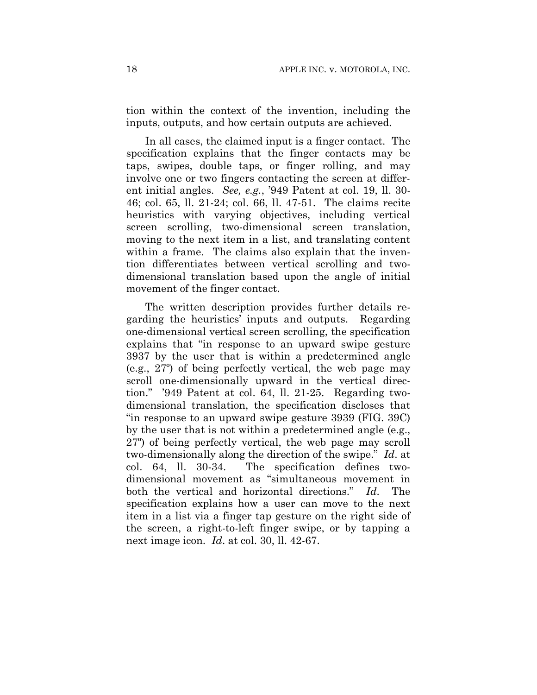tion within the context of the invention, including the inputs, outputs, and how certain outputs are achieved.

In all cases, the claimed input is a finger contact. The specification explains that the finger contacts may be taps, swipes, double taps, or finger rolling, and may involve one or two fingers contacting the screen at different initial angles. *See, e.g.*, '949 Patent at col. 19, ll. 30- 46; col. 65, ll. 21-24; col. 66, ll. 47-51. The claims recite heuristics with varying objectives, including vertical screen scrolling, two-dimensional screen translation, moving to the next item in a list, and translating content within a frame. The claims also explain that the invention differentiates between vertical scrolling and twodimensional translation based upon the angle of initial movement of the finger contact.

The written description provides further details regarding the heuristics' inputs and outputs. Regarding one-dimensional vertical screen scrolling, the specification explains that "in response to an upward swipe gesture 3937 by the user that is within a predetermined angle (e.g., 27º) of being perfectly vertical, the web page may scroll one-dimensionally upward in the vertical direction." '949 Patent at col. 64, ll. 21-25. Regarding twodimensional translation, the specification discloses that "in response to an upward swipe gesture 3939 (FIG. 39C) by the user that is not within a predetermined angle (e.g., 27º) of being perfectly vertical, the web page may scroll two-dimensionally along the direction of the swipe." *Id*. at col. 64, ll. 30-34. The specification defines twodimensional movement as "simultaneous movement in both the vertical and horizontal directions." *Id*. The specification explains how a user can move to the next item in a list via a finger tap gesture on the right side of the screen, a right-to-left finger swipe, or by tapping a next image icon. *Id*. at col. 30, ll. 42-67.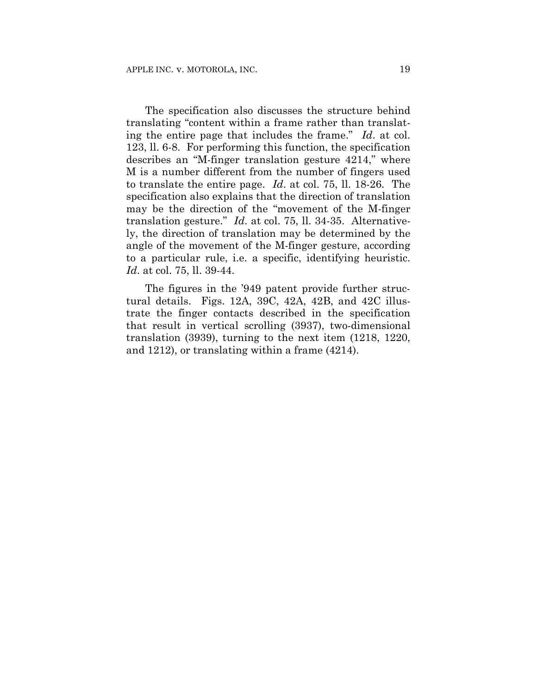The specification also discusses the structure behind translating "content within a frame rather than translating the entire page that includes the frame." *Id*. at col. 123, ll. 6-8. For performing this function, the specification describes an "M-finger translation gesture 4214," where M is a number different from the number of fingers used to translate the entire page. *Id*. at col. 75, ll. 18-26. The specification also explains that the direction of translation may be the direction of the "movement of the M-finger translation gesture." *Id*. at col. 75, ll. 34-35. Alternatively, the direction of translation may be determined by the angle of the movement of the M-finger gesture, according to a particular rule, i.e. a specific, identifying heuristic. *Id*. at col. 75, ll. 39-44.

The figures in the '949 patent provide further structural details. Figs. 12A, 39C, 42A, 42B, and 42C illustrate the finger contacts described in the specification that result in vertical scrolling (3937), two-dimensional translation (3939), turning to the next item (1218, 1220, and 1212), or translating within a frame (4214).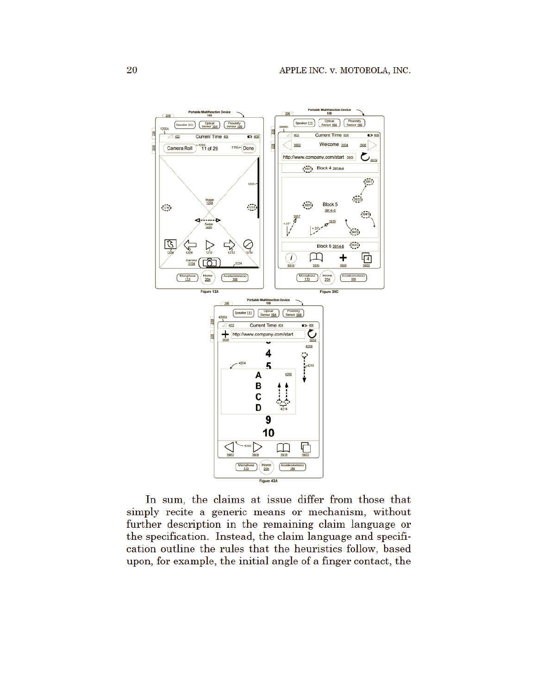

In sum, the claims at issue differ from those that simply recite a generic means or mechanism, without further description in the remaining claim language or the specification. Instead, the claim language and specification outline the rules that the heuristics follow, based upon, for example, the initial angle of a finger contact, the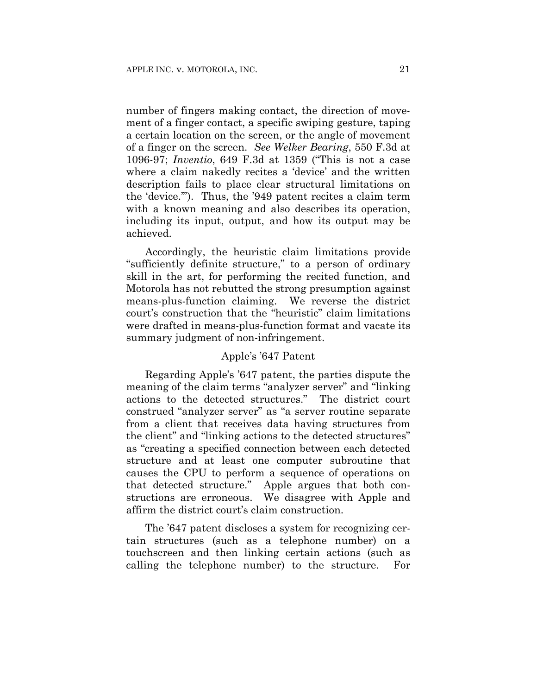number of fingers making contact, the direction of movement of a finger contact, a specific swiping gesture, taping a certain location on the screen, or the angle of movement of a finger on the screen. *See Welker Bearing*, 550 F.3d at 1096-97; *Inventio*, 649 F.3d at 1359 ("This is not a case where a claim nakedly recites a 'device' and the written description fails to place clear structural limitations on the 'device.'"). Thus, the '949 patent recites a claim term with a known meaning and also describes its operation, including its input, output, and how its output may be achieved.

Accordingly, the heuristic claim limitations provide "sufficiently definite structure," to a person of ordinary skill in the art, for performing the recited function, and Motorola has not rebutted the strong presumption against means-plus-function claiming. We reverse the district court's construction that the "heuristic" claim limitations were drafted in means-plus-function format and vacate its summary judgment of non-infringement.

#### Apple's '647 Patent

Regarding Apple's '647 patent, the parties dispute the meaning of the claim terms "analyzer server" and "linking actions to the detected structures." The district court construed "analyzer server" as "a server routine separate from a client that receives data having structures from the client" and "linking actions to the detected structures" as "creating a specified connection between each detected structure and at least one computer subroutine that causes the CPU to perform a sequence of operations on that detected structure." Apple argues that both constructions are erroneous. We disagree with Apple and affirm the district court's claim construction.

The '647 patent discloses a system for recognizing certain structures (such as a telephone number) on a touchscreen and then linking certain actions (such as calling the telephone number) to the structure. For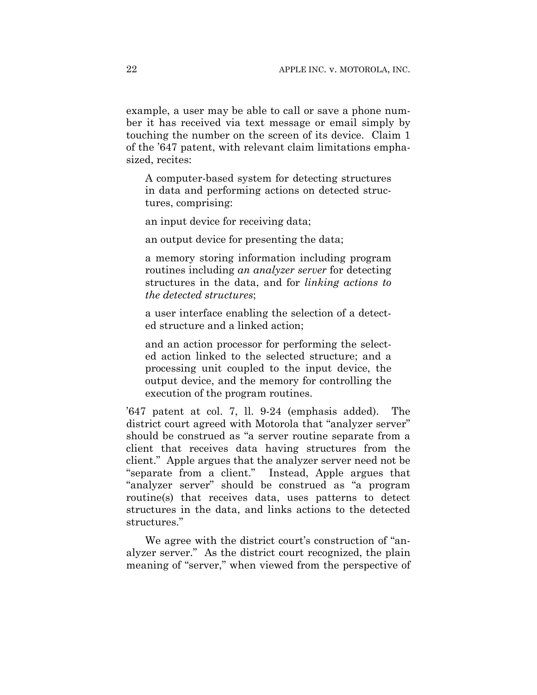example, a user may be able to call or save a phone number it has received via text message or email simply by touching the number on the screen of its device. Claim 1 of the '647 patent, with relevant claim limitations emphasized, recites:

A computer-based system for detecting structures in data and performing actions on detected structures, comprising:

an input device for receiving data;

an output device for presenting the data;

a memory storing information including program routines including *an analyzer server* for detecting structures in the data, and for *linking actions to the detected structures*;

a user interface enabling the selection of a detected structure and a linked action;

and an action processor for performing the selected action linked to the selected structure; and a processing unit coupled to the input device, the output device, and the memory for controlling the execution of the program routines.

'647 patent at col. 7, ll. 9-24 (emphasis added). The district court agreed with Motorola that "analyzer server" should be construed as "a server routine separate from a client that receives data having structures from the client." Apple argues that the analyzer server need not be "separate from a client." Instead, Apple argues that "analyzer server" should be construed as "a program routine(s) that receives data, uses patterns to detect structures in the data, and links actions to the detected structures."

We agree with the district court's construction of "analyzer server." As the district court recognized, the plain meaning of "server," when viewed from the perspective of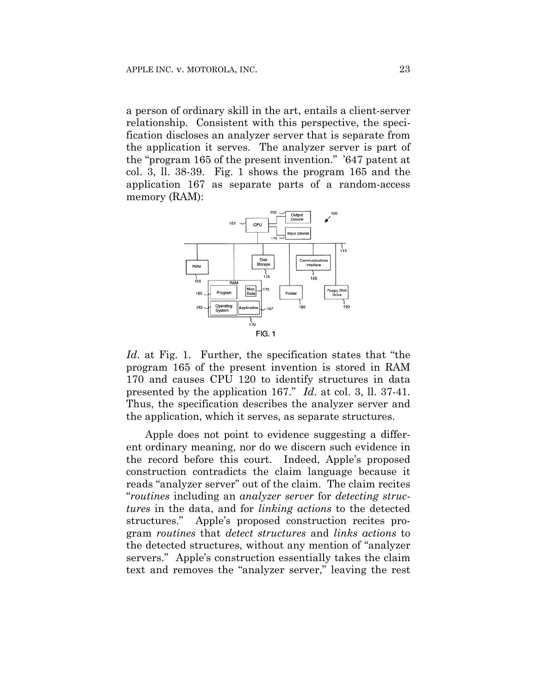a person of ordinary skill in the art, entails a client-server relationship. Consistent with this perspective, the specification discloses an analyzer server that is separate from the application it serves. The analyzer server is part of the "program 165 of the present invention." '647 patent at col. 3, ll. 38-39. Fig. 1 shows the program 165 and the application 167 as separate parts of a random-access memory (RAM):



*Id*. at Fig. 1. Further, the specification states that "the program 165 of the present invention is stored in RAM 170 and causes CPU 120 to identify structures in data presented by the application 167." *Id*. at col. 3, ll. 37-41. Thus, the specification describes the analyzer server and the application, which it serves, as separate structures.

Apple does not point to evidence suggesting a different ordinary meaning, nor do we discern such evidence in the record before this court. Indeed, Apple's proposed construction contradicts the claim language because it reads "analyzer server" out of the claim. The claim recites "*routines* including an *analyzer server* for *detecting structures* in the data, and for *linking actions* to the detected structures." Apple's proposed construction recites program *routines* that *detect structures* and *links actions* to the detected structures, without any mention of "analyzer servers." Apple's construction essentially takes the claim text and removes the "analyzer server," leaving the rest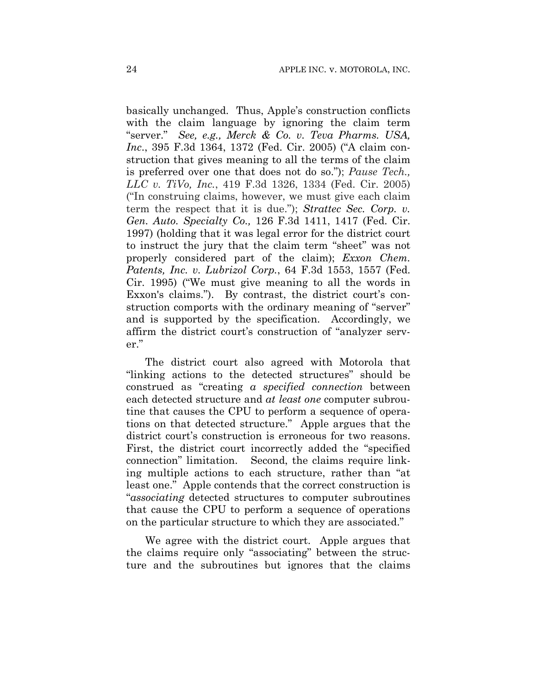basically unchanged. Thus, Apple's construction conflicts with the claim language by ignoring the claim term "server." *See, e.g., Merck & Co. v. Teva Pharms. USA, Inc*., 395 F.3d 1364, 1372 (Fed. Cir. 2005) ("A claim construction that gives meaning to all the terms of the claim is preferred over one that does not do so."); *Pause Tech., LLC v. TiVo, Inc.*, 419 F.3d 1326, 1334 (Fed. Cir. 2005) ("In construing claims, however, we must give each claim term the respect that it is due."); *Strattec Sec. Corp. v. Gen. Auto. Specialty Co.,* 126 F.3d 1411, 1417 (Fed. Cir. 1997) (holding that it was legal error for the district court to instruct the jury that the claim term "sheet" was not properly considered part of the claim); *Exxon Chem. Patents, Inc. v. Lubrizol Corp.*, 64 F.3d 1553, 1557 (Fed. Cir. 1995) ("We must give meaning to all the words in Exxon's claims."). By contrast, the district court's construction comports with the ordinary meaning of "server" and is supported by the specification. Accordingly, we affirm the district court's construction of "analyzer server."

The district court also agreed with Motorola that "linking actions to the detected structures" should be construed as "creating *a specified connection* between each detected structure and *at least one* computer subroutine that causes the CPU to perform a sequence of operations on that detected structure." Apple argues that the district court's construction is erroneous for two reasons. First, the district court incorrectly added the "specified connection" limitation. Second, the claims require linking multiple actions to each structure, rather than "at least one." Apple contends that the correct construction is "*associating* detected structures to computer subroutines that cause the CPU to perform a sequence of operations on the particular structure to which they are associated."

We agree with the district court. Apple argues that the claims require only "associating" between the structure and the subroutines but ignores that the claims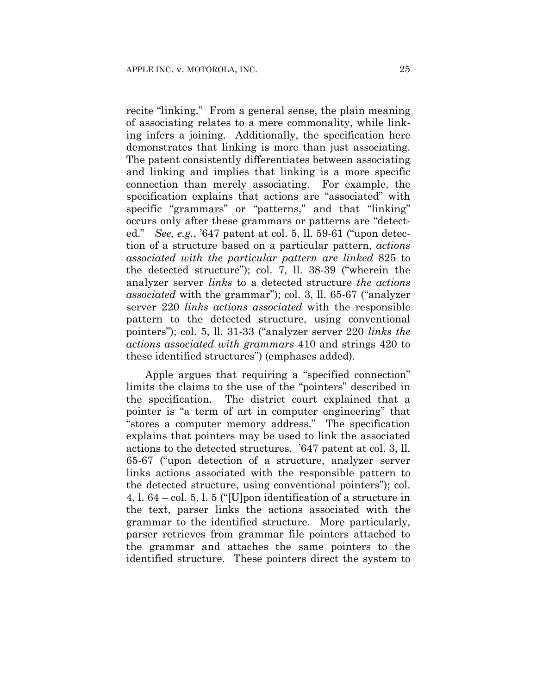recite "linking." From a general sense, the plain meaning of associating relates to a mere commonality, while linking infers a joining. Additionally, the specification here demonstrates that linking is more than just associating. The patent consistently differentiates between associating and linking and implies that linking is a more specific connection than merely associating. For example, the specification explains that actions are "associated" with specific "grammars" or "patterns," and that "linking" occurs only after these grammars or patterns are "detected." *See, e.g.*, '647 patent at col. 5, ll. 59-61 ("upon detection of a structure based on a particular pattern, *actions associated with the particular pattern are linked* 825 to the detected structure"); col. 7, ll. 38-39 ("wherein the analyzer server *links* to a detected structure *the actions associated* with the grammar"); col. 3, ll. 65-67 ("analyzer server 220 *links actions associated* with the responsible pattern to the detected structure, using conventional pointers"); col. 5, ll. 31-33 ("analyzer server 220 *links the actions associated with grammars* 410 and strings 420 to these identified structures") (emphases added).

Apple argues that requiring a "specified connection" limits the claims to the use of the "pointers" described in the specification. The district court explained that a pointer is "a term of art in computer engineering" that "stores a computer memory address." The specification explains that pointers may be used to link the associated actions to the detected structures. '647 patent at col. 3, ll. 65-67 ("upon detection of a structure, analyzer server links actions associated with the responsible pattern to the detected structure, using conventional pointers"); col. 4, l. 64 – col. 5, l. 5 ("[U]pon identification of a structure in the text, parser links the actions associated with the grammar to the identified structure. More particularly, parser retrieves from grammar file pointers attached to the grammar and attaches the same pointers to the identified structure. These pointers direct the system to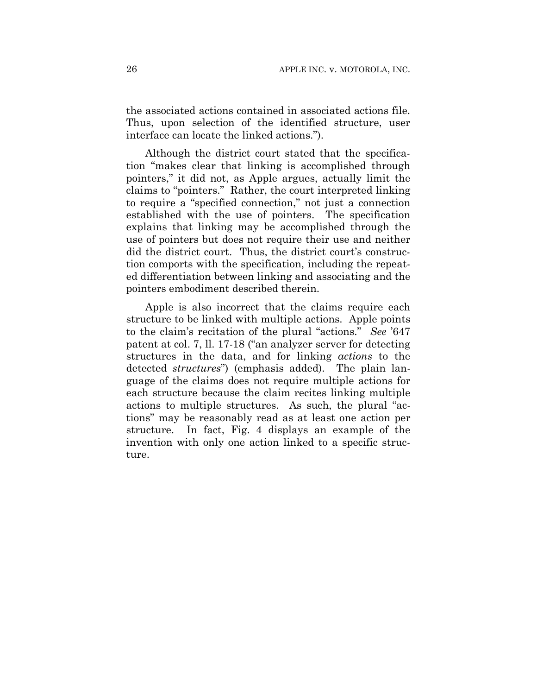the associated actions contained in associated actions file. Thus, upon selection of the identified structure, user interface can locate the linked actions.").

Although the district court stated that the specification "makes clear that linking is accomplished through pointers," it did not, as Apple argues, actually limit the claims to "pointers." Rather, the court interpreted linking to require a "specified connection," not just a connection established with the use of pointers. The specification explains that linking may be accomplished through the use of pointers but does not require their use and neither did the district court. Thus, the district court's construction comports with the specification, including the repeated differentiation between linking and associating and the pointers embodiment described therein.

Apple is also incorrect that the claims require each structure to be linked with multiple actions. Apple points to the claim's recitation of the plural "actions." *See* '647 patent at col. 7, ll. 17-18 ("an analyzer server for detecting structures in the data, and for linking *actions* to the detected *structures*") (emphasis added). The plain language of the claims does not require multiple actions for each structure because the claim recites linking multiple actions to multiple structures. As such, the plural "actions" may be reasonably read as at least one action per structure. In fact, Fig. 4 displays an example of the invention with only one action linked to a specific structure.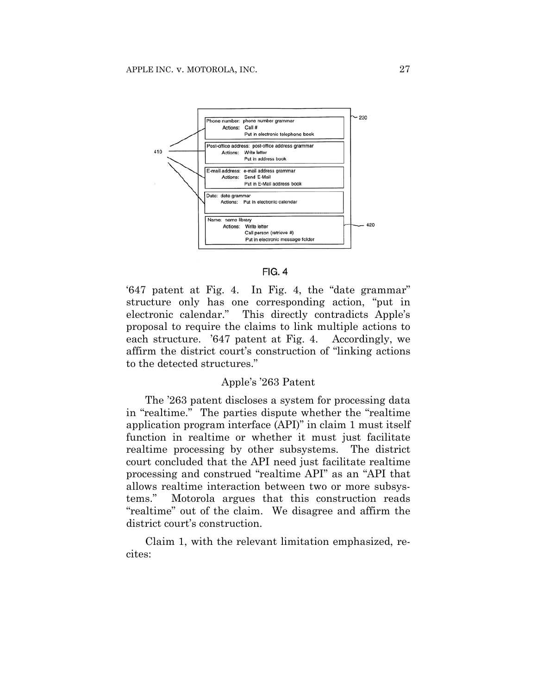

#### $FIG. 4$

'647 patent at Fig. 4. In Fig. 4, the "date grammar" structure only has one corresponding action, "put in electronic calendar." This directly contradicts Apple's proposal to require the claims to link multiple actions to each structure. '647 patent at Fig. 4. Accordingly, we affirm the district court's construction of "linking actions to the detected structures."

# Apple's '263 Patent

The '263 patent discloses a system for processing data in "realtime." The parties dispute whether the "realtime application program interface (API)" in claim 1 must itself function in realtime or whether it must just facilitate realtime processing by other subsystems. The district court concluded that the API need just facilitate realtime processing and construed "realtime API" as an "API that allows realtime interaction between two or more subsystems." Motorola argues that this construction reads "realtime" out of the claim. We disagree and affirm the district court's construction.

Claim 1, with the relevant limitation emphasized, recites: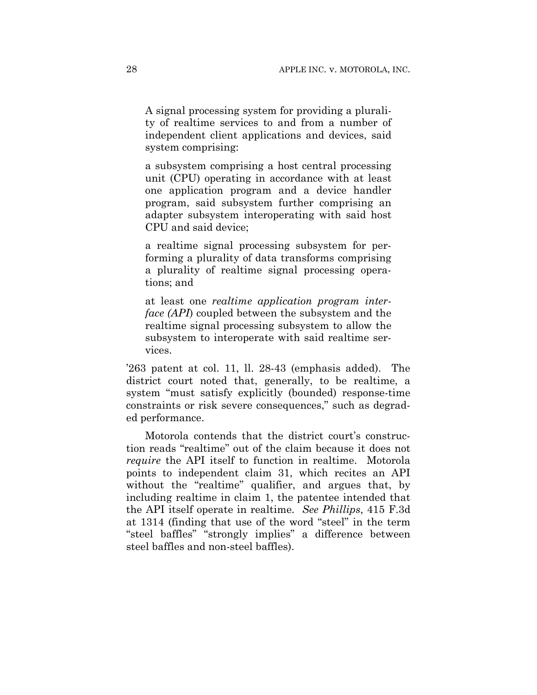A signal processing system for providing a plurality of realtime services to and from a number of independent client applications and devices, said system comprising:

a subsystem comprising a host central processing unit (CPU) operating in accordance with at least one application program and a device handler program, said subsystem further comprising an adapter subsystem interoperating with said host CPU and said device;

a realtime signal processing subsystem for performing a plurality of data transforms comprising a plurality of realtime signal processing operations; and

at least one *realtime application program interface (API*) coupled between the subsystem and the realtime signal processing subsystem to allow the subsystem to interoperate with said realtime services.

'263 patent at col. 11, ll. 28-43 (emphasis added). The district court noted that, generally, to be realtime, a system "must satisfy explicitly (bounded) response-time constraints or risk severe consequences," such as degraded performance.

Motorola contends that the district court's construction reads "realtime" out of the claim because it does not *require* the API itself to function in realtime. Motorola points to independent claim 31, which recites an API without the "realtime" qualifier, and argues that, by including realtime in claim 1, the patentee intended that the API itself operate in realtime. *See Phillips*, 415 F.3d at 1314 (finding that use of the word "steel" in the term "steel baffles" "strongly implies" a difference between steel baffles and non-steel baffles).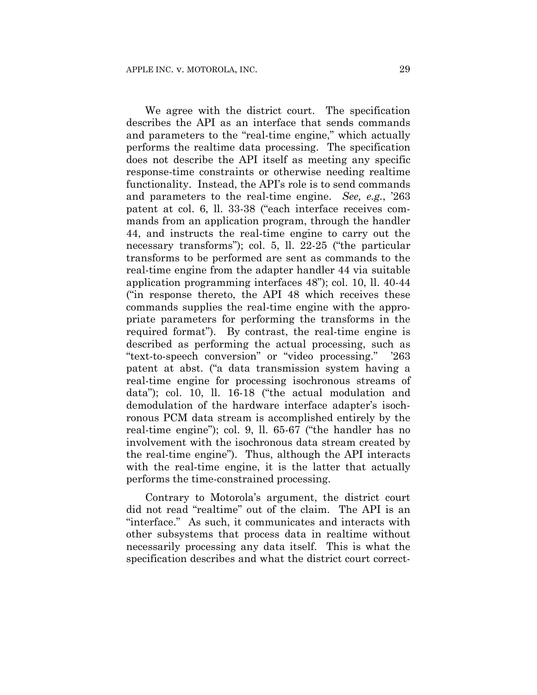We agree with the district court. The specification describes the API as an interface that sends commands and parameters to the "real-time engine," which actually performs the realtime data processing. The specification does not describe the API itself as meeting any specific response-time constraints or otherwise needing realtime functionality. Instead, the API's role is to send commands and parameters to the real-time engine. *See, e.g.*, '263 patent at col. 6, ll. 33-38 ("each interface receives commands from an application program, through the handler 44, and instructs the real-time engine to carry out the necessary transforms"); col. 5, ll. 22-25 ("the particular transforms to be performed are sent as commands to the real-time engine from the adapter handler 44 via suitable application programming interfaces 48"); col. 10, ll. 40-44 ("in response thereto, the API 48 which receives these commands supplies the real-time engine with the appropriate parameters for performing the transforms in the required format"). By contrast, the real-time engine is described as performing the actual processing, such as "text-to-speech conversion" or "video processing." '263 patent at abst. ("a data transmission system having a real-time engine for processing isochronous streams of data"); col. 10, ll. 16-18 ("the actual modulation and demodulation of the hardware interface adapter's isochronous PCM data stream is accomplished entirely by the real-time engine"); col. 9, ll. 65-67 ("the handler has no involvement with the isochronous data stream created by the real-time engine"). Thus, although the API interacts with the real-time engine, it is the latter that actually performs the time-constrained processing.

Contrary to Motorola's argument, the district court did not read "realtime" out of the claim. The API is an "interface." As such, it communicates and interacts with other subsystems that process data in realtime without necessarily processing any data itself. This is what the specification describes and what the district court correct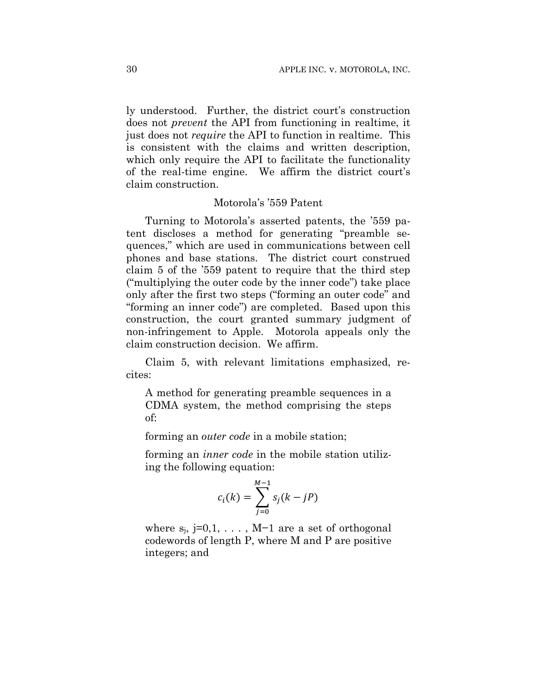ly understood. Further, the district court's construction does not *prevent* the API from functioning in realtime, it just does not *require* the API to function in realtime. This is consistent with the claims and written description, which only require the API to facilitate the functionality of the real-time engine. We affirm the district court's claim construction.

# Motorola's '559 Patent

Turning to Motorola's asserted patents, the '559 patent discloses a method for generating "preamble sequences," which are used in communications between cell phones and base stations. The district court construed claim 5 of the '559 patent to require that the third step ("multiplying the outer code by the inner code") take place only after the first two steps ("forming an outer code" and "forming an inner code") are completed. Based upon this construction, the court granted summary judgment of non-infringement to Apple. Motorola appeals only the claim construction decision. We affirm.

Claim 5, with relevant limitations emphasized, recites:

A method for generating preamble sequences in a CDMA system, the method comprising the steps of:

forming an *outer code* in a mobile station;

forming an *inner code* in the mobile station utilizing the following equation:

$$
c_i(k) = \sum_{j=0}^{M-1} s_j(k - jP)
$$

where  $s_i$ , j=0,1, ..., M−1 are a set of orthogonal codewords of length P, where M and P are positive integers; and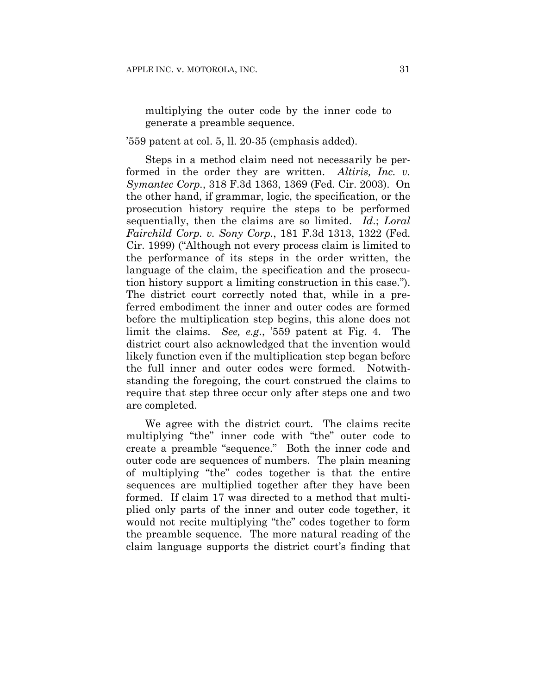multiplying the outer code by the inner code to generate a preamble sequence.

'559 patent at col. 5, ll. 20-35 (emphasis added).

Steps in a method claim need not necessarily be performed in the order they are written. *Altiris, Inc. v. Symantec Corp.*, 318 F.3d 1363, 1369 (Fed. Cir. 2003). On the other hand, if grammar, logic, the specification, or the prosecution history require the steps to be performed sequentially, then the claims are so limited. *Id*.; *Loral Fairchild Corp. v. Sony Corp.*, 181 F.3d 1313, 1322 (Fed. Cir. 1999) ("Although not every process claim is limited to the performance of its steps in the order written, the language of the claim, the specification and the prosecution history support a limiting construction in this case."). The district court correctly noted that, while in a preferred embodiment the inner and outer codes are formed before the multiplication step begins, this alone does not limit the claims. *See, e.g.*, '559 patent at Fig. 4. The district court also acknowledged that the invention would likely function even if the multiplication step began before the full inner and outer codes were formed. Notwithstanding the foregoing, the court construed the claims to require that step three occur only after steps one and two are completed.

We agree with the district court. The claims recite multiplying "the" inner code with "the" outer code to create a preamble "sequence." Both the inner code and outer code are sequences of numbers. The plain meaning of multiplying "the" codes together is that the entire sequences are multiplied together after they have been formed. If claim 17 was directed to a method that multiplied only parts of the inner and outer code together, it would not recite multiplying "the" codes together to form the preamble sequence. The more natural reading of the claim language supports the district court's finding that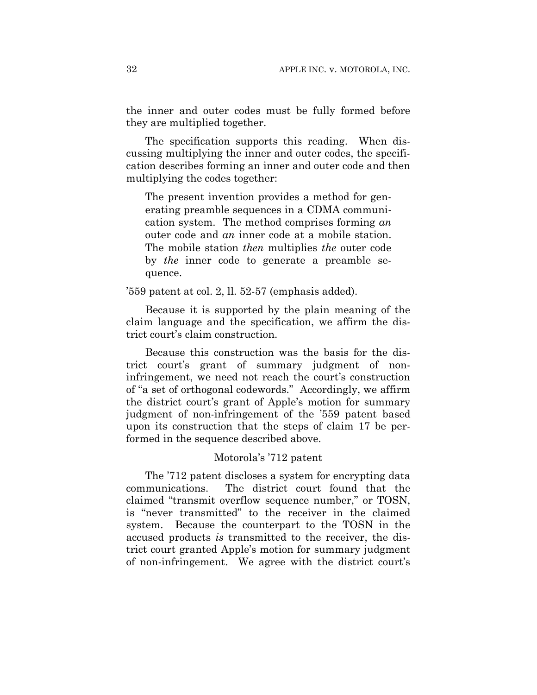the inner and outer codes must be fully formed before they are multiplied together.

The specification supports this reading. When discussing multiplying the inner and outer codes, the specification describes forming an inner and outer code and then multiplying the codes together:

The present invention provides a method for generating preamble sequences in a CDMA communication system. The method comprises forming *an* outer code and *an* inner code at a mobile station. The mobile station *then* multiplies *the* outer code by *the* inner code to generate a preamble sequence.

'559 patent at col. 2, ll. 52-57 (emphasis added).

Because it is supported by the plain meaning of the claim language and the specification, we affirm the district court's claim construction.

Because this construction was the basis for the district court's grant of summary judgment of noninfringement, we need not reach the court's construction of "a set of orthogonal codewords." Accordingly, we affirm the district court's grant of Apple's motion for summary judgment of non-infringement of the '559 patent based upon its construction that the steps of claim 17 be performed in the sequence described above.

# Motorola's '712 patent

The '712 patent discloses a system for encrypting data communications. The district court found that the claimed "transmit overflow sequence number," or TOSN, is "never transmitted" to the receiver in the claimed system. Because the counterpart to the TOSN in the accused products *is* transmitted to the receiver, the district court granted Apple's motion for summary judgment of non-infringement. We agree with the district court's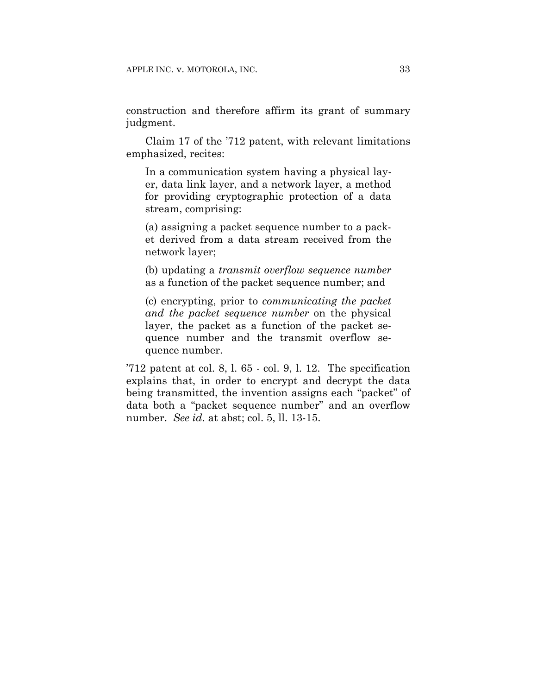construction and therefore affirm its grant of summary judgment.

Claim 17 of the '712 patent, with relevant limitations emphasized, recites:

In a communication system having a physical layer, data link layer, and a network layer, a method for providing cryptographic protection of a data stream, comprising:

(a) assigning a packet sequence number to a packet derived from a data stream received from the network layer;

(b) updating a *transmit overflow sequence number* as a function of the packet sequence number; and

(c) encrypting, prior to *communicating the packet and the packet sequence number* on the physical layer, the packet as a function of the packet sequence number and the transmit overflow sequence number.

'712 patent at col. 8, l. 65 - col. 9, l. 12. The specification explains that, in order to encrypt and decrypt the data being transmitted, the invention assigns each "packet" of data both a "packet sequence number" and an overflow number. *See id.* at abst; col. 5, ll. 13-15.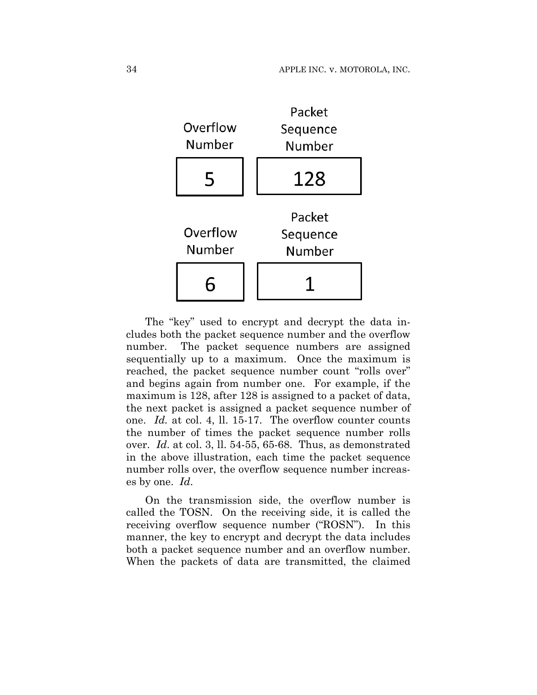

The "key" used to encrypt and decrypt the data includes both the packet sequence number and the overflow number. The packet sequence numbers are assigned sequentially up to a maximum. Once the maximum is reached, the packet sequence number count "rolls over" and begins again from number one. For example, if the maximum is 128, after 128 is assigned to a packet of data, the next packet is assigned a packet sequence number of one. *Id.* at col. 4, ll. 15-17. The overflow counter counts the number of times the packet sequence number rolls over. *Id*. at col. 3, ll. 54-55, 65-68. Thus, as demonstrated in the above illustration, each time the packet sequence number rolls over, the overflow sequence number increases by one. *Id*.

On the transmission side, the overflow number is called the TOSN. On the receiving side, it is called the receiving overflow sequence number ("ROSN"). In this manner, the key to encrypt and decrypt the data includes both a packet sequence number and an overflow number. When the packets of data are transmitted, the claimed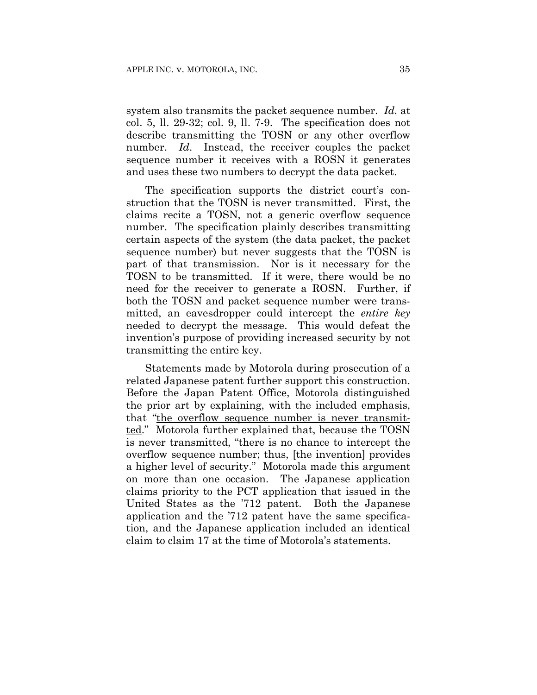system also transmits the packet sequence number. *Id.* at col. 5, ll. 29-32; col. 9, ll. 7-9. The specification does not describe transmitting the TOSN or any other overflow number. *Id*. Instead, the receiver couples the packet sequence number it receives with a ROSN it generates and uses these two numbers to decrypt the data packet.

The specification supports the district court's construction that the TOSN is never transmitted. First, the claims recite a TOSN, not a generic overflow sequence number. The specification plainly describes transmitting certain aspects of the system (the data packet, the packet sequence number) but never suggests that the TOSN is part of that transmission. Nor is it necessary for the TOSN to be transmitted. If it were, there would be no need for the receiver to generate a ROSN. Further, if both the TOSN and packet sequence number were transmitted, an eavesdropper could intercept the *entire key* needed to decrypt the message. This would defeat the invention's purpose of providing increased security by not transmitting the entire key.

Statements made by Motorola during prosecution of a related Japanese patent further support this construction. Before the Japan Patent Office, Motorola distinguished the prior art by explaining, with the included emphasis, that "the overflow sequence number is never transmitted." Motorola further explained that, because the TOSN is never transmitted, "there is no chance to intercept the overflow sequence number; thus, [the invention] provides a higher level of security." Motorola made this argument on more than one occasion. The Japanese application claims priority to the PCT application that issued in the United States as the '712 patent. Both the Japanese application and the '712 patent have the same specification, and the Japanese application included an identical claim to claim 17 at the time of Motorola's statements.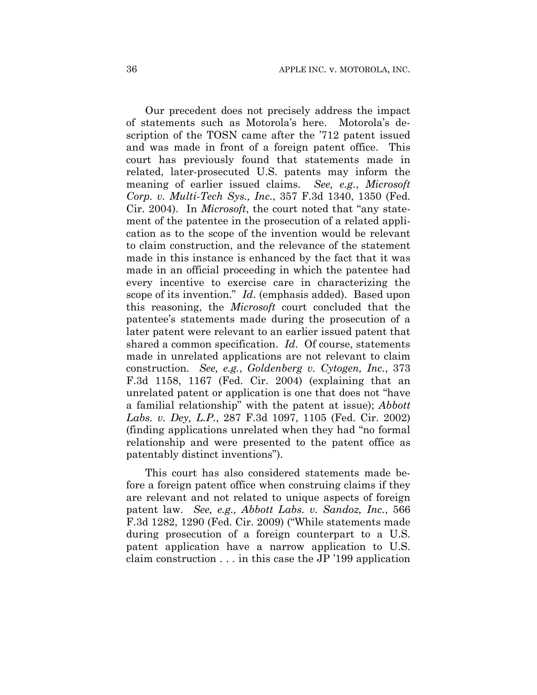Our precedent does not precisely address the impact of statements such as Motorola's here. Motorola's description of the TOSN came after the '712 patent issued and was made in front of a foreign patent office. This court has previously found that statements made in related, later-prosecuted U.S. patents may inform the meaning of earlier issued claims. *See, e.g.*, *Microsoft Corp. v. Multi-Tech Sys., Inc.*, 357 F.3d 1340, 1350 (Fed. Cir. 2004). In *Microsoft*, the court noted that "any statement of the patentee in the prosecution of a related application as to the scope of the invention would be relevant to claim construction, and the relevance of the statement made in this instance is enhanced by the fact that it was made in an official proceeding in which the patentee had every incentive to exercise care in characterizing the scope of its invention." *Id*. (emphasis added). Based upon this reasoning, the *Microsoft* court concluded that the patentee's statements made during the prosecution of a later patent were relevant to an earlier issued patent that shared a common specification. *Id*. Of course, statements made in unrelated applications are not relevant to claim construction. *See, e.g.*, *Goldenberg v. Cytogen, Inc.*, 373 F.3d 1158, 1167 (Fed. Cir. 2004) (explaining that an unrelated patent or application is one that does not "have a familial relationship" with the patent at issue); *Abbott Labs. v. Dey, L.P.*, 287 F.3d 1097, 1105 (Fed. Cir. 2002) (finding applications unrelated when they had "no formal relationship and were presented to the patent office as patentably distinct inventions").

This court has also considered statements made before a foreign patent office when construing claims if they are relevant and not related to unique aspects of foreign patent law. *See, e.g., Abbott Labs. v. Sandoz, Inc.*, 566 F.3d 1282, 1290 (Fed. Cir. 2009) ("While statements made during prosecution of a foreign counterpart to a U.S. patent application have a narrow application to U.S. claim construction . . . in this case the JP '199 application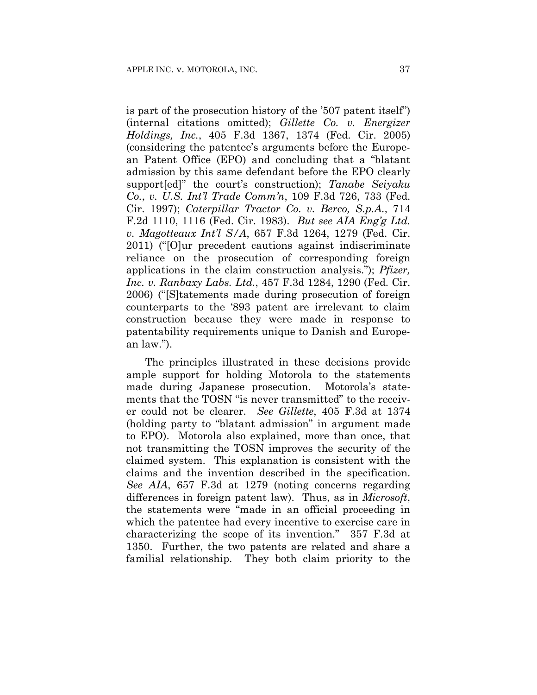is part of the prosecution history of the '507 patent itself") (internal citations omitted); *Gillette Co. v. Energizer Holdings, Inc.*, 405 F.3d 1367, 1374 (Fed. Cir. 2005) (considering the patentee's arguments before the European Patent Office (EPO) and concluding that a "blatant admission by this same defendant before the EPO clearly support[ed]" the court's construction); *Tanabe Seiyaku Co.*, *v. U.S. Int'l Trade Comm'n*, 109 F.3d 726, 733 (Fed. Cir. 1997); *Caterpillar Tractor Co. v. Berco, S.p.A.*, 714 F.2d 1110, 1116 (Fed. Cir. 1983). *But see AIA Eng'g Ltd. v. Magotteaux Int'l S/A*, 657 F.3d 1264, 1279 (Fed. Cir. 2011) ("[O]ur precedent cautions against indiscriminate reliance on the prosecution of corresponding foreign applications in the claim construction analysis."); *Pfizer, Inc. v. Ranbaxy Labs. Ltd.*, 457 F.3d 1284, 1290 (Fed. Cir. 2006) ("[S]tatements made during prosecution of foreign counterparts to the '893 patent are irrelevant to claim construction because they were made in response to patentability requirements unique to Danish and European law.").

The principles illustrated in these decisions provide ample support for holding Motorola to the statements made during Japanese prosecution. Motorola's statements that the TOSN "is never transmitted" to the receiver could not be clearer. *See Gillette*, 405 F.3d at 1374 (holding party to "blatant admission" in argument made to EPO). Motorola also explained, more than once, that not transmitting the TOSN improves the security of the claimed system. This explanation is consistent with the claims and the invention described in the specification. *See AIA*, 657 F.3d at 1279 (noting concerns regarding differences in foreign patent law). Thus, as in *Microsoft*, the statements were "made in an official proceeding in which the patentee had every incentive to exercise care in characterizing the scope of its invention." 357 F.3d at 1350. Further, the two patents are related and share a familial relationship. They both claim priority to the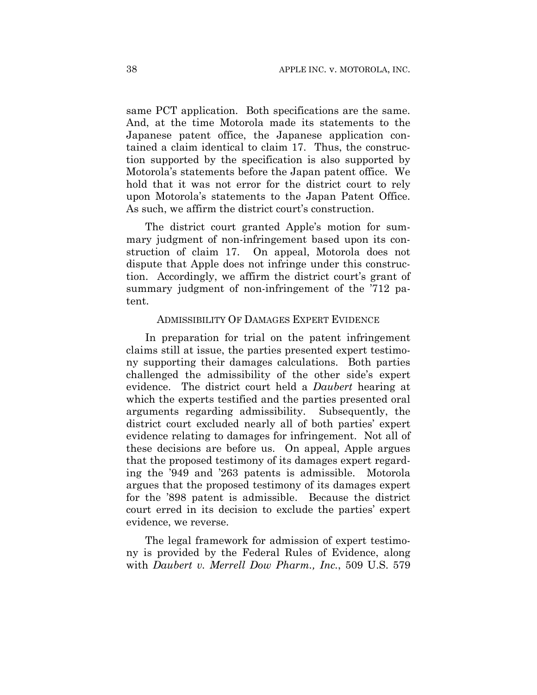same PCT application. Both specifications are the same. And, at the time Motorola made its statements to the Japanese patent office, the Japanese application contained a claim identical to claim 17. Thus, the construction supported by the specification is also supported by Motorola's statements before the Japan patent office. We hold that it was not error for the district court to rely upon Motorola's statements to the Japan Patent Office. As such, we affirm the district court's construction.

The district court granted Apple's motion for summary judgment of non-infringement based upon its construction of claim 17. On appeal, Motorola does not dispute that Apple does not infringe under this construction. Accordingly, we affirm the district court's grant of summary judgment of non-infringement of the '712 patent.

## ADMISSIBILITY OF DAMAGES EXPERT EVIDENCE

In preparation for trial on the patent infringement claims still at issue, the parties presented expert testimony supporting their damages calculations. Both parties challenged the admissibility of the other side's expert evidence. The district court held a *Daubert* hearing at which the experts testified and the parties presented oral arguments regarding admissibility. Subsequently, the district court excluded nearly all of both parties' expert evidence relating to damages for infringement. Not all of these decisions are before us. On appeal, Apple argues that the proposed testimony of its damages expert regarding the '949 and '263 patents is admissible. Motorola argues that the proposed testimony of its damages expert for the '898 patent is admissible. Because the district court erred in its decision to exclude the parties' expert evidence, we reverse.

The legal framework for admission of expert testimony is provided by the Federal Rules of Evidence, along with *Daubert v. Merrell Dow Pharm., Inc.*, 509 U.S. 579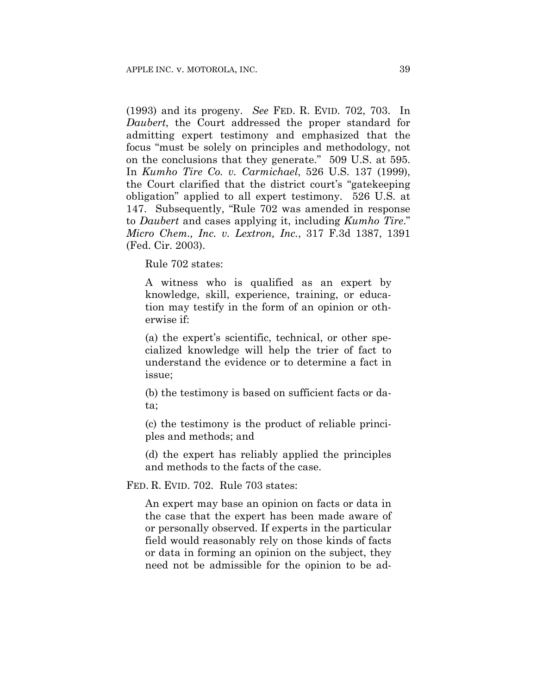(1993) and its progeny. *See* FED. R. EVID. 702, 703. In *Daubert*, the Court addressed the proper standard for admitting expert testimony and emphasized that the focus "must be solely on principles and methodology, not on the conclusions that they generate." 509 U.S. at 595. In *Kumho Tire Co. v. Carmichael*, 526 U.S. 137 (1999), the Court clarified that the district court's "gatekeeping obligation" applied to all expert testimony. 526 U.S. at 147. Subsequently, "Rule 702 was amended in response to *Daubert* and cases applying it, including *Kumho Tire*." *Micro Chem., Inc. v. Lextron, Inc.*, 317 F.3d 1387, 1391 (Fed. Cir. 2003).

Rule 702 states:

A witness who is qualified as an expert by knowledge, skill, experience, training, or education may testify in the form of an opinion or otherwise if:

(a) the expert's scientific, technical, or other specialized knowledge will help the trier of fact to understand the evidence or to determine a fact in issue;

(b) the testimony is based on sufficient facts or data;

(c) the testimony is the product of reliable principles and methods; and

(d) the expert has reliably applied the principles and methods to the facts of the case.

FED. R. EVID. 702. Rule 703 states:

An expert may base an opinion on facts or data in the case that the expert has been made aware of or personally observed. If experts in the particular field would reasonably rely on those kinds of facts or data in forming an opinion on the subject, they need not be admissible for the opinion to be ad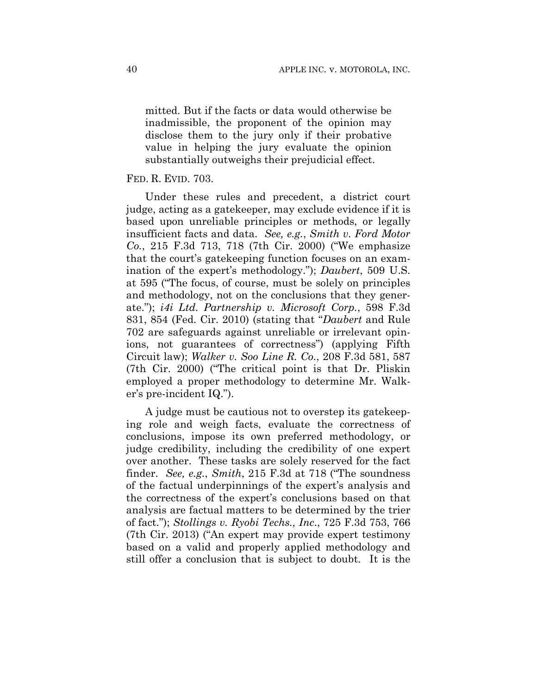mitted. But if the facts or data would otherwise be inadmissible, the proponent of the opinion may disclose them to the jury only if their probative value in helping the jury evaluate the opinion substantially outweighs their prejudicial effect.

## FED. R. EVID. 703.

Under these rules and precedent, a district court judge, acting as a gatekeeper, may exclude evidence if it is based upon unreliable principles or methods, or legally insufficient facts and data. *See, e.g.*, *Smith v. Ford Motor Co.*, 215 F.3d 713, 718 (7th Cir. 2000) ("We emphasize that the court's gatekeeping function focuses on an examination of the expert's methodology."); *Daubert*, 509 U.S. at 595 ("The focus, of course, must be solely on principles and methodology, not on the conclusions that they generate."); *i4i Ltd. Partnership v. Microsoft Corp.*, 598 F.3d 831, 854 (Fed. Cir. 2010) (stating that "*Daubert* and Rule 702 are safeguards against unreliable or irrelevant opinions, not guarantees of correctness") (applying Fifth Circuit law); *Walker v. Soo Line R. Co.*, 208 F.3d 581, 587 (7th Cir. 2000) ("The critical point is that Dr. Pliskin employed a proper methodology to determine Mr. Walker's pre-incident IQ.").

A judge must be cautious not to overstep its gatekeeping role and weigh facts, evaluate the correctness of conclusions, impose its own preferred methodology, or judge credibility, including the credibility of one expert over another. These tasks are solely reserved for the fact finder. *See, e.g.*, *Smith*, 215 F.3d at 718 ("The soundness of the factual underpinnings of the expert's analysis and the correctness of the expert's conclusions based on that analysis are factual matters to be determined by the trier of fact."); *Stollings v. Ryobi Techs., Inc*., 725 F.3d 753, 766 (7th Cir. 2013) ("An expert may provide expert testimony based on a valid and properly applied methodology and still offer a conclusion that is subject to doubt. It is the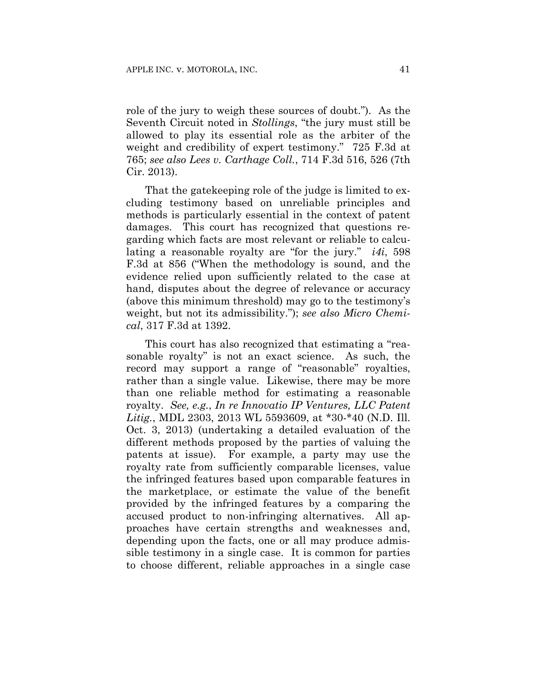role of the jury to weigh these sources of doubt."). As the Seventh Circuit noted in *Stollings*, "the jury must still be allowed to play its essential role as the arbiter of the weight and credibility of expert testimony." 725 F.3d at 765; *see also Lees v. Carthage Coll.*, 714 F.3d 516, 526 (7th Cir. 2013).

That the gatekeeping role of the judge is limited to excluding testimony based on unreliable principles and methods is particularly essential in the context of patent damages. This court has recognized that questions regarding which facts are most relevant or reliable to calculating a reasonable royalty are "for the jury." *i4i*, 598 F.3d at 856 ("When the methodology is sound, and the evidence relied upon sufficiently related to the case at hand, disputes about the degree of relevance or accuracy (above this minimum threshold) may go to the testimony's weight, but not its admissibility."); *see also Micro Chemical*, 317 F.3d at 1392.

This court has also recognized that estimating a "reasonable royalty" is not an exact science. As such, the record may support a range of "reasonable" royalties, rather than a single value. Likewise, there may be more than one reliable method for estimating a reasonable royalty. *See, e.g.*, *In re Innovatio IP Ventures, LLC Patent Litig.*, MDL 2303, 2013 WL 5593609, at \*30-\*40 (N.D. Ill. Oct. 3, 2013) (undertaking a detailed evaluation of the different methods proposed by the parties of valuing the patents at issue). For example, a party may use the royalty rate from sufficiently comparable licenses, value the infringed features based upon comparable features in the marketplace, or estimate the value of the benefit provided by the infringed features by a comparing the accused product to non-infringing alternatives. All approaches have certain strengths and weaknesses and, depending upon the facts, one or all may produce admissible testimony in a single case. It is common for parties to choose different, reliable approaches in a single case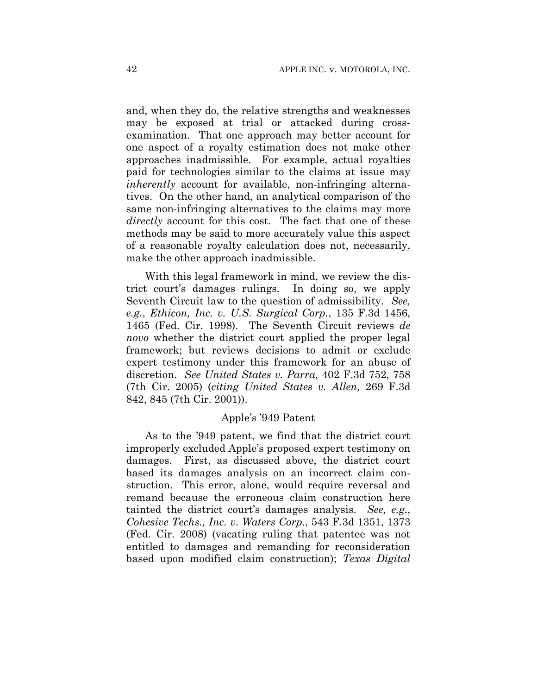and, when they do, the relative strengths and weaknesses may be exposed at trial or attacked during crossexamination. That one approach may better account for one aspect of a royalty estimation does not make other approaches inadmissible. For example, actual royalties paid for technologies similar to the claims at issue may *inherently* account for available, non-infringing alternatives. On the other hand, an analytical comparison of the same non-infringing alternatives to the claims may more *directly* account for this cost. The fact that one of these methods may be said to more accurately value this aspect of a reasonable royalty calculation does not, necessarily, make the other approach inadmissible.

With this legal framework in mind, we review the district court's damages rulings. In doing so, we apply Seventh Circuit law to the question of admissibility. *See, e.g.*, *Ethicon, Inc. v. U.S. Surgical Corp.*, 135 F.3d 1456, 1465 (Fed. Cir. 1998). The Seventh Circuit reviews *de novo* whether the district court applied the proper legal framework; but reviews decisions to admit or exclude expert testimony under this framework for an abuse of discretion. *See United States v. Parra*, 402 F.3d 752, 758 (7th Cir. 2005) (*citing United States v. Allen,* 269 F.3d 842, 845 (7th Cir. 2001)).

## Apple's '949 Patent

As to the '949 patent, we find that the district court improperly excluded Apple's proposed expert testimony on damages. First, as discussed above, the district court based its damages analysis on an incorrect claim construction. This error, alone, would require reversal and remand because the erroneous claim construction here tainted the district court's damages analysis. *See, e.g.*, *Cohesive Techs., Inc. v. Waters Corp.*, 543 F.3d 1351, 1373 (Fed. Cir. 2008) (vacating ruling that patentee was not entitled to damages and remanding for reconsideration based upon modified claim construction); *Texas Digital*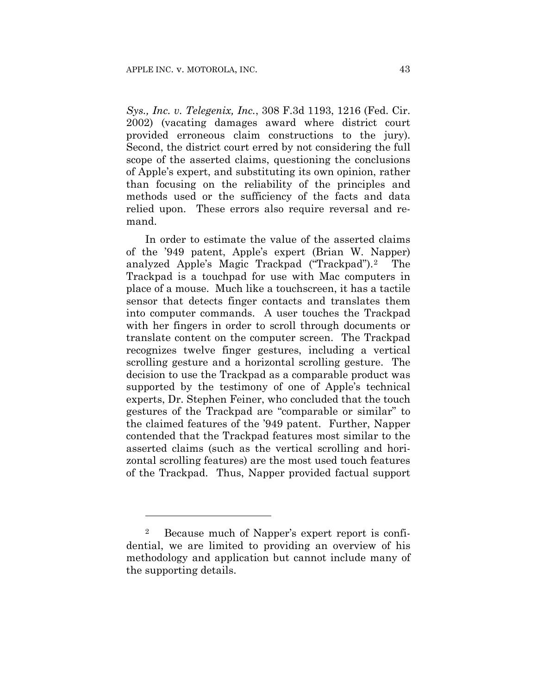*Sys., Inc. v. Telegenix, Inc.*, 308 F.3d 1193, 1216 (Fed. Cir. 2002) (vacating damages award where district court provided erroneous claim constructions to the jury). Second, the district court erred by not considering the full scope of the asserted claims, questioning the conclusions of Apple's expert, and substituting its own opinion, rather than focusing on the reliability of the principles and methods used or the sufficiency of the facts and data relied upon. These errors also require reversal and remand.

In order to estimate the value of the asserted claims of the '949 patent, Apple's expert (Brian W. Napper) analyzed Apple's Magic Trackpad ("Trackpad").2 The Trackpad is a touchpad for use with Mac computers in place of a mouse. Much like a touchscreen, it has a tactile sensor that detects finger contacts and translates them into computer commands. A user touches the Trackpad with her fingers in order to scroll through documents or translate content on the computer screen. The Trackpad recognizes twelve finger gestures, including a vertical scrolling gesture and a horizontal scrolling gesture. The decision to use the Trackpad as a comparable product was supported by the testimony of one of Apple's technical experts, Dr. Stephen Feiner, who concluded that the touch gestures of the Trackpad are "comparable or similar" to the claimed features of the '949 patent. Further, Napper contended that the Trackpad features most similar to the asserted claims (such as the vertical scrolling and horizontal scrolling features) are the most used touch features of the Trackpad. Thus, Napper provided factual support

<u>.</u>

<sup>2</sup> Because much of Napper's expert report is confidential, we are limited to providing an overview of his methodology and application but cannot include many of the supporting details.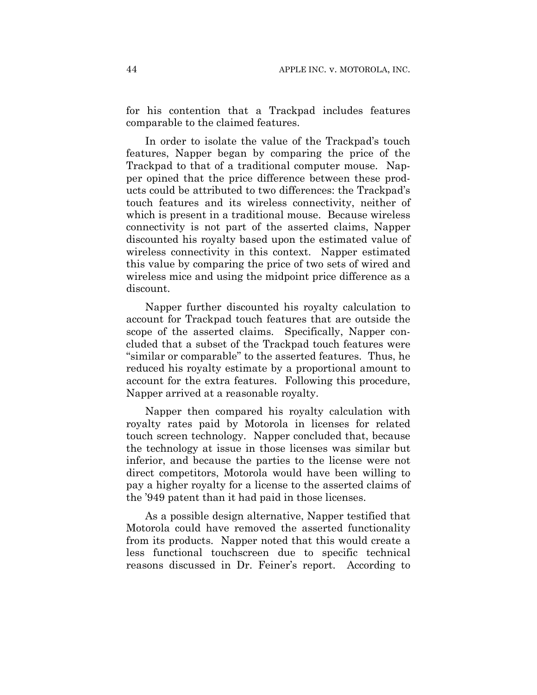for his contention that a Trackpad includes features comparable to the claimed features.

In order to isolate the value of the Trackpad's touch features, Napper began by comparing the price of the Trackpad to that of a traditional computer mouse. Napper opined that the price difference between these products could be attributed to two differences: the Trackpad's touch features and its wireless connectivity, neither of which is present in a traditional mouse. Because wireless connectivity is not part of the asserted claims, Napper discounted his royalty based upon the estimated value of wireless connectivity in this context. Napper estimated this value by comparing the price of two sets of wired and wireless mice and using the midpoint price difference as a discount.

Napper further discounted his royalty calculation to account for Trackpad touch features that are outside the scope of the asserted claims. Specifically, Napper concluded that a subset of the Trackpad touch features were "similar or comparable" to the asserted features.Thus, he reduced his royalty estimate by a proportional amount to account for the extra features. Following this procedure, Napper arrived at a reasonable royalty.

Napper then compared his royalty calculation with royalty rates paid by Motorola in licenses for related touch screen technology. Napper concluded that, because the technology at issue in those licenses was similar but inferior, and because the parties to the license were not direct competitors, Motorola would have been willing to pay a higher royalty for a license to the asserted claims of the '949 patent than it had paid in those licenses.

As a possible design alternative, Napper testified that Motorola could have removed the asserted functionality from its products. Napper noted that this would create a less functional touchscreen due to specific technical reasons discussed in Dr. Feiner's report. According to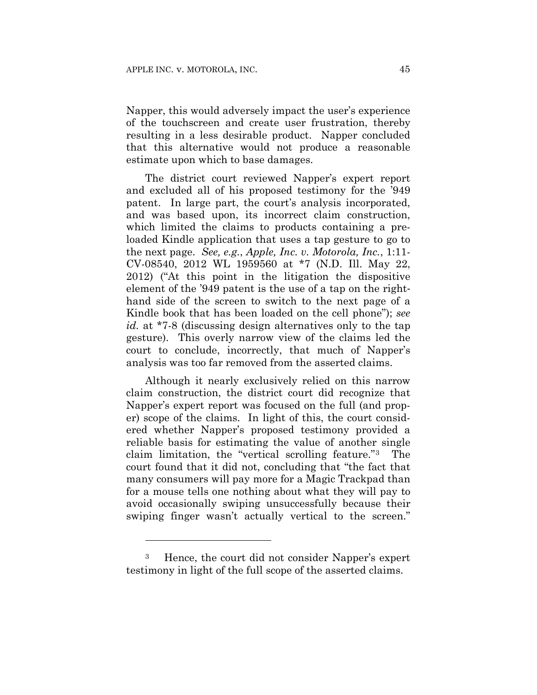Napper, this would adversely impact the user's experience of the touchscreen and create user frustration, thereby resulting in a less desirable product. Napper concluded that this alternative would not produce a reasonable estimate upon which to base damages.

The district court reviewed Napper's expert report and excluded all of his proposed testimony for the '949 patent. In large part, the court's analysis incorporated, and was based upon, its incorrect claim construction, which limited the claims to products containing a preloaded Kindle application that uses a tap gesture to go to the next page. *See, e.g.*, *Apple, Inc. v. Motorola, Inc.*, 1:11- CV-08540, 2012 WL 1959560 at \*7 (N.D. Ill. May 22, 2012) ("At this point in the litigation the dispositive element of the '949 patent is the use of a tap on the righthand side of the screen to switch to the next page of a Kindle book that has been loaded on the cell phone"); *see id.* at \*7-8 (discussing design alternatives only to the tap gesture). This overly narrow view of the claims led the court to conclude, incorrectly, that much of Napper's analysis was too far removed from the asserted claims.

Although it nearly exclusively relied on this narrow claim construction, the district court did recognize that Napper's expert report was focused on the full (and proper) scope of the claims. In light of this, the court considered whether Napper's proposed testimony provided a reliable basis for estimating the value of another single claim limitation, the "vertical scrolling feature."3 The court found that it did not, concluding that "the fact that many consumers will pay more for a Magic Trackpad than for a mouse tells one nothing about what they will pay to avoid occasionally swiping unsuccessfully because their swiping finger wasn't actually vertical to the screen."

1

<sup>3</sup> Hence, the court did not consider Napper's expert testimony in light of the full scope of the asserted claims.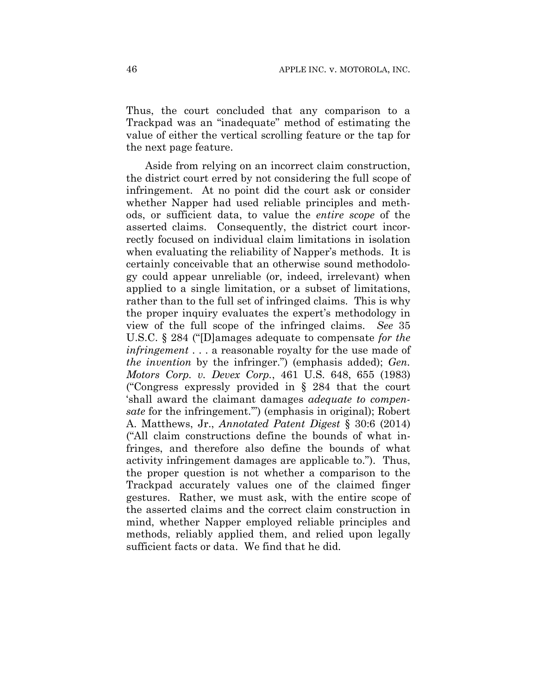Thus, the court concluded that any comparison to a Trackpad was an "inadequate" method of estimating the value of either the vertical scrolling feature or the tap for the next page feature.

Aside from relying on an incorrect claim construction, the district court erred by not considering the full scope of infringement. At no point did the court ask or consider whether Napper had used reliable principles and methods, or sufficient data, to value the *entire scope* of the asserted claims. Consequently, the district court incorrectly focused on individual claim limitations in isolation when evaluating the reliability of Napper's methods. It is certainly conceivable that an otherwise sound methodology could appear unreliable (or, indeed, irrelevant) when applied to a single limitation, or a subset of limitations, rather than to the full set of infringed claims. This is why the proper inquiry evaluates the expert's methodology in view of the full scope of the infringed claims. *See* 35 U.S.C. § 284 ("[D]amages adequate to compensate *for the infringement* . . . a reasonable royalty for the use made of *the invention* by the infringer.") (emphasis added); *Gen. Motors Corp. v. Devex Corp.*, 461 U.S. 648, 655 (1983) ("Congress expressly provided in § 284 that the court 'shall award the claimant damages *adequate to compensate* for the infringement.'") (emphasis in original); Robert A. Matthews, Jr., *Annotated Patent Digest* § 30:6 (2014) ("All claim constructions define the bounds of what infringes, and therefore also define the bounds of what activity infringement damages are applicable to."). Thus, the proper question is not whether a comparison to the Trackpad accurately values one of the claimed finger gestures. Rather, we must ask, with the entire scope of the asserted claims and the correct claim construction in mind, whether Napper employed reliable principles and methods, reliably applied them, and relied upon legally sufficient facts or data. We find that he did.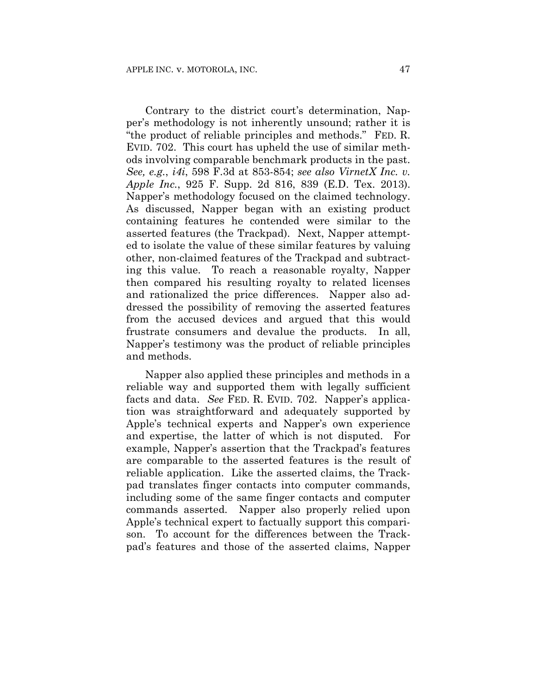Contrary to the district court's determination, Napper's methodology is not inherently unsound; rather it is "the product of reliable principles and methods." FED. R. EVID. 702. This court has upheld the use of similar methods involving comparable benchmark products in the past. *See, e.g.*, *i4i*, 598 F.3d at 853-854; *see also VirnetX Inc. v. Apple Inc.*, 925 F. Supp. 2d 816, 839 (E.D. Tex. 2013). Napper's methodology focused on the claimed technology. As discussed, Napper began with an existing product containing features he contended were similar to the asserted features (the Trackpad). Next, Napper attempted to isolate the value of these similar features by valuing other, non-claimed features of the Trackpad and subtracting this value. To reach a reasonable royalty, Napper then compared his resulting royalty to related licenses and rationalized the price differences. Napper also addressed the possibility of removing the asserted features from the accused devices and argued that this would frustrate consumers and devalue the products. In all, Napper's testimony was the product of reliable principles and methods.

Napper also applied these principles and methods in a reliable way and supported them with legally sufficient facts and data. *See* FED. R. EVID. 702. Napper's application was straightforward and adequately supported by Apple's technical experts and Napper's own experience and expertise, the latter of which is not disputed. For example, Napper's assertion that the Trackpad's features are comparable to the asserted features is the result of reliable application. Like the asserted claims, the Trackpad translates finger contacts into computer commands, including some of the same finger contacts and computer commands asserted. Napper also properly relied upon Apple's technical expert to factually support this comparison. To account for the differences between the Trackpad's features and those of the asserted claims, Napper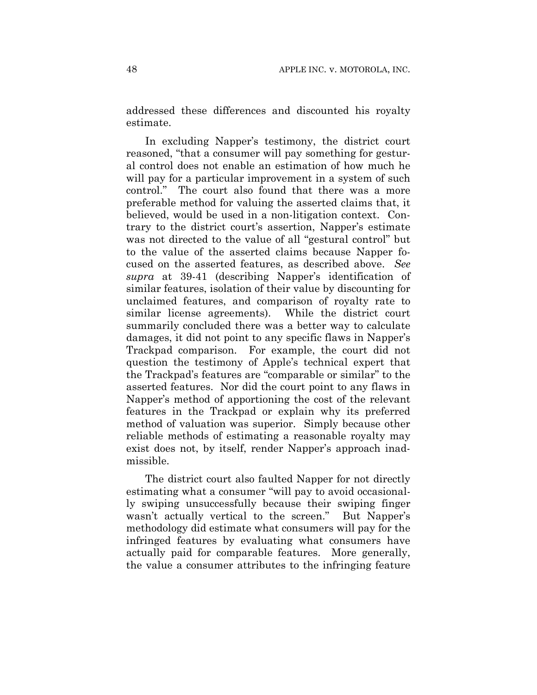addressed these differences and discounted his royalty estimate.

In excluding Napper's testimony, the district court reasoned, "that a consumer will pay something for gestural control does not enable an estimation of how much he will pay for a particular improvement in a system of such control." The court also found that there was a more preferable method for valuing the asserted claims that, it believed, would be used in a non-litigation context. Contrary to the district court's assertion, Napper's estimate was not directed to the value of all "gestural control" but to the value of the asserted claims because Napper focused on the asserted features, as described above. *See supra* at 39-41 (describing Napper's identification of similar features, isolation of their value by discounting for unclaimed features, and comparison of royalty rate to similar license agreements). While the district court summarily concluded there was a better way to calculate damages, it did not point to any specific flaws in Napper's Trackpad comparison. For example, the court did not question the testimony of Apple's technical expert that the Trackpad's features are "comparable or similar" to the asserted features. Nor did the court point to any flaws in Napper's method of apportioning the cost of the relevant features in the Trackpad or explain why its preferred method of valuation was superior. Simply because other reliable methods of estimating a reasonable royalty may exist does not, by itself, render Napper's approach inadmissible.

The district court also faulted Napper for not directly estimating what a consumer "will pay to avoid occasionally swiping unsuccessfully because their swiping finger wasn't actually vertical to the screen." But Napper's methodology did estimate what consumers will pay for the infringed features by evaluating what consumers have actually paid for comparable features. More generally, the value a consumer attributes to the infringing feature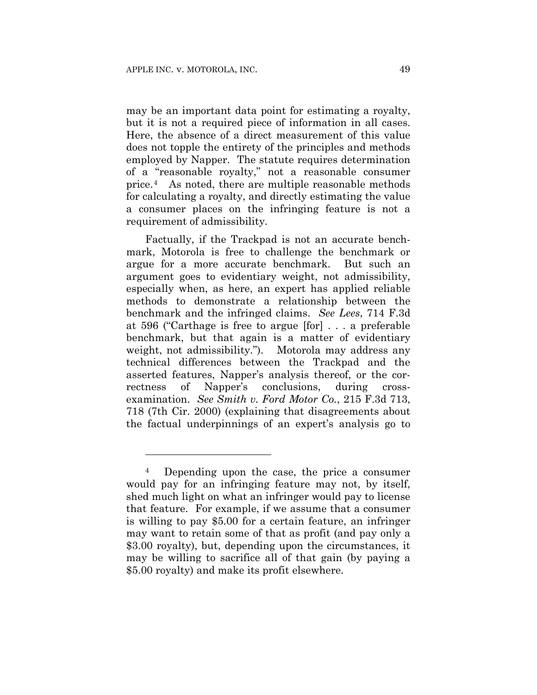1

may be an important data point for estimating a royalty, but it is not a required piece of information in all cases. Here, the absence of a direct measurement of this value does not topple the entirety of the principles and methods employed by Napper. The statute requires determination of a "reasonable royalty," not a reasonable consumer price.4 As noted, there are multiple reasonable methods for calculating a royalty, and directly estimating the value a consumer places on the infringing feature is not a requirement of admissibility.

Factually, if the Trackpad is not an accurate benchmark, Motorola is free to challenge the benchmark or argue for a more accurate benchmark. But such an argument goes to evidentiary weight, not admissibility, especially when, as here, an expert has applied reliable methods to demonstrate a relationship between the benchmark and the infringed claims. *See Lees*, 714 F.3d at 596 ("Carthage is free to argue [for] . . . a preferable benchmark, but that again is a matter of evidentiary weight, not admissibility."). Motorola may address any technical differences between the Trackpad and the asserted features, Napper's analysis thereof, or the correctness of Napper's conclusions, during crossexamination. *See Smith v. Ford Motor Co.*, 215 F.3d 713, 718 (7th Cir. 2000) (explaining that disagreements about the factual underpinnings of an expert's analysis go to

<sup>4</sup> Depending upon the case, the price a consumer would pay for an infringing feature may not, by itself, shed much light on what an infringer would pay to license that feature. For example, if we assume that a consumer is willing to pay \$5.00 for a certain feature, an infringer may want to retain some of that as profit (and pay only a \$3.00 royalty), but, depending upon the circumstances, it may be willing to sacrifice all of that gain (by paying a \$5.00 royalty) and make its profit elsewhere.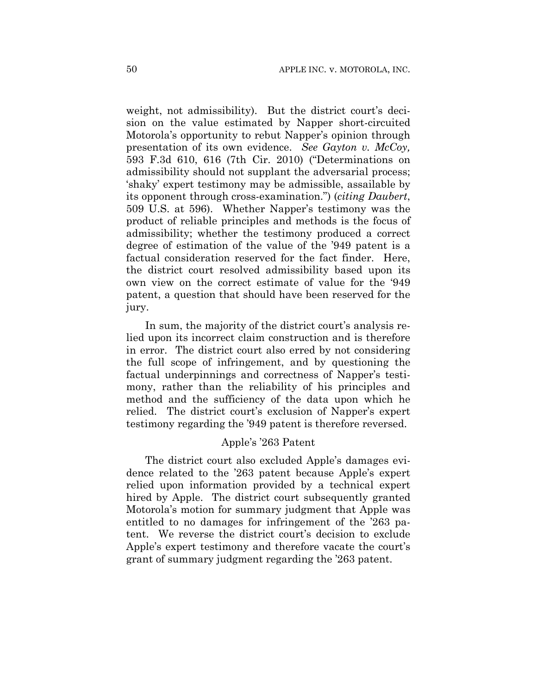weight, not admissibility). But the district court's decision on the value estimated by Napper short-circuited Motorola's opportunity to rebut Napper's opinion through presentation of its own evidence. *See Gayton v. McCoy,* 593 F.3d 610, 616 (7th Cir. 2010) ("Determinations on admissibility should not supplant the adversarial process; 'shaky' expert testimony may be admissible, assailable by its opponent through cross-examination.") (*citing Daubert*, 509 U.S. at 596). Whether Napper's testimony was the product of reliable principles and methods is the focus of admissibility; whether the testimony produced a correct degree of estimation of the value of the '949 patent is a factual consideration reserved for the fact finder. Here, the district court resolved admissibility based upon its own view on the correct estimate of value for the '949 patent, a question that should have been reserved for the jury.

In sum, the majority of the district court's analysis relied upon its incorrect claim construction and is therefore in error. The district court also erred by not considering the full scope of infringement, and by questioning the factual underpinnings and correctness of Napper's testimony, rather than the reliability of his principles and method and the sufficiency of the data upon which he relied. The district court's exclusion of Napper's expert testimony regarding the '949 patent is therefore reversed.

## Apple's '263 Patent

The district court also excluded Apple's damages evidence related to the '263 patent because Apple's expert relied upon information provided by a technical expert hired by Apple. The district court subsequently granted Motorola's motion for summary judgment that Apple was entitled to no damages for infringement of the '263 patent. We reverse the district court's decision to exclude Apple's expert testimony and therefore vacate the court's grant of summary judgment regarding the '263 patent.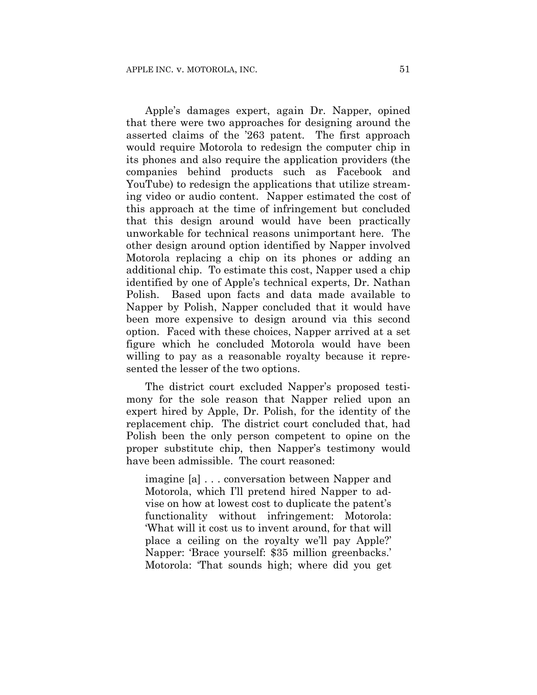Apple's damages expert, again Dr. Napper, opined that there were two approaches for designing around the asserted claims of the '263 patent. The first approach would require Motorola to redesign the computer chip in its phones and also require the application providers (the companies behind products such as Facebook and YouTube) to redesign the applications that utilize streaming video or audio content. Napper estimated the cost of this approach at the time of infringement but concluded that this design around would have been practically unworkable for technical reasons unimportant here. The other design around option identified by Napper involved Motorola replacing a chip on its phones or adding an additional chip. To estimate this cost, Napper used a chip identified by one of Apple's technical experts, Dr. Nathan Polish. Based upon facts and data made available to Napper by Polish, Napper concluded that it would have been more expensive to design around via this second option. Faced with these choices, Napper arrived at a set figure which he concluded Motorola would have been willing to pay as a reasonable royalty because it represented the lesser of the two options.

The district court excluded Napper's proposed testimony for the sole reason that Napper relied upon an expert hired by Apple, Dr. Polish, for the identity of the replacement chip. The district court concluded that, had Polish been the only person competent to opine on the proper substitute chip, then Napper's testimony would have been admissible. The court reasoned:

imagine [a] . . . conversation between Napper and Motorola, which I'll pretend hired Napper to advise on how at lowest cost to duplicate the patent's functionality without infringement: Motorola: 'What will it cost us to invent around, for that will place a ceiling on the royalty we'll pay Apple?' Napper: 'Brace yourself: \$35 million greenbacks.' Motorola: 'That sounds high; where did you get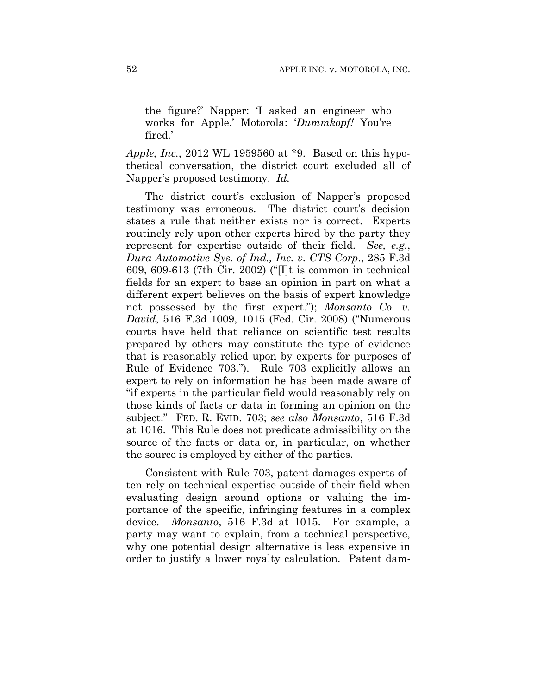the figure?' Napper: 'I asked an engineer who works for Apple.' Motorola: '*Dummkopf!* You're fired.'

*Apple, Inc.*, 2012 WL 1959560 at \*9. Based on this hypothetical conversation, the district court excluded all of Napper's proposed testimony. *Id.*

The district court's exclusion of Napper's proposed testimony was erroneous. The district court's decision states a rule that neither exists nor is correct. Experts routinely rely upon other experts hired by the party they represent for expertise outside of their field. *See, e.g.*, *Dura Automotive Sys. of Ind., Inc. v. CTS Corp*., 285 F.3d 609, 609-613 (7th Cir. 2002) ("[I]t is common in technical fields for an expert to base an opinion in part on what a different expert believes on the basis of expert knowledge not possessed by the first expert."); *Monsanto Co. v. David*, 516 F.3d 1009, 1015 (Fed. Cir. 2008) ("Numerous courts have held that reliance on scientific test results prepared by others may constitute the type of evidence that is reasonably relied upon by experts for purposes of Rule of Evidence 703."). Rule 703 explicitly allows an expert to rely on information he has been made aware of "if experts in the particular field would reasonably rely on those kinds of facts or data in forming an opinion on the subject." FED. R. EVID. 703; *see also Monsanto*, 516 F.3d at 1016. This Rule does not predicate admissibility on the source of the facts or data or, in particular, on whether the source is employed by either of the parties.

Consistent with Rule 703, patent damages experts often rely on technical expertise outside of their field when evaluating design around options or valuing the importance of the specific, infringing features in a complex device. *Monsanto*, 516 F.3d at 1015. For example, a party may want to explain, from a technical perspective, why one potential design alternative is less expensive in order to justify a lower royalty calculation. Patent dam-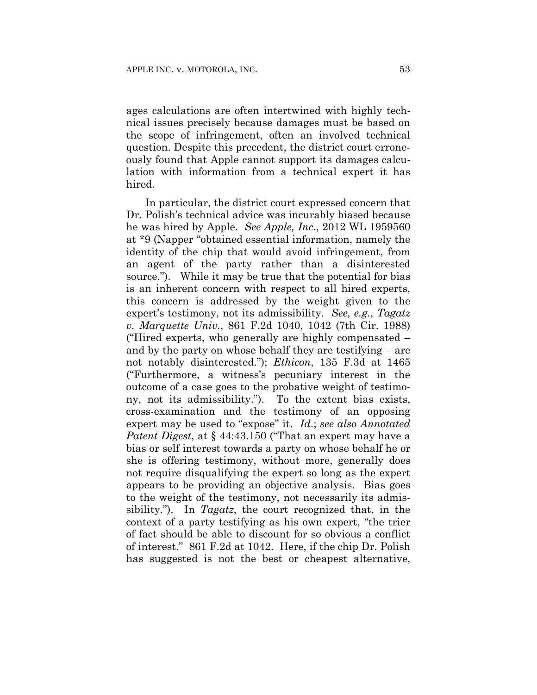ages calculations are often intertwined with highly technical issues precisely because damages must be based on the scope of infringement, often an involved technical question. Despite this precedent, the district court erroneously found that Apple cannot support its damages calculation with information from a technical expert it has hired.

In particular, the district court expressed concern that Dr. Polish's technical advice was incurably biased because he was hired by Apple. *See Apple, Inc.*, 2012 WL 1959560 at \*9 (Napper "obtained essential information, namely the identity of the chip that would avoid infringement, from an agent of the party rather than a disinterested source."). While it may be true that the potential for bias is an inherent concern with respect to all hired experts, this concern is addressed by the weight given to the expert's testimony, not its admissibility. *See, e.g.*, *Tagatz v. Marquette Univ.*, 861 F.2d 1040, 1042 (7th Cir. 1988) ("Hired experts, who generally are highly compensated – and by the party on whose behalf they are testifying – are not notably disinterested."); *Ethicon*, 135 F.3d at 1465 ("Furthermore, a witness's pecuniary interest in the outcome of a case goes to the probative weight of testimony, not its admissibility."). To the extent bias exists, cross-examination and the testimony of an opposing expert may be used to "expose" it. *Id*.; *see also Annotated Patent Digest*, at § 44:43.150 ("That an expert may have a bias or self interest towards a party on whose behalf he or she is offering testimony, without more, generally does not require disqualifying the expert so long as the expert appears to be providing an objective analysis. Bias goes to the weight of the testimony, not necessarily its admissibility."). In *Tagatz*, the court recognized that, in the context of a party testifying as his own expert, "the trier of fact should be able to discount for so obvious a conflict of interest." 861 F.2d at 1042. Here, if the chip Dr. Polish has suggested is not the best or cheapest alternative,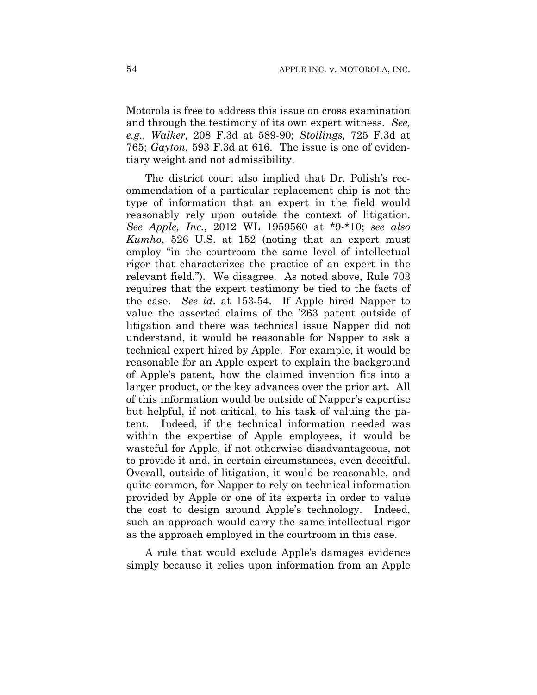Motorola is free to address this issue on cross examination and through the testimony of its own expert witness. *See, e.g.*, *Walker*, 208 F.3d at 589-90; *Stollings*, 725 F.3d at 765; *Gayton*, 593 F.3d at 616. The issue is one of evidentiary weight and not admissibility.

The district court also implied that Dr. Polish's recommendation of a particular replacement chip is not the type of information that an expert in the field would reasonably rely upon outside the context of litigation. *See Apple, Inc.*, 2012 WL 1959560 at \*9-\*10; *see also Kumho*, 526 U.S. at 152 (noting that an expert must employ "in the courtroom the same level of intellectual rigor that characterizes the practice of an expert in the relevant field."). We disagree. As noted above, Rule 703 requires that the expert testimony be tied to the facts of the case. *See id*. at 153-54. If Apple hired Napper to value the asserted claims of the '263 patent outside of litigation and there was technical issue Napper did not understand, it would be reasonable for Napper to ask a technical expert hired by Apple. For example, it would be reasonable for an Apple expert to explain the background of Apple's patent, how the claimed invention fits into a larger product, or the key advances over the prior art. All of this information would be outside of Napper's expertise but helpful, if not critical, to his task of valuing the patent. Indeed, if the technical information needed was within the expertise of Apple employees, it would be wasteful for Apple, if not otherwise disadvantageous, not to provide it and, in certain circumstances, even deceitful. Overall, outside of litigation, it would be reasonable, and quite common, for Napper to rely on technical information provided by Apple or one of its experts in order to value the cost to design around Apple's technology. Indeed, such an approach would carry the same intellectual rigor as the approach employed in the courtroom in this case.

A rule that would exclude Apple's damages evidence simply because it relies upon information from an Apple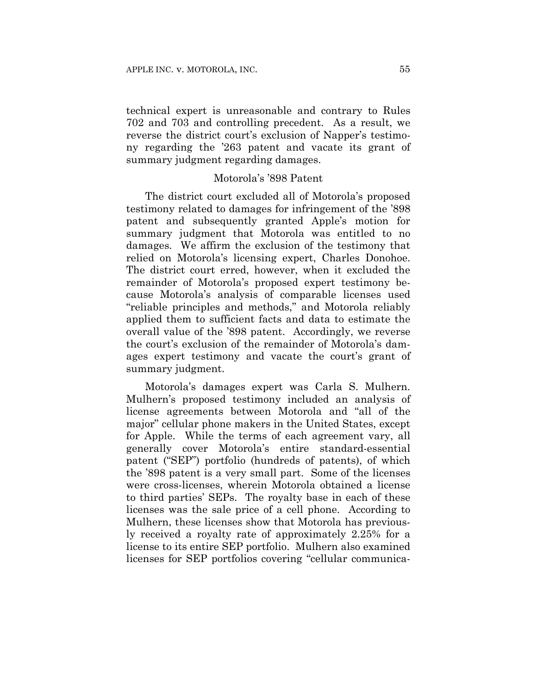technical expert is unreasonable and contrary to Rules 702 and 703 and controlling precedent. As a result, we reverse the district court's exclusion of Napper's testimony regarding the '263 patent and vacate its grant of summary judgment regarding damages.

# Motorola's '898 Patent

The district court excluded all of Motorola's proposed testimony related to damages for infringement of the '898 patent and subsequently granted Apple's motion for summary judgment that Motorola was entitled to no damages. We affirm the exclusion of the testimony that relied on Motorola's licensing expert, Charles Donohoe. The district court erred, however, when it excluded the remainder of Motorola's proposed expert testimony because Motorola's analysis of comparable licenses used "reliable principles and methods," and Motorola reliably applied them to sufficient facts and data to estimate the overall value of the '898 patent. Accordingly, we reverse the court's exclusion of the remainder of Motorola's damages expert testimony and vacate the court's grant of summary judgment.

Motorola's damages expert was Carla S. Mulhern. Mulhern's proposed testimony included an analysis of license agreements between Motorola and "all of the major" cellular phone makers in the United States, except for Apple. While the terms of each agreement vary, all generally cover Motorola's entire standard-essential patent ("SEP") portfolio (hundreds of patents), of which the '898 patent is a very small part. Some of the licenses were cross-licenses, wherein Motorola obtained a license to third parties' SEPs. The royalty base in each of these licenses was the sale price of a cell phone. According to Mulhern, these licenses show that Motorola has previously received a royalty rate of approximately 2.25% for a license to its entire SEP portfolio. Mulhern also examined licenses for SEP portfolios covering "cellular communica-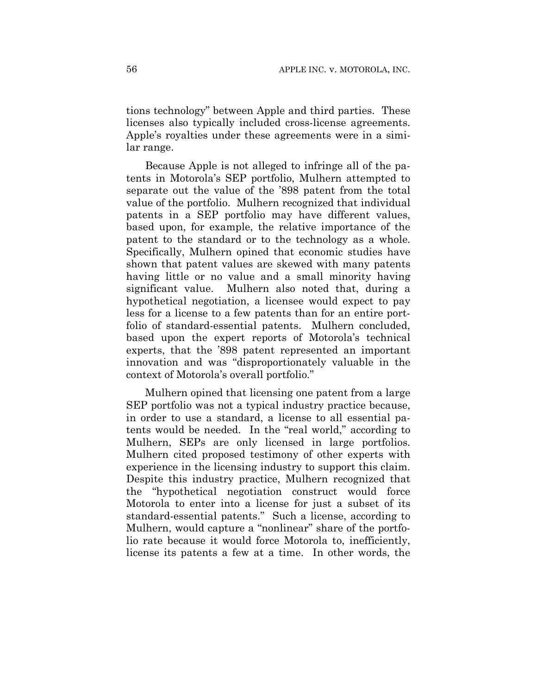tions technology" between Apple and third parties. These licenses also typically included cross-license agreements. Apple's royalties under these agreements were in a similar range.

Because Apple is not alleged to infringe all of the patents in Motorola's SEP portfolio, Mulhern attempted to separate out the value of the '898 patent from the total value of the portfolio. Mulhern recognized that individual patents in a SEP portfolio may have different values, based upon, for example, the relative importance of the patent to the standard or to the technology as a whole. Specifically, Mulhern opined that economic studies have shown that patent values are skewed with many patents having little or no value and a small minority having significant value. Mulhern also noted that, during a hypothetical negotiation, a licensee would expect to pay less for a license to a few patents than for an entire portfolio of standard-essential patents. Mulhern concluded, based upon the expert reports of Motorola's technical experts, that the '898 patent represented an important innovation and was "disproportionately valuable in the context of Motorola's overall portfolio."

Mulhern opined that licensing one patent from a large SEP portfolio was not a typical industry practice because, in order to use a standard, a license to all essential patents would be needed. In the "real world," according to Mulhern, SEPs are only licensed in large portfolios. Mulhern cited proposed testimony of other experts with experience in the licensing industry to support this claim. Despite this industry practice, Mulhern recognized that the "hypothetical negotiation construct would force Motorola to enter into a license for just a subset of its standard-essential patents." Such a license, according to Mulhern, would capture a "nonlinear" share of the portfolio rate because it would force Motorola to, inefficiently, license its patents a few at a time. In other words, the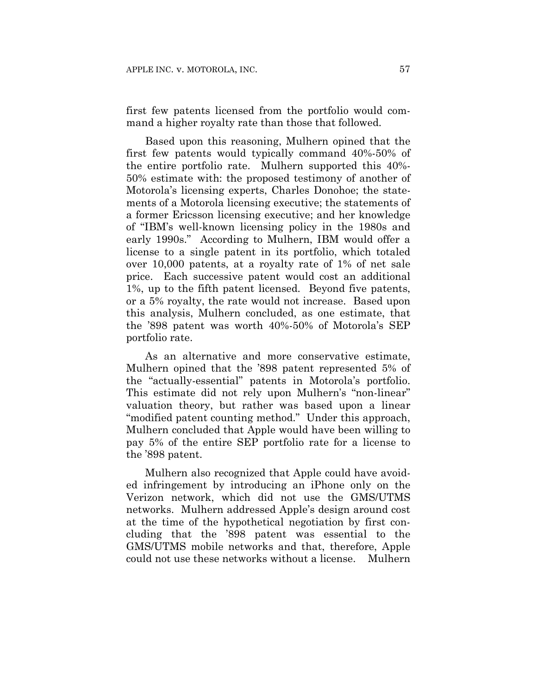first few patents licensed from the portfolio would command a higher royalty rate than those that followed.

Based upon this reasoning, Mulhern opined that the first few patents would typically command 40%-50% of the entire portfolio rate. Mulhern supported this 40%- 50% estimate with: the proposed testimony of another of Motorola's licensing experts, Charles Donohoe; the statements of a Motorola licensing executive; the statements of a former Ericsson licensing executive; and her knowledge of "IBM's well-known licensing policy in the 1980s and early 1990s." According to Mulhern, IBM would offer a license to a single patent in its portfolio, which totaled over 10,000 patents, at a royalty rate of 1% of net sale price. Each successive patent would cost an additional 1%, up to the fifth patent licensed. Beyond five patents, or a 5% royalty, the rate would not increase. Based upon this analysis, Mulhern concluded, as one estimate, that the '898 patent was worth 40%-50% of Motorola's SEP portfolio rate.

As an alternative and more conservative estimate, Mulhern opined that the '898 patent represented 5% of the "actually-essential" patents in Motorola's portfolio. This estimate did not rely upon Mulhern's "non-linear" valuation theory, but rather was based upon a linear "modified patent counting method." Under this approach, Mulhern concluded that Apple would have been willing to pay 5% of the entire SEP portfolio rate for a license to the '898 patent.

Mulhern also recognized that Apple could have avoided infringement by introducing an iPhone only on the Verizon network, which did not use the GMS/UTMS networks. Mulhern addressed Apple's design around cost at the time of the hypothetical negotiation by first concluding that the '898 patent was essential to the GMS/UTMS mobile networks and that, therefore, Apple could not use these networks without a license. Mulhern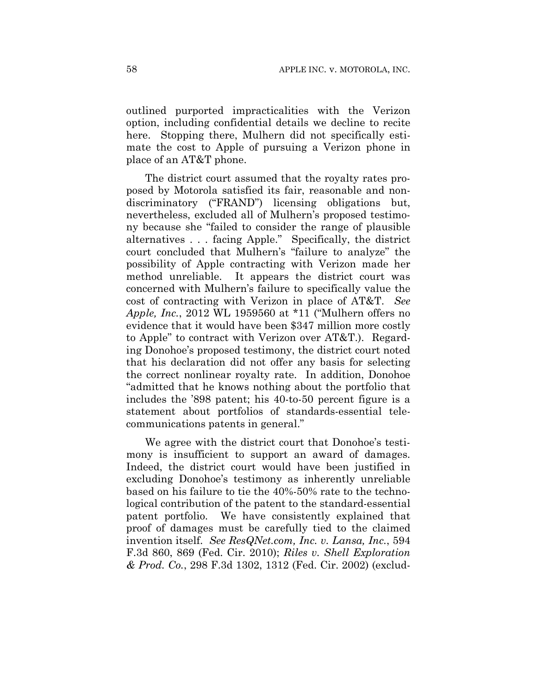outlined purported impracticalities with the Verizon option, including confidential details we decline to recite here. Stopping there, Mulhern did not specifically estimate the cost to Apple of pursuing a Verizon phone in place of an AT&T phone.

The district court assumed that the royalty rates proposed by Motorola satisfied its fair, reasonable and nondiscriminatory ("FRAND") licensing obligations but, nevertheless, excluded all of Mulhern's proposed testimony because she "failed to consider the range of plausible alternatives . . . facing Apple." Specifically, the district court concluded that Mulhern's "failure to analyze" the possibility of Apple contracting with Verizon made her method unreliable. It appears the district court was concerned with Mulhern's failure to specifically value the cost of contracting with Verizon in place of AT&T. *See Apple, Inc.*, 2012 WL 1959560 at \*11 ("Mulhern offers no evidence that it would have been \$347 million more costly to Apple" to contract with Verizon over AT&T.). Regarding Donohoe's proposed testimony, the district court noted that his declaration did not offer any basis for selecting the correct nonlinear royalty rate. In addition, Donohoe "admitted that he knows nothing about the portfolio that includes the '898 patent; his 40-to-50 percent figure is a statement about portfolios of standards-essential telecommunications patents in general."

We agree with the district court that Donohoe's testimony is insufficient to support an award of damages. Indeed, the district court would have been justified in excluding Donohoe's testimony as inherently unreliable based on his failure to tie the 40%-50% rate to the technological contribution of the patent to the standard-essential patent portfolio. We have consistently explained that proof of damages must be carefully tied to the claimed invention itself. *See ResQNet.com, Inc. v. Lansa, Inc.*, 594 F.3d 860, 869 (Fed. Cir. 2010); *Riles v. Shell Exploration & Prod. Co.*, 298 F.3d 1302, 1312 (Fed. Cir. 2002) (exclud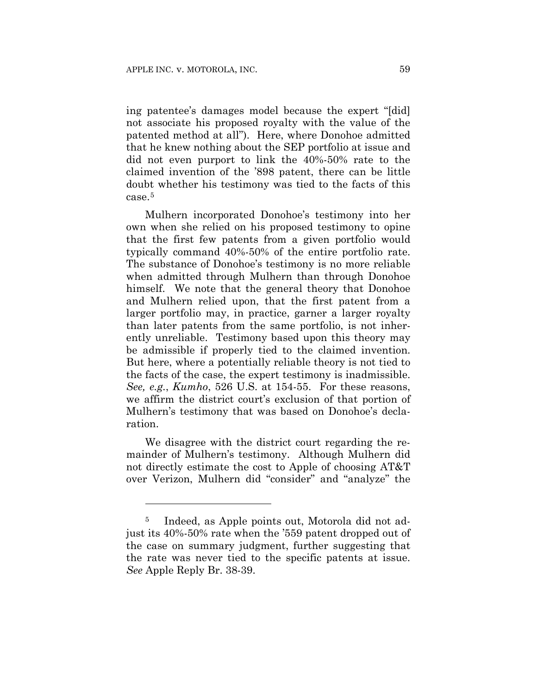ing patentee's damages model because the expert "[did] not associate his proposed royalty with the value of the patented method at all"). Here, where Donohoe admitted that he knew nothing about the SEP portfolio at issue and did not even purport to link the 40%-50% rate to the claimed invention of the '898 patent, there can be little doubt whether his testimony was tied to the facts of this case.5

Mulhern incorporated Donohoe's testimony into her own when she relied on his proposed testimony to opine that the first few patents from a given portfolio would typically command 40%-50% of the entire portfolio rate. The substance of Donohoe's testimony is no more reliable when admitted through Mulhern than through Donohoe himself. We note that the general theory that Donohoe and Mulhern relied upon, that the first patent from a larger portfolio may, in practice, garner a larger royalty than later patents from the same portfolio, is not inherently unreliable. Testimony based upon this theory may be admissible if properly tied to the claimed invention. But here, where a potentially reliable theory is not tied to the facts of the case, the expert testimony is inadmissible. *See, e.g.*, *Kumho*, 526 U.S. at 154-55. For these reasons, we affirm the district court's exclusion of that portion of Mulhern's testimony that was based on Donohoe's declaration.

We disagree with the district court regarding the remainder of Mulhern's testimony. Although Mulhern did not directly estimate the cost to Apple of choosing AT&T over Verizon, Mulhern did "consider" and "analyze" the

1

<sup>5</sup> Indeed, as Apple points out, Motorola did not adjust its 40%-50% rate when the '559 patent dropped out of the case on summary judgment, further suggesting that the rate was never tied to the specific patents at issue. *See* Apple Reply Br. 38-39.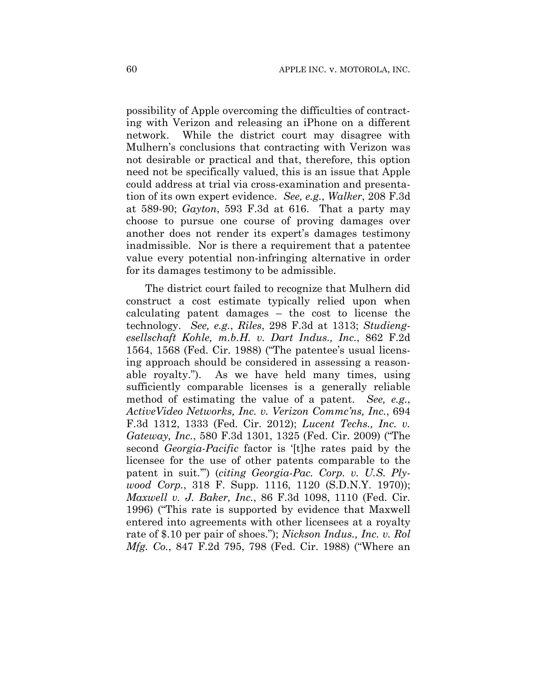possibility of Apple overcoming the difficulties of contracting with Verizon and releasing an iPhone on a different network. While the district court may disagree with Mulhern's conclusions that contracting with Verizon was not desirable or practical and that, therefore, this option need not be specifically valued, this is an issue that Apple could address at trial via cross-examination and presentation of its own expert evidence. *See, e.g.*, *Walker*, 208 F.3d at 589-90; *Gayton*, 593 F.3d at 616. That a party may choose to pursue one course of proving damages over another does not render its expert's damages testimony inadmissible. Nor is there a requirement that a patentee value every potential non-infringing alternative in order for its damages testimony to be admissible.

The district court failed to recognize that Mulhern did construct a cost estimate typically relied upon when calculating patent damages – the cost to license the technology. *See, e.g.*, *Riles*, 298 F.3d at 1313; *Studiengesellschaft Kohle, m.b.H. v. Dart Indus., Inc.*, 862 F.2d 1564, 1568 (Fed. Cir. 1988) ("The patentee's usual licensing approach should be considered in assessing a reasonable royalty."). As we have held many times, using sufficiently comparable licenses is a generally reliable method of estimating the value of a patent. *See, e.g.*, *ActiveVideo Networks, Inc. v. Verizon Commc'ns, Inc.*, 694 F.3d 1312, 1333 (Fed. Cir. 2012); *Lucent Techs., Inc. v. Gateway, Inc.*, 580 F.3d 1301, 1325 (Fed. Cir. 2009) ("The second *Georgia-Pacific* factor is '[t]he rates paid by the licensee for the use of other patents comparable to the patent in suit.'") (*citing Georgia-Pac. Corp. v. U.S. Plywood Corp.*, 318 F. Supp. 1116, 1120 (S.D.N.Y. 1970)); *Maxwell v. J. Baker, Inc.*, 86 F.3d 1098, 1110 (Fed. Cir. 1996) ("This rate is supported by evidence that Maxwell entered into agreements with other licensees at a royalty rate of \$.10 per pair of shoes."); *Nickson Indus., Inc. v. Rol Mfg. Co.*, 847 F.2d 795, 798 (Fed. Cir. 1988) ("Where an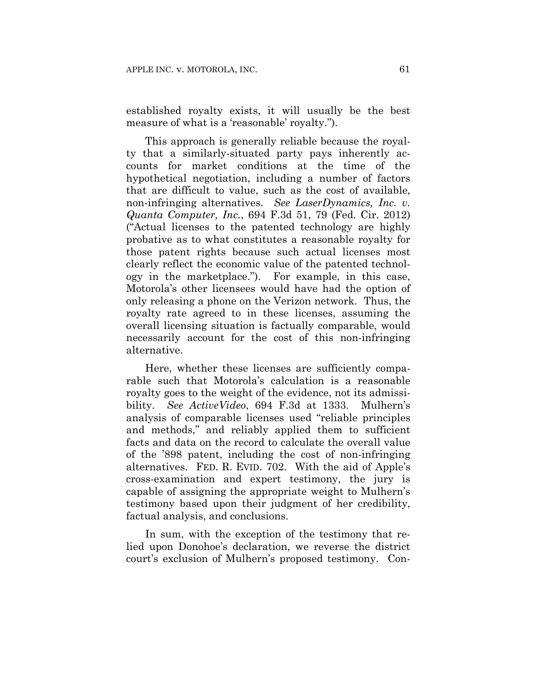established royalty exists, it will usually be the best measure of what is a 'reasonable' royalty.").

This approach is generally reliable because the royalty that a similarly-situated party pays inherently accounts for market conditions at the time of the hypothetical negotiation, including a number of factors that are difficult to value, such as the cost of available, non-infringing alternatives. *See LaserDynamics, Inc. v. Quanta Computer, Inc.*, 694 F.3d 51, 79 (Fed. Cir. 2012) ("Actual licenses to the patented technology are highly probative as to what constitutes a reasonable royalty for those patent rights because such actual licenses most clearly reflect the economic value of the patented technology in the marketplace."). For example, in this case, Motorola's other licensees would have had the option of only releasing a phone on the Verizon network. Thus, the royalty rate agreed to in these licenses, assuming the overall licensing situation is factually comparable, would necessarily account for the cost of this non-infringing alternative.

Here, whether these licenses are sufficiently comparable such that Motorola's calculation is a reasonable royalty goes to the weight of the evidence, not its admissibility. *See ActiveVideo*, 694 F.3d at 1333. Mulhern's analysis of comparable licenses used "reliable principles and methods," and reliably applied them to sufficient facts and data on the record to calculate the overall value of the '898 patent, including the cost of non-infringing alternatives. FED. R. EVID. 702. With the aid of Apple's cross-examination and expert testimony, the jury is capable of assigning the appropriate weight to Mulhern's testimony based upon their judgment of her credibility, factual analysis, and conclusions.

In sum, with the exception of the testimony that relied upon Donohoe's declaration, we reverse the district court's exclusion of Mulhern's proposed testimony. Con-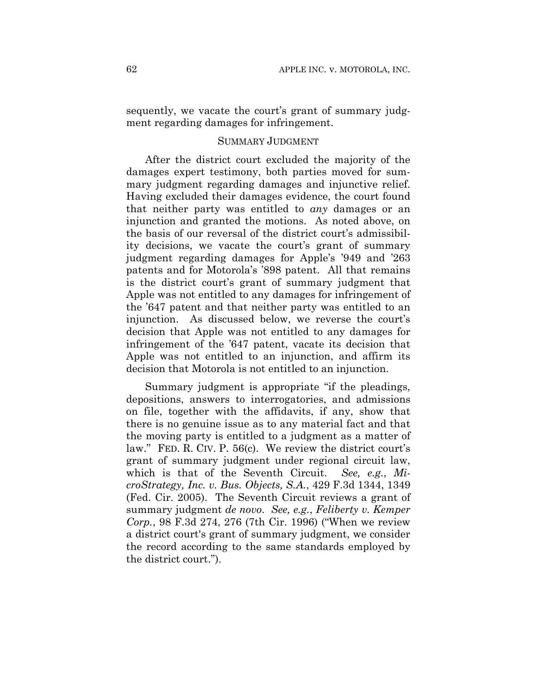sequently, we vacate the court's grant of summary judgment regarding damages for infringement.

### SUMMARY JUDGMENT

After the district court excluded the majority of the damages expert testimony, both parties moved for summary judgment regarding damages and injunctive relief. Having excluded their damages evidence, the court found that neither party was entitled to *any* damages or an injunction and granted the motions. As noted above, on the basis of our reversal of the district court's admissibility decisions, we vacate the court's grant of summary judgment regarding damages for Apple's '949 and '263 patents and for Motorola's '898 patent. All that remains is the district court's grant of summary judgment that Apple was not entitled to any damages for infringement of the '647 patent and that neither party was entitled to an injunction. As discussed below, we reverse the court's decision that Apple was not entitled to any damages for infringement of the '647 patent, vacate its decision that Apple was not entitled to an injunction, and affirm its decision that Motorola is not entitled to an injunction.

Summary judgment is appropriate "if the pleadings, depositions, answers to interrogatories, and admissions on file, together with the affidavits, if any, show that there is no genuine issue as to any material fact and that the moving party is entitled to a judgment as a matter of law." FED. R. CIV. P. 56(c). We review the district court's grant of summary judgment under regional circuit law, which is that of the Seventh Circuit. *See, e.g.*, *MicroStrategy, Inc. v. Bus. Objects, S.A.*, 429 F.3d 1344, 1349 (Fed. Cir. 2005). The Seventh Circuit reviews a grant of summary judgment *de novo*. *See, e.g.*, *Feliberty v. Kemper Corp.*, 98 F.3d 274, 276 (7th Cir. 1996) ("When we review a district court's grant of summary judgment, we consider the record according to the same standards employed by the district court.").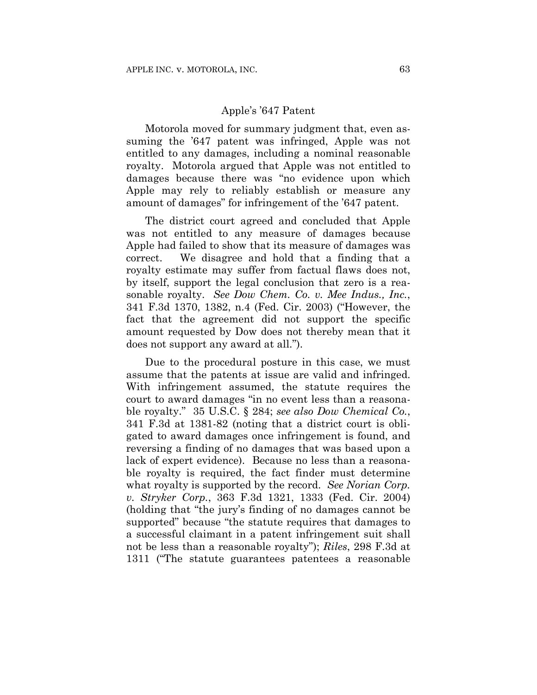#### Apple's '647 Patent

Motorola moved for summary judgment that, even assuming the '647 patent was infringed, Apple was not entitled to any damages, including a nominal reasonable royalty. Motorola argued that Apple was not entitled to damages because there was "no evidence upon which Apple may rely to reliably establish or measure any amount of damages" for infringement of the '647 patent.

The district court agreed and concluded that Apple was not entitled to any measure of damages because Apple had failed to show that its measure of damages was correct. We disagree and hold that a finding that a royalty estimate may suffer from factual flaws does not, by itself, support the legal conclusion that zero is a reasonable royalty. *See Dow Chem. Co. v. Mee Indus., Inc.*, 341 F.3d 1370, 1382, n.4 (Fed. Cir. 2003) ("However, the fact that the agreement did not support the specific amount requested by Dow does not thereby mean that it does not support any award at all.").

Due to the procedural posture in this case, we must assume that the patents at issue are valid and infringed. With infringement assumed, the statute requires the court to award damages "in no event less than a reasonable royalty." 35 U.S.C. § 284; *see also Dow Chemical Co.*, 341 F.3d at 1381-82 (noting that a district court is obligated to award damages once infringement is found, and reversing a finding of no damages that was based upon a lack of expert evidence). Because no less than a reasonable royalty is required, the fact finder must determine what royalty is supported by the record. *See Norian Corp. v. Stryker Corp.*, 363 F.3d 1321, 1333 (Fed. Cir. 2004) (holding that "the jury's finding of no damages cannot be supported" because "the statute requires that damages to a successful claimant in a patent infringement suit shall not be less than a reasonable royalty"); *Riles*, 298 F.3d at 1311 ("The statute guarantees patentees a reasonable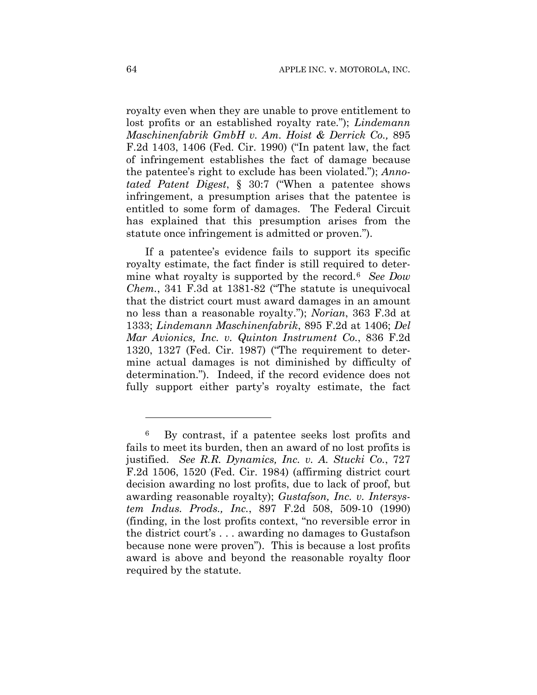royalty even when they are unable to prove entitlement to lost profits or an established royalty rate."); *Lindemann Maschinenfabrik GmbH v. Am. Hoist & Derrick Co.,* 895 F.2d 1403, 1406 (Fed. Cir. 1990) ("In patent law, the fact of infringement establishes the fact of damage because the patentee's right to exclude has been violated."); *Annotated Patent Digest*, § 30:7 ("When a patentee shows infringement, a presumption arises that the patentee is entitled to some form of damages. The Federal Circuit has explained that this presumption arises from the statute once infringement is admitted or proven.").

If a patentee's evidence fails to support its specific royalty estimate, the fact finder is still required to determine what royalty is supported by the record.6 *See Dow Chem.*, 341 F.3d at 1381-82 ("The statute is unequivocal that the district court must award damages in an amount no less than a reasonable royalty."); *Norian*, 363 F.3d at 1333; *Lindemann Maschinenfabrik*, 895 F.2d at 1406; *Del Mar Avionics, Inc. v. Quinton Instrument Co.*, 836 F.2d 1320, 1327 (Fed. Cir. 1987) ("The requirement to determine actual damages is not diminished by difficulty of determination."). Indeed, if the record evidence does not fully support either party's royalty estimate, the fact

1

<sup>6</sup> By contrast, if a patentee seeks lost profits and fails to meet its burden, then an award of no lost profits is justified. *See R.R. Dynamics, Inc. v. A. Stucki Co.*, 727 F.2d 1506, 1520 (Fed. Cir. 1984) (affirming district court decision awarding no lost profits, due to lack of proof, but awarding reasonable royalty); *Gustafson, Inc. v. Intersystem Indus. Prods., Inc.*, 897 F.2d 508, 509-10 (1990) (finding, in the lost profits context, "no reversible error in the district court's . . . awarding no damages to Gustafson because none were proven"). This is because a lost profits award is above and beyond the reasonable royalty floor required by the statute.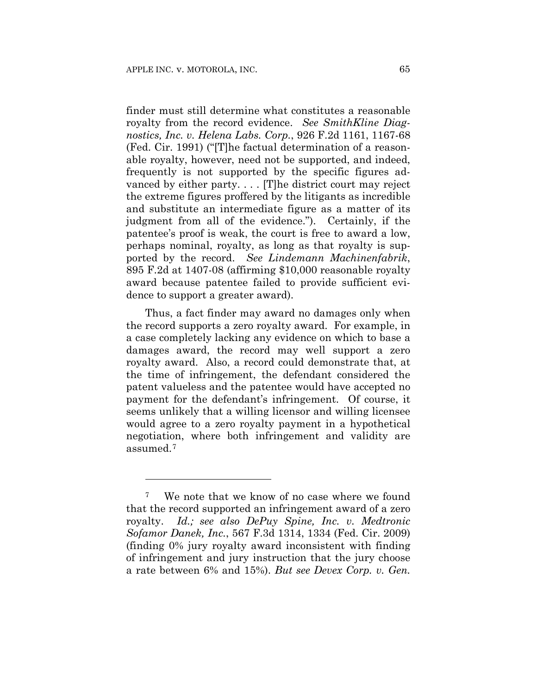<u>.</u>

finder must still determine what constitutes a reasonable royalty from the record evidence. *See SmithKline Diagnostics, Inc. v. Helena Labs. Corp.*, 926 F.2d 1161, 1167-68 (Fed. Cir. 1991) ("[T]he factual determination of a reasonable royalty, however, need not be supported, and indeed, frequently is not supported by the specific figures advanced by either party. . . . [T]he district court may reject the extreme figures proffered by the litigants as incredible and substitute an intermediate figure as a matter of its judgment from all of the evidence."). Certainly, if the patentee's proof is weak, the court is free to award a low, perhaps nominal, royalty, as long as that royalty is supported by the record. *See Lindemann Machinenfabrik*, 895 F.2d at 1407-08 (affirming \$10,000 reasonable royalty award because patentee failed to provide sufficient evidence to support a greater award).

Thus, a fact finder may award no damages only when the record supports a zero royalty award. For example, in a case completely lacking any evidence on which to base a damages award, the record may well support a zero royalty award. Also, a record could demonstrate that, at the time of infringement, the defendant considered the patent valueless and the patentee would have accepted no payment for the defendant's infringement. Of course, it seems unlikely that a willing licensor and willing licensee would agree to a zero royalty payment in a hypothetical negotiation, where both infringement and validity are assumed.7

We note that we know of no case where we found that the record supported an infringement award of a zero royalty. *Id.; see also DePuy Spine, Inc. v. Medtronic Sofamor Danek, Inc.*, 567 F.3d 1314, 1334 (Fed. Cir. 2009) (finding 0% jury royalty award inconsistent with finding of infringement and jury instruction that the jury choose a rate between 6% and 15%). *But see Devex Corp. v. Gen.*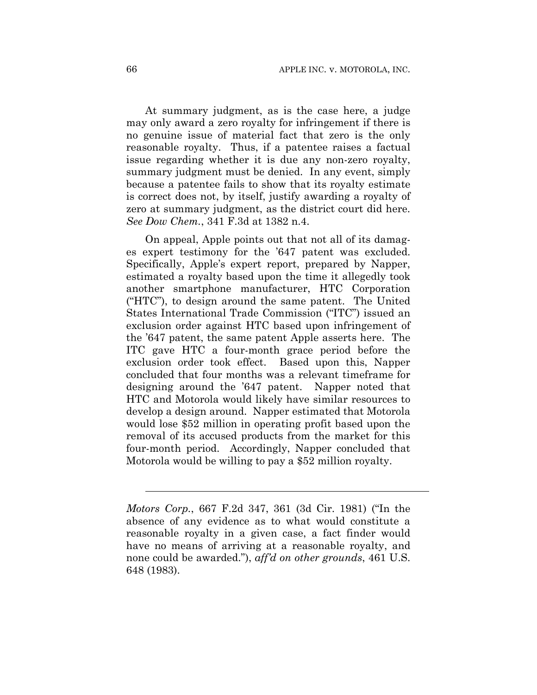At summary judgment, as is the case here, a judge may only award a zero royalty for infringement if there is no genuine issue of material fact that zero is the only reasonable royalty. Thus, if a patentee raises a factual issue regarding whether it is due any non-zero royalty, summary judgment must be denied. In any event, simply because a patentee fails to show that its royalty estimate is correct does not, by itself, justify awarding a royalty of zero at summary judgment, as the district court did here. *See Dow Chem.*, 341 F.3d at 1382 n.4.

On appeal, Apple points out that not all of its damages expert testimony for the '647 patent was excluded. Specifically, Apple's expert report, prepared by Napper, estimated a royalty based upon the time it allegedly took another smartphone manufacturer, HTC Corporation ("HTC"), to design around the same patent. The United States International Trade Commission ("ITC") issued an exclusion order against HTC based upon infringement of the '647 patent, the same patent Apple asserts here. The ITC gave HTC a four-month grace period before the exclusion order took effect. Based upon this, Napper concluded that four months was a relevant timeframe for designing around the '647 patent. Napper noted that HTC and Motorola would likely have similar resources to develop a design around. Napper estimated that Motorola would lose \$52 million in operating profit based upon the removal of its accused products from the market for this four-month period. Accordingly, Napper concluded that Motorola would be willing to pay a \$52 million royalty.

l

*Motors Corp.*, 667 F.2d 347, 361 (3d Cir. 1981) ("In the absence of any evidence as to what would constitute a reasonable royalty in a given case, a fact finder would have no means of arriving at a reasonable royalty, and none could be awarded."), *aff'd on other grounds*, 461 U.S. 648 (1983).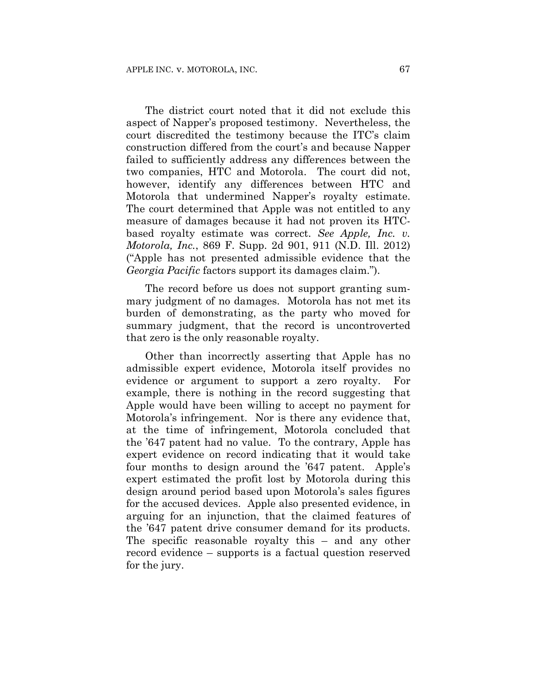The district court noted that it did not exclude this aspect of Napper's proposed testimony. Nevertheless, the court discredited the testimony because the ITC's claim construction differed from the court's and because Napper failed to sufficiently address any differences between the two companies, HTC and Motorola. The court did not, however, identify any differences between HTC and Motorola that undermined Napper's royalty estimate. The court determined that Apple was not entitled to any measure of damages because it had not proven its HTCbased royalty estimate was correct. *See Apple, Inc. v. Motorola, Inc.*, 869 F. Supp. 2d 901, 911 (N.D. Ill. 2012) ("Apple has not presented admissible evidence that the *Georgia Pacific* factors support its damages claim.").

The record before us does not support granting summary judgment of no damages. Motorola has not met its burden of demonstrating, as the party who moved for summary judgment, that the record is uncontroverted that zero is the only reasonable royalty.

Other than incorrectly asserting that Apple has no admissible expert evidence, Motorola itself provides no evidence or argument to support a zero royalty. For example, there is nothing in the record suggesting that Apple would have been willing to accept no payment for Motorola's infringement. Nor is there any evidence that, at the time of infringement, Motorola concluded that the '647 patent had no value. To the contrary, Apple has expert evidence on record indicating that it would take four months to design around the '647 patent. Apple's expert estimated the profit lost by Motorola during this design around period based upon Motorola's sales figures for the accused devices. Apple also presented evidence, in arguing for an injunction, that the claimed features of the '647 patent drive consumer demand for its products. The specific reasonable royalty this – and any other record evidence – supports is a factual question reserved for the jury.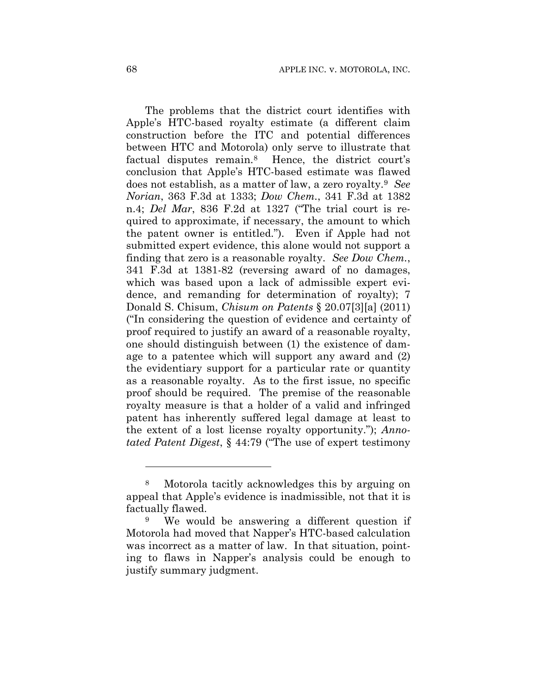The problems that the district court identifies with Apple's HTC-based royalty estimate (a different claim construction before the ITC and potential differences between HTC and Motorola) only serve to illustrate that factual disputes remain.8 Hence, the district court's conclusion that Apple's HTC-based estimate was flawed does not establish, as a matter of law, a zero royalty.9 *See Norian*, 363 F.3d at 1333; *Dow Chem.*, 341 F.3d at 1382 n.4; *Del Mar*, 836 F.2d at 1327 ("The trial court is required to approximate, if necessary, the amount to which the patent owner is entitled."). Even if Apple had not submitted expert evidence, this alone would not support a finding that zero is a reasonable royalty. *See Dow Chem.*, 341 F.3d at 1381-82 (reversing award of no damages, which was based upon a lack of admissible expert evidence, and remanding for determination of royalty); 7 Donald S. Chisum, *Chisum on Patents* § 20.07[3][a] (2011) ("In considering the question of evidence and certainty of proof required to justify an award of a reasonable royalty, one should distinguish between (1) the existence of damage to a patentee which will support any award and (2) the evidentiary support for a particular rate or quantity as a reasonable royalty. As to the first issue, no specific proof should be required. The premise of the reasonable royalty measure is that a holder of a valid and infringed patent has inherently suffered legal damage at least to the extent of a lost license royalty opportunity."); *Annotated Patent Digest*, § 44:79 ("The use of expert testimony

1

<sup>8</sup> Motorola tacitly acknowledges this by arguing on appeal that Apple's evidence is inadmissible, not that it is factually flawed.

<sup>9</sup> We would be answering a different question if Motorola had moved that Napper's HTC-based calculation was incorrect as a matter of law. In that situation, pointing to flaws in Napper's analysis could be enough to justify summary judgment.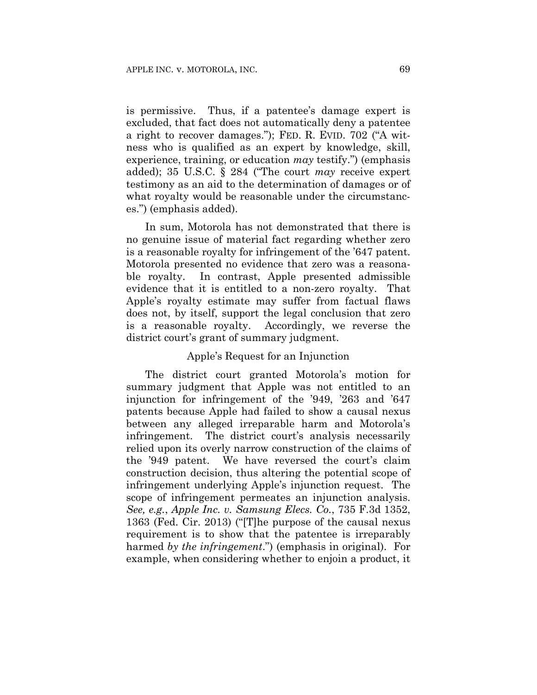is permissive. Thus, if a patentee's damage expert is excluded, that fact does not automatically deny a patentee a right to recover damages."); FED. R. EVID. 702 ("A witness who is qualified as an expert by knowledge, skill, experience, training, or education *may* testify.") (emphasis added); 35 U.S.C. § 284 ("The court *may* receive expert testimony as an aid to the determination of damages or of what royalty would be reasonable under the circumstances.") (emphasis added).

In sum, Motorola has not demonstrated that there is no genuine issue of material fact regarding whether zero is a reasonable royalty for infringement of the '647 patent. Motorola presented no evidence that zero was a reasonable royalty. In contrast, Apple presented admissible evidence that it is entitled to a non-zero royalty. That Apple's royalty estimate may suffer from factual flaws does not, by itself, support the legal conclusion that zero is a reasonable royalty. Accordingly, we reverse the district court's grant of summary judgment.

## Apple's Request for an Injunction

The district court granted Motorola's motion for summary judgment that Apple was not entitled to an injunction for infringement of the '949, '263 and '647 patents because Apple had failed to show a causal nexus between any alleged irreparable harm and Motorola's infringement. The district court's analysis necessarily relied upon its overly narrow construction of the claims of the '949 patent. We have reversed the court's claim construction decision, thus altering the potential scope of infringement underlying Apple's injunction request. The scope of infringement permeates an injunction analysis. *See, e.g.*, *Apple Inc. v. Samsung Elecs. Co.*, 735 F.3d 1352, 1363 (Fed. Cir. 2013) ("[T]he purpose of the causal nexus requirement is to show that the patentee is irreparably harmed *by the infringement*.") (emphasis in original). For example, when considering whether to enjoin a product, it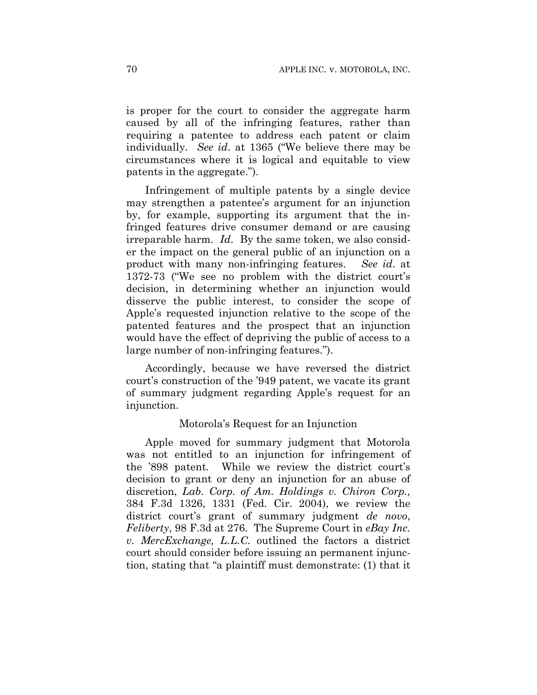is proper for the court to consider the aggregate harm caused by all of the infringing features, rather than requiring a patentee to address each patent or claim individually. *See id*. at 1365 ("We believe there may be circumstances where it is logical and equitable to view patents in the aggregate.").

Infringement of multiple patents by a single device may strengthen a patentee's argument for an injunction by, for example, supporting its argument that the infringed features drive consumer demand or are causing irreparable harm. *Id*. By the same token, we also consider the impact on the general public of an injunction on a product with many non-infringing features. *See id*. at 1372-73 ("We see no problem with the district court's decision, in determining whether an injunction would disserve the public interest, to consider the scope of Apple's requested injunction relative to the scope of the patented features and the prospect that an injunction would have the effect of depriving the public of access to a large number of non-infringing features.").

Accordingly, because we have reversed the district court's construction of the '949 patent, we vacate its grant of summary judgment regarding Apple's request for an injunction.

## Motorola's Request for an Injunction

Apple moved for summary judgment that Motorola was not entitled to an injunction for infringement of the '898 patent. While we review the district court's decision to grant or deny an injunction for an abuse of discretion, *Lab. Corp. of Am. Holdings v. Chiron Corp.,* 384 F.3d 1326, 1331 (Fed. Cir. 2004), we review the district court's grant of summary judgment *de novo*, *Feliberty*, 98 F.3d at 276. The Supreme Court in *eBay Inc. v. MercExchange, L.L.C.* outlined the factors a district court should consider before issuing an permanent injunction, stating that "a plaintiff must demonstrate: (1) that it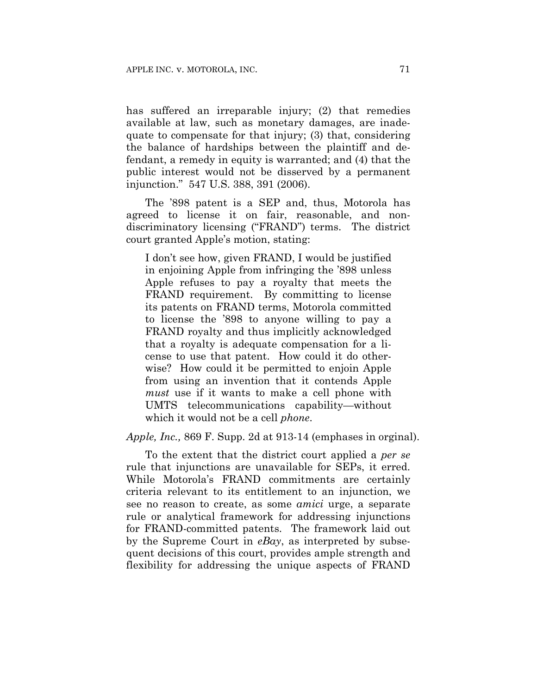has suffered an irreparable injury; (2) that remedies available at law, such as monetary damages, are inadequate to compensate for that injury; (3) that, considering the balance of hardships between the plaintiff and defendant, a remedy in equity is warranted; and (4) that the public interest would not be disserved by a permanent injunction." 547 U.S. 388, 391 (2006).

The '898 patent is a SEP and, thus, Motorola has agreed to license it on fair, reasonable, and nondiscriminatory licensing ("FRAND") terms. The district court granted Apple's motion, stating:

I don't see how, given FRAND, I would be justified in enjoining Apple from infringing the '898 unless Apple refuses to pay a royalty that meets the FRAND requirement. By committing to license its patents on FRAND terms, Motorola committed to license the '898 to anyone willing to pay a FRAND royalty and thus implicitly acknowledged that a royalty is adequate compensation for a license to use that patent. How could it do otherwise? How could it be permitted to enjoin Apple from using an invention that it contends Apple *must* use if it wants to make a cell phone with UMTS telecommunications capability—without which it would not be a cell *phone*.

*Apple, Inc.,* 869 F. Supp. 2d at 913-14 (emphases in orginal).

To the extent that the district court applied a *per se* rule that injunctions are unavailable for SEPs, it erred. While Motorola's FRAND commitments are certainly criteria relevant to its entitlement to an injunction, we see no reason to create, as some *amici* urge, a separate rule or analytical framework for addressing injunctions for FRAND-committed patents. The framework laid out by the Supreme Court in *eBay*, as interpreted by subsequent decisions of this court, provides ample strength and flexibility for addressing the unique aspects of FRAND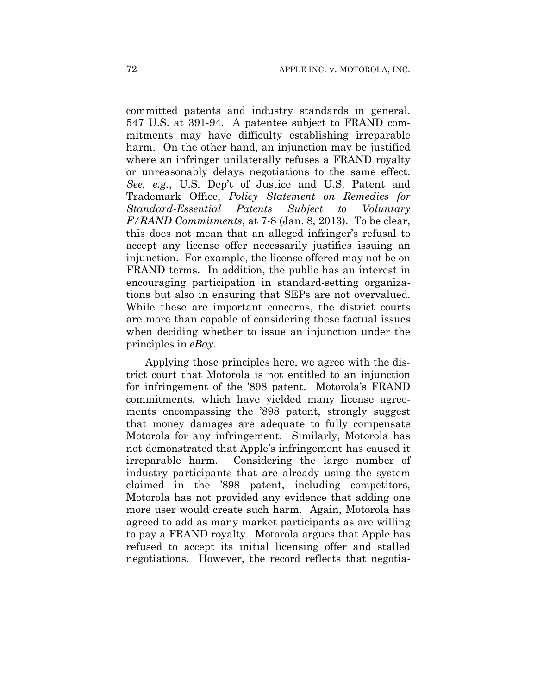committed patents and industry standards in general. 547 U.S. at 391-94. A patentee subject to FRAND commitments may have difficulty establishing irreparable harm. On the other hand, an injunction may be justified where an infringer unilaterally refuses a FRAND royalty or unreasonably delays negotiations to the same effect. *See, e.g.*, U.S. Dep't of Justice and U.S. Patent and Trademark Office, *Policy Statement on Remedies for Standard-Essential Patents Subject to Voluntary F/RAND Commitments*, at 7-8 (Jan. 8, 2013). To be clear, this does not mean that an alleged infringer's refusal to accept any license offer necessarily justifies issuing an injunction. For example, the license offered may not be on FRAND terms. In addition, the public has an interest in encouraging participation in standard-setting organizations but also in ensuring that SEPs are not overvalued. While these are important concerns, the district courts are more than capable of considering these factual issues when deciding whether to issue an injunction under the principles in *eBay*.

Applying those principles here, we agree with the district court that Motorola is not entitled to an injunction for infringement of the '898 patent. Motorola's FRAND commitments, which have yielded many license agreements encompassing the '898 patent, strongly suggest that money damages are adequate to fully compensate Motorola for any infringement. Similarly, Motorola has not demonstrated that Apple's infringement has caused it irreparable harm. Considering the large number of industry participants that are already using the system claimed in the '898 patent, including competitors, Motorola has not provided any evidence that adding one more user would create such harm. Again, Motorola has agreed to add as many market participants as are willing to pay a FRAND royalty. Motorola argues that Apple has refused to accept its initial licensing offer and stalled negotiations. However, the record reflects that negotia-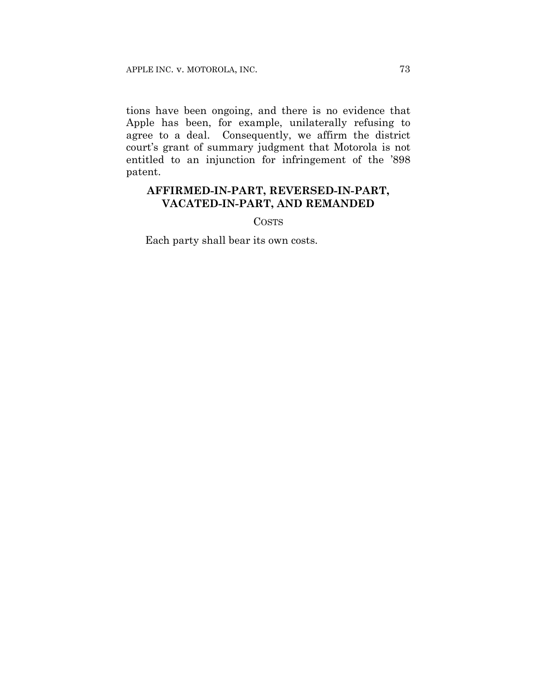tions have been ongoing, and there is no evidence that Apple has been, for example, unilaterally refusing to agree to a deal. Consequently, we affirm the district court's grant of summary judgment that Motorola is not entitled to an injunction for infringement of the '898 patent.

# **AFFIRMED-IN-PART, REVERSED-IN-PART, VACATED-IN-PART, AND REMANDED**

#### COSTS

Each party shall bear its own costs.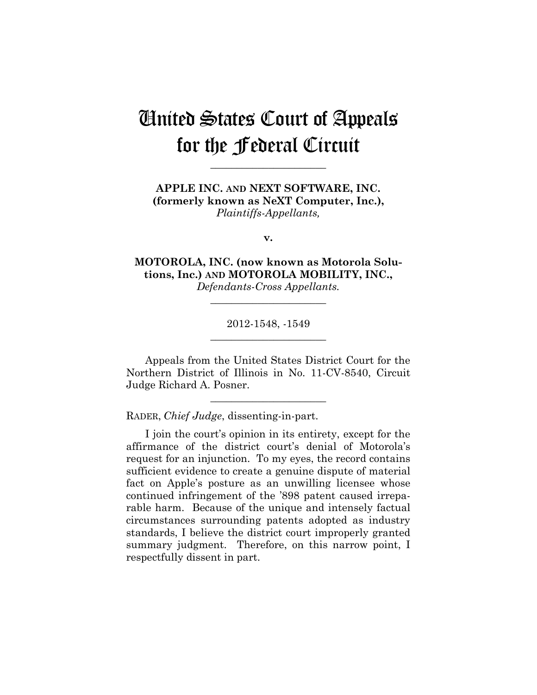# United States Court of Appeals for the Federal Circuit

**\_\_\_\_\_\_\_\_\_\_\_\_\_\_\_\_\_\_\_\_\_\_** 

**APPLE INC. AND NEXT SOFTWARE, INC. (formerly known as NeXT Computer, Inc.),** *Plaintiffs-Appellants,*

**v.**

**MOTOROLA, INC. (now known as Motorola Solutions, Inc.) AND MOTOROLA MOBILITY, INC.,** *Defendants-Cross Appellants.*

> 2012-1548, -1549 **\_\_\_\_\_\_\_\_\_\_\_\_\_\_\_\_\_\_\_\_\_\_**

> **\_\_\_\_\_\_\_\_\_\_\_\_\_\_\_\_\_\_\_\_\_\_**

Appeals from the United States District Court for the Northern District of Illinois in No. 11-CV-8540, Circuit Judge Richard A. Posner.

**\_\_\_\_\_\_\_\_\_\_\_\_\_\_\_\_\_\_\_\_\_\_** 

RADER, *Chief Judge*, dissenting-in-part.

I join the court's opinion in its entirety, except for the affirmance of the district court's denial of Motorola's request for an injunction. To my eyes, the record contains sufficient evidence to create a genuine dispute of material fact on Apple's posture as an unwilling licensee whose continued infringement of the '898 patent caused irreparable harm. Because of the unique and intensely factual circumstances surrounding patents adopted as industry standards, I believe the district court improperly granted summary judgment. Therefore, on this narrow point, I respectfully dissent in part.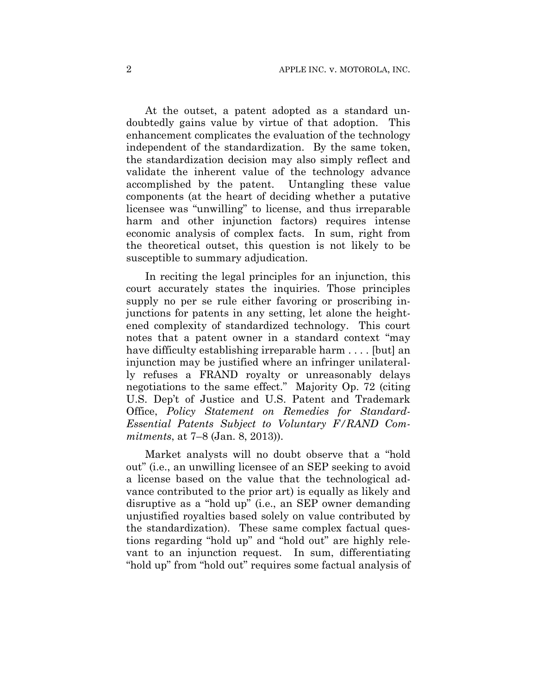At the outset, a patent adopted as a standard undoubtedly gains value by virtue of that adoption. This enhancement complicates the evaluation of the technology independent of the standardization. By the same token, the standardization decision may also simply reflect and validate the inherent value of the technology advance accomplished by the patent. Untangling these value components (at the heart of deciding whether a putative licensee was "unwilling" to license, and thus irreparable harm and other injunction factors) requires intense economic analysis of complex facts. In sum, right from the theoretical outset, this question is not likely to be susceptible to summary adjudication.

In reciting the legal principles for an injunction, this court accurately states the inquiries. Those principles supply no per se rule either favoring or proscribing injunctions for patents in any setting, let alone the heightened complexity of standardized technology. This court notes that a patent owner in a standard context "may have difficulty establishing irreparable harm .... [but] an injunction may be justified where an infringer unilaterally refuses a FRAND royalty or unreasonably delays negotiations to the same effect." Majority Op. 72 (citing U.S. Dep't of Justice and U.S. Patent and Trademark Office, *Policy Statement on Remedies for Standard-Essential Patents Subject to Voluntary F/RAND Commitments*, at 7–8 (Jan. 8, 2013)).

Market analysts will no doubt observe that a "hold out" (i.e., an unwilling licensee of an SEP seeking to avoid a license based on the value that the technological advance contributed to the prior art) is equally as likely and disruptive as a "hold up" (i.e., an SEP owner demanding unjustified royalties based solely on value contributed by the standardization). These same complex factual questions regarding "hold up" and "hold out" are highly relevant to an injunction request. In sum, differentiating "hold up" from "hold out" requires some factual analysis of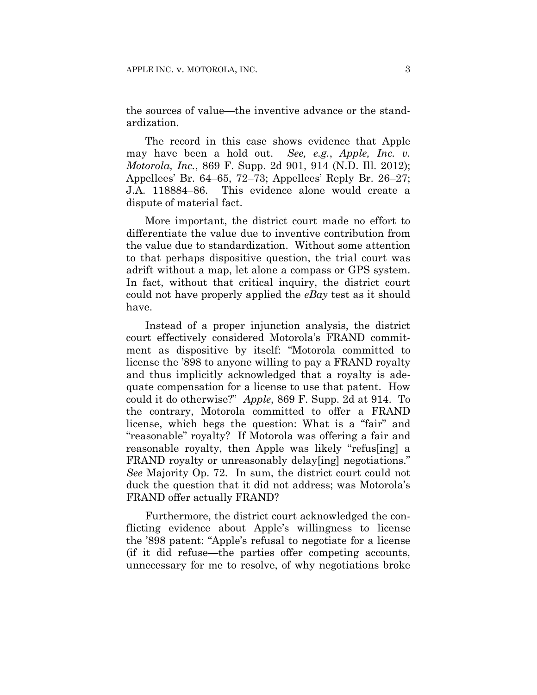the sources of value—the inventive advance or the standardization.

The record in this case shows evidence that Apple may have been a hold out. *See, e.g.*, *Apple, Inc. v. Motorola, Inc.*, 869 F. Supp. 2d 901, 914 (N.D. Ill. 2012); Appellees' Br. 64–65, 72–73; Appellees' Reply Br. 26–27; J.A. 118884–86. This evidence alone would create a dispute of material fact.

More important, the district court made no effort to differentiate the value due to inventive contribution from the value due to standardization. Without some attention to that perhaps dispositive question, the trial court was adrift without a map, let alone a compass or GPS system. In fact, without that critical inquiry, the district court could not have properly applied the *eBay* test as it should have.

Instead of a proper injunction analysis, the district court effectively considered Motorola's FRAND commitment as dispositive by itself: "Motorola committed to license the '898 to anyone willing to pay a FRAND royalty and thus implicitly acknowledged that a royalty is adequate compensation for a license to use that patent. How could it do otherwise?" *Apple*, 869 F. Supp. 2d at 914. To the contrary, Motorola committed to offer a FRAND license, which begs the question: What is a "fair" and "reasonable" royalty? If Motorola was offering a fair and reasonable royalty, then Apple was likely "refus[ing] a FRAND royalty or unreasonably delay [ing] negotiations." *See* Majority Op. 72. In sum, the district court could not duck the question that it did not address; was Motorola's FRAND offer actually FRAND?

Furthermore, the district court acknowledged the conflicting evidence about Apple's willingness to license the '898 patent: "Apple's refusal to negotiate for a license (if it did refuse—the parties offer competing accounts, unnecessary for me to resolve, of why negotiations broke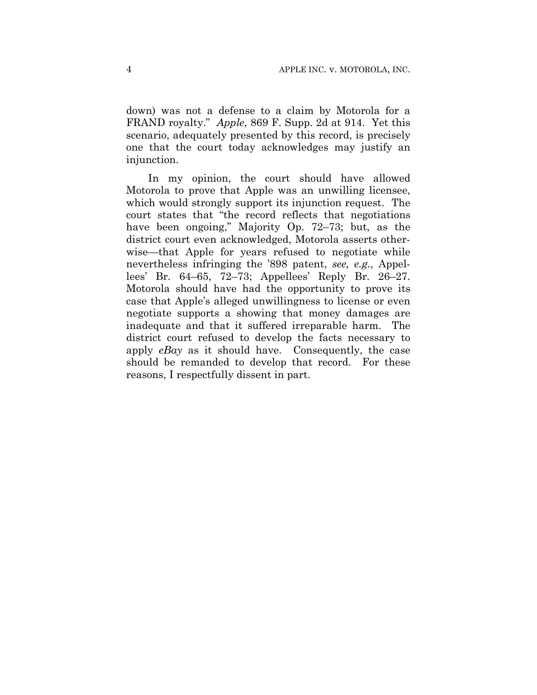down) was not a defense to a claim by Motorola for a FRAND royalty." *Apple*, 869 F. Supp. 2d at 914. Yet this scenario, adequately presented by this record, is precisely one that the court today acknowledges may justify an injunction.

In my opinion, the court should have allowed Motorola to prove that Apple was an unwilling licensee, which would strongly support its injunction request. The court states that "the record reflects that negotiations have been ongoing," Majority Op. 72–73; but, as the district court even acknowledged, Motorola asserts otherwise—that Apple for years refused to negotiate while nevertheless infringing the '898 patent, *see, e.g.*, Appellees' Br. 64–65, 72–73; Appellees' Reply Br. 26–27. Motorola should have had the opportunity to prove its case that Apple's alleged unwillingness to license or even negotiate supports a showing that money damages are inadequate and that it suffered irreparable harm. The district court refused to develop the facts necessary to apply *eBay* as it should have. Consequently, the case should be remanded to develop that record. For these reasons, I respectfully dissent in part.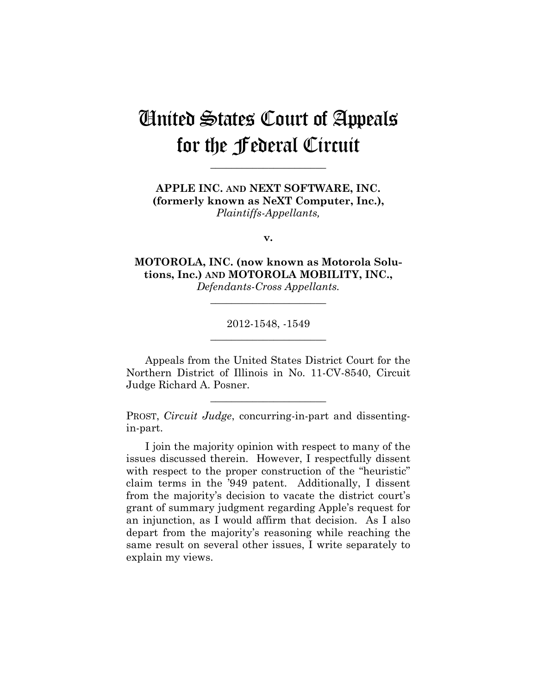# United States Court of Appeals for the Federal Circuit

**\_\_\_\_\_\_\_\_\_\_\_\_\_\_\_\_\_\_\_\_\_\_** 

**APPLE INC. AND NEXT SOFTWARE, INC. (formerly known as NeXT Computer, Inc.),** *Plaintiffs-Appellants,*

**v.**

**MOTOROLA, INC. (now known as Motorola Solutions, Inc.) AND MOTOROLA MOBILITY, INC.,** *Defendants-Cross Appellants.*

> 2012-1548, -1549 **\_\_\_\_\_\_\_\_\_\_\_\_\_\_\_\_\_\_\_\_\_\_**

> **\_\_\_\_\_\_\_\_\_\_\_\_\_\_\_\_\_\_\_\_\_\_**

Appeals from the United States District Court for the Northern District of Illinois in No. 11-CV-8540, Circuit Judge Richard A. Posner.

**\_\_\_\_\_\_\_\_\_\_\_\_\_\_\_\_\_\_\_\_\_\_** 

PROST, *Circuit Judge*, concurring-in-part and dissentingin-part.

I join the majority opinion with respect to many of the issues discussed therein. However, I respectfully dissent with respect to the proper construction of the "heuristic" claim terms in the '949 patent. Additionally, I dissent from the majority's decision to vacate the district court's grant of summary judgment regarding Apple's request for an injunction, as I would affirm that decision. As I also depart from the majority's reasoning while reaching the same result on several other issues, I write separately to explain my views.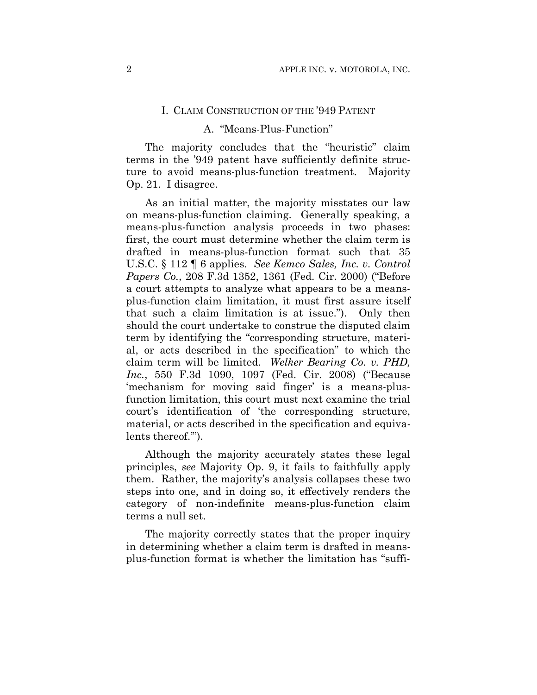#### I. CLAIM CONSTRUCTION OF THE '949 PATENT

### A. "Means-Plus-Function"

The majority concludes that the "heuristic" claim terms in the '949 patent have sufficiently definite structure to avoid means-plus-function treatment. Majority Op. 21. I disagree.

As an initial matter, the majority misstates our law on means-plus-function claiming. Generally speaking, a means-plus-function analysis proceeds in two phases: first, the court must determine whether the claim term is drafted in means-plus-function format such that 35 U.S.C. § 112 ¶ 6 applies. *See Kemco Sales, Inc. v. Control Papers Co.*, 208 F.3d 1352, 1361 (Fed. Cir. 2000) ("Before a court attempts to analyze what appears to be a meansplus-function claim limitation, it must first assure itself that such a claim limitation is at issue."). Only then should the court undertake to construe the disputed claim term by identifying the "corresponding structure, material, or acts described in the specification" to which the claim term will be limited. *Welker Bearing Co. v. PHD, Inc.*, 550 F.3d 1090, 1097 (Fed. Cir. 2008) ("Because 'mechanism for moving said finger' is a means-plusfunction limitation, this court must next examine the trial court's identification of 'the corresponding structure, material, or acts described in the specification and equivalents thereof.'").

Although the majority accurately states these legal principles, *see* Majority Op. 9, it fails to faithfully apply them. Rather, the majority's analysis collapses these two steps into one, and in doing so, it effectively renders the category of non-indefinite means-plus-function claim terms a null set.

The majority correctly states that the proper inquiry in determining whether a claim term is drafted in meansplus-function format is whether the limitation has "suffi-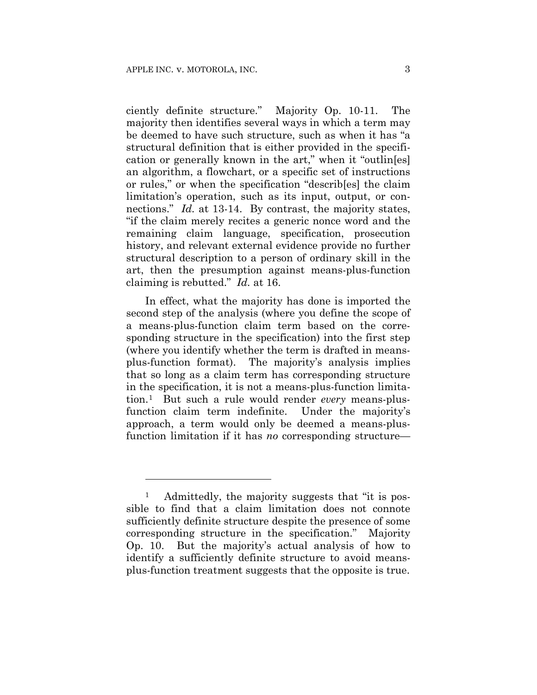<u>.</u>

ciently definite structure." Majority Op. 10-11. The majority then identifies several ways in which a term may be deemed to have such structure, such as when it has "a structural definition that is either provided in the specification or generally known in the art," when it "outlin[es] an algorithm, a flowchart, or a specific set of instructions or rules," or when the specification "describ[es] the claim limitation's operation, such as its input, output, or connections." *Id.* at 13-14. By contrast, the majority states, "if the claim merely recites a generic nonce word and the remaining claim language, specification, prosecution history, and relevant external evidence provide no further structural description to a person of ordinary skill in the art, then the presumption against means-plus-function claiming is rebutted." *Id.* at 16.

In effect, what the majority has done is imported the second step of the analysis (where you define the scope of a means-plus-function claim term based on the corresponding structure in the specification) into the first step (where you identify whether the term is drafted in meansplus-function format). The majority's analysis implies that so long as a claim term has corresponding structure in the specification, it is not a means-plus-function limitation.1 But such a rule would render *every* means-plusfunction claim term indefinite. Under the majority's approach, a term would only be deemed a means-plusfunction limitation if it has *no* corresponding structure—

Admittedly, the majority suggests that "it is possible to find that a claim limitation does not connote sufficiently definite structure despite the presence of some corresponding structure in the specification." Majority Op. 10. But the majority's actual analysis of how to identify a sufficiently definite structure to avoid meansplus-function treatment suggests that the opposite is true.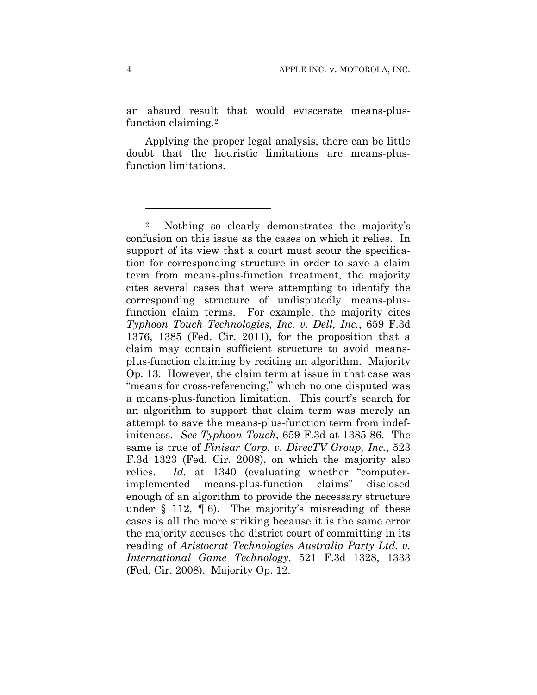an absurd result that would eviscerate means-plusfunction claiming.2

Applying the proper legal analysis, there can be little doubt that the heuristic limitations are means-plusfunction limitations.

1

<sup>2</sup> Nothing so clearly demonstrates the majority's confusion on this issue as the cases on which it relies. In support of its view that a court must scour the specification for corresponding structure in order to save a claim term from means-plus-function treatment, the majority cites several cases that were attempting to identify the corresponding structure of undisputedly means-plusfunction claim terms. For example, the majority cites *Typhoon Touch Technologies, Inc. v. Dell, Inc.*, 659 F.3d 1376, 1385 (Fed. Cir. 2011), for the proposition that a claim may contain sufficient structure to avoid meansplus-function claiming by reciting an algorithm. Majority Op. 13. However, the claim term at issue in that case was "means for cross-referencing," which no one disputed was a means-plus-function limitation. This court's search for an algorithm to support that claim term was merely an attempt to save the means-plus-function term from indefiniteness. *See Typhoon Touch*, 659 F.3d at 1385-86. The same is true of *Finisar Corp. v. DirecTV Group, Inc.*, 523 F.3d 1323 (Fed. Cir. 2008), on which the majority also relies. *Id.* at 1340 (evaluating whether "computerimplemented means-plus-function claims" disclosed enough of an algorithm to provide the necessary structure under  $\S$  112,  $\P$  6). The majority's misreading of these cases is all the more striking because it is the same error the majority accuses the district court of committing in its reading of *Aristocrat Technologies Australia Party Ltd. v. International Game Technology*, 521 F.3d 1328, 1333 (Fed. Cir. 2008). Majority Op. 12.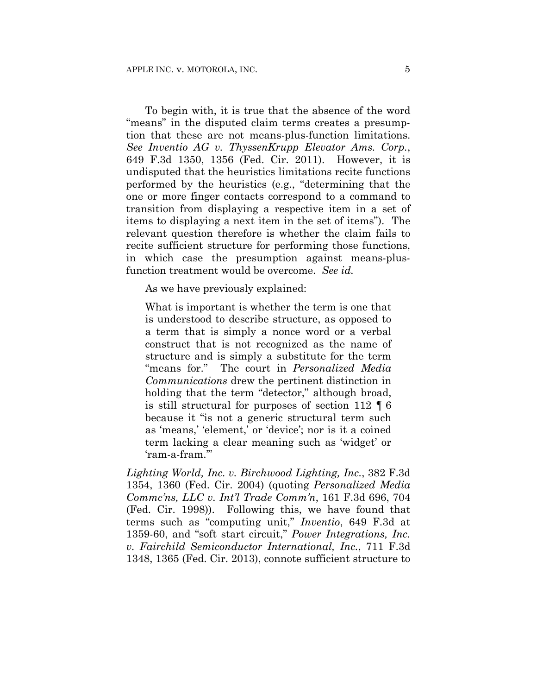To begin with, it is true that the absence of the word "means" in the disputed claim terms creates a presumption that these are not means-plus-function limitations. *See Inventio AG v. ThyssenKrupp Elevator Ams. Corp.*, 649 F.3d 1350, 1356 (Fed. Cir. 2011). However, it is undisputed that the heuristics limitations recite functions performed by the heuristics (e.g., "determining that the one or more finger contacts correspond to a command to transition from displaying a respective item in a set of items to displaying a next item in the set of items"). The relevant question therefore is whether the claim fails to recite sufficient structure for performing those functions, in which case the presumption against means-plusfunction treatment would be overcome. *See id.*

As we have previously explained:

What is important is whether the term is one that is understood to describe structure, as opposed to a term that is simply a nonce word or a verbal construct that is not recognized as the name of structure and is simply a substitute for the term "means for." The court in *Personalized Media Communications* drew the pertinent distinction in holding that the term "detector," although broad, is still structural for purposes of section 112 ¶ 6 because it "is not a generic structural term such as 'means,' 'element,' or 'device'; nor is it a coined term lacking a clear meaning such as 'widget' or 'ram-a-fram.'"

*Lighting World, Inc. v. Birchwood Lighting, Inc.*, 382 F.3d 1354, 1360 (Fed. Cir. 2004) (quoting *Personalized Media Commc'ns, LLC v. Int'l Trade Comm'n*, 161 F.3d 696, 704 (Fed. Cir. 1998)). Following this, we have found that terms such as "computing unit," *Inventio*, 649 F.3d at 1359-60, and "soft start circuit," *Power Integrations, Inc. v. Fairchild Semiconductor International, Inc.*, 711 F.3d 1348, 1365 (Fed. Cir. 2013), connote sufficient structure to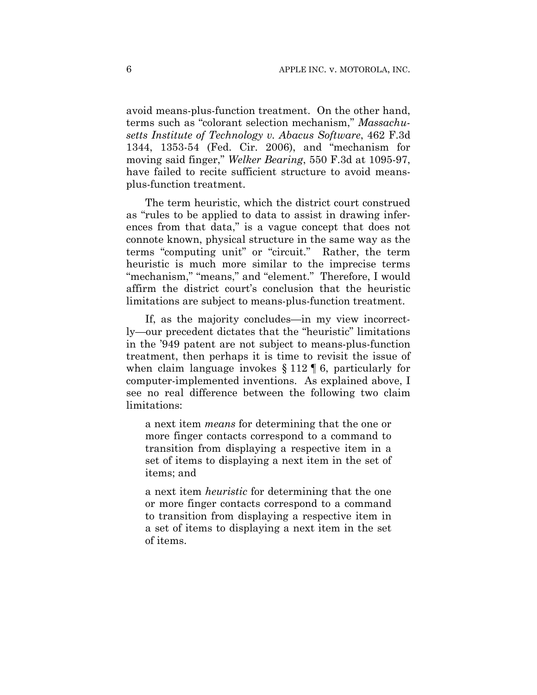avoid means-plus-function treatment. On the other hand, terms such as "colorant selection mechanism," *Massachusetts Institute of Technology v. Abacus Software*, 462 F.3d 1344, 1353-54 (Fed. Cir. 2006), and "mechanism for moving said finger," *Welker Bearing*, 550 F.3d at 1095-97, have failed to recite sufficient structure to avoid meansplus-function treatment.

The term heuristic, which the district court construed as "rules to be applied to data to assist in drawing inferences from that data," is a vague concept that does not connote known, physical structure in the same way as the terms "computing unit" or "circuit." Rather, the term heuristic is much more similar to the imprecise terms "mechanism," "means," and "element." Therefore, I would affirm the district court's conclusion that the heuristic limitations are subject to means-plus-function treatment.

If, as the majority concludes—in my view incorrectly—our precedent dictates that the "heuristic" limitations in the '949 patent are not subject to means-plus-function treatment, then perhaps it is time to revisit the issue of when claim language invokes § 112 ¶ 6, particularly for computer-implemented inventions. As explained above, I see no real difference between the following two claim limitations:

a next item *means* for determining that the one or more finger contacts correspond to a command to transition from displaying a respective item in a set of items to displaying a next item in the set of items; and

a next item *heuristic* for determining that the one or more finger contacts correspond to a command to transition from displaying a respective item in a set of items to displaying a next item in the set of items.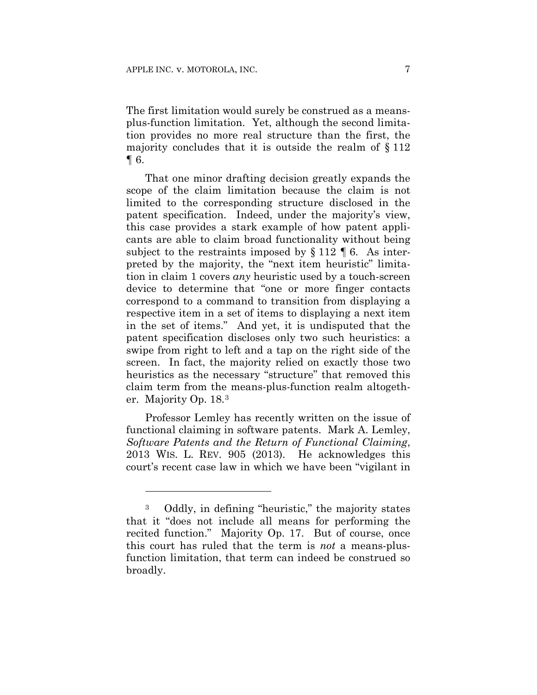1

The first limitation would surely be construed as a meansplus-function limitation. Yet, although the second limitation provides no more real structure than the first, the majority concludes that it is outside the realm of § 112 ¶ 6.

That one minor drafting decision greatly expands the scope of the claim limitation because the claim is not limited to the corresponding structure disclosed in the patent specification. Indeed, under the majority's view, this case provides a stark example of how patent applicants are able to claim broad functionality without being subject to the restraints imposed by  $\S 112 \text{ }\mathsf{T} 6$ . As interpreted by the majority, the "next item heuristic" limitation in claim 1 covers *any* heuristic used by a touch-screen device to determine that "one or more finger contacts correspond to a command to transition from displaying a respective item in a set of items to displaying a next item in the set of items." And yet, it is undisputed that the patent specification discloses only two such heuristics: a swipe from right to left and a tap on the right side of the screen. In fact, the majority relied on exactly those two heuristics as the necessary "structure" that removed this claim term from the means-plus-function realm altogether. Majority Op. 18.3

Professor Lemley has recently written on the issue of functional claiming in software patents. Mark A. Lemley, *Software Patents and the Return of Functional Claiming*, 2013 WIS. L. REV. 905 (2013). He acknowledges this court's recent case law in which we have been "vigilant in

<sup>3</sup> Oddly, in defining "heuristic," the majority states that it "does not include all means for performing the recited function." Majority Op. 17. But of course, once this court has ruled that the term is *not* a means-plusfunction limitation, that term can indeed be construed so broadly.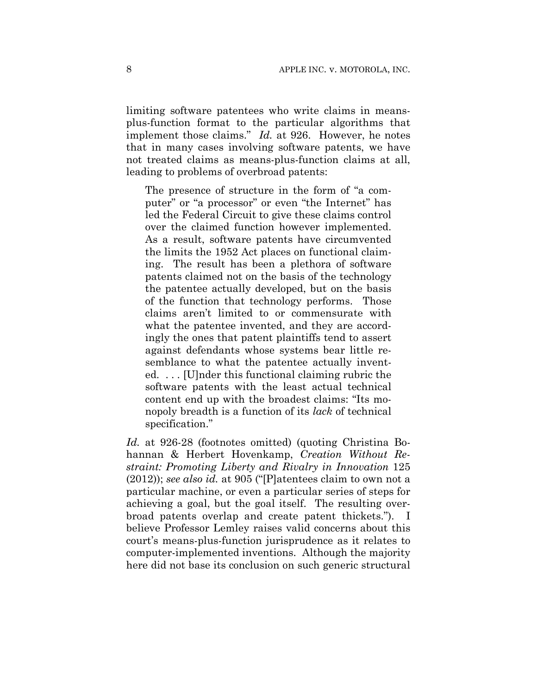limiting software patentees who write claims in meansplus-function format to the particular algorithms that implement those claims." *Id.* at 926. However, he notes that in many cases involving software patents, we have not treated claims as means-plus-function claims at all, leading to problems of overbroad patents:

The presence of structure in the form of "a computer" or "a processor" or even "the Internet" has led the Federal Circuit to give these claims control over the claimed function however implemented. As a result, software patents have circumvented the limits the 1952 Act places on functional claiming. The result has been a plethora of software patents claimed not on the basis of the technology the patentee actually developed, but on the basis of the function that technology performs. Those claims aren't limited to or commensurate with what the patentee invented, and they are accordingly the ones that patent plaintiffs tend to assert against defendants whose systems bear little resemblance to what the patentee actually invented. . . . [U]nder this functional claiming rubric the software patents with the least actual technical content end up with the broadest claims: "Its monopoly breadth is a function of its *lack* of technical specification."

*Id.* at 926-28 (footnotes omitted) (quoting Christina Bohannan & Herbert Hovenkamp, *Creation Without Restraint: Promoting Liberty and Rivalry in Innovation* 125 (2012)); *see also id.* at 905 ("[P]atentees claim to own not a particular machine, or even a particular series of steps for achieving a goal, but the goal itself. The resulting overbroad patents overlap and create patent thickets."). I believe Professor Lemley raises valid concerns about this court's means-plus-function jurisprudence as it relates to computer-implemented inventions. Although the majority here did not base its conclusion on such generic structural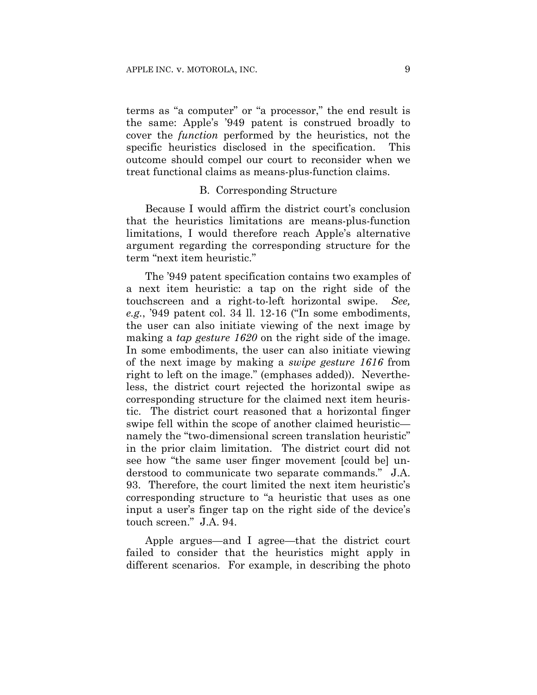terms as "a computer" or "a processor," the end result is the same: Apple's '949 patent is construed broadly to cover the *function* performed by the heuristics, not the specific heuristics disclosed in the specification. This outcome should compel our court to reconsider when we treat functional claims as means-plus-function claims.

#### B. Corresponding Structure

Because I would affirm the district court's conclusion that the heuristics limitations are means-plus-function limitations, I would therefore reach Apple's alternative argument regarding the corresponding structure for the term "next item heuristic."

The '949 patent specification contains two examples of a next item heuristic: a tap on the right side of the touchscreen and a right-to-left horizontal swipe. *See, e.g.*, '949 patent col. 34 ll. 12-16 ("In some embodiments, the user can also initiate viewing of the next image by making a *tap gesture 1620* on the right side of the image. In some embodiments, the user can also initiate viewing of the next image by making a *swipe gesture 1616* from right to left on the image." (emphases added)). Nevertheless, the district court rejected the horizontal swipe as corresponding structure for the claimed next item heuristic. The district court reasoned that a horizontal finger swipe fell within the scope of another claimed heuristic namely the "two-dimensional screen translation heuristic" in the prior claim limitation. The district court did not see how "the same user finger movement [could be] understood to communicate two separate commands." J.A. 93. Therefore, the court limited the next item heuristic's corresponding structure to "a heuristic that uses as one input a user's finger tap on the right side of the device's touch screen." J.A. 94.

Apple argues—and I agree—that the district court failed to consider that the heuristics might apply in different scenarios. For example, in describing the photo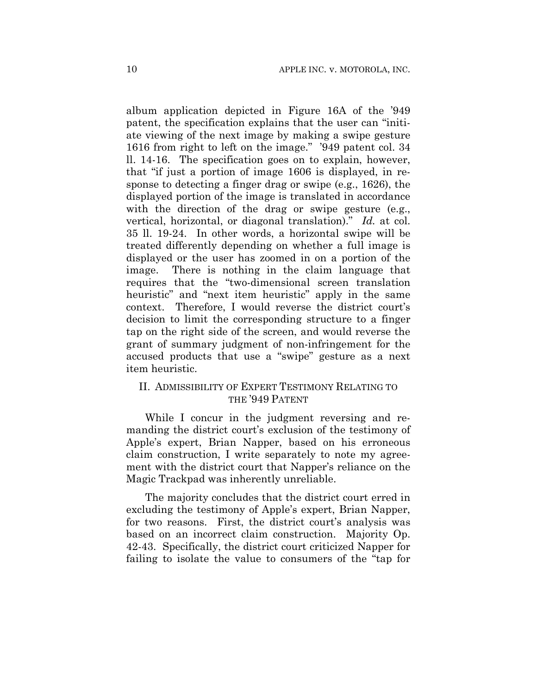album application depicted in Figure 16A of the '949 patent, the specification explains that the user can "initiate viewing of the next image by making a swipe gesture 1616 from right to left on the image." '949 patent col. 34 ll. 14-16. The specification goes on to explain, however, that "if just a portion of image 1606 is displayed, in response to detecting a finger drag or swipe (e.g., 1626), the displayed portion of the image is translated in accordance with the direction of the drag or swipe gesture (e.g., vertical, horizontal, or diagonal translation)." *Id.* at col. 35 ll. 19-24. In other words, a horizontal swipe will be treated differently depending on whether a full image is displayed or the user has zoomed in on a portion of the image. There is nothing in the claim language that requires that the "two-dimensional screen translation heuristic" and "next item heuristic" apply in the same context. Therefore, I would reverse the district court's decision to limit the corresponding structure to a finger tap on the right side of the screen, and would reverse the grant of summary judgment of non-infringement for the accused products that use a "swipe" gesture as a next item heuristic.

## II. ADMISSIBILITY OF EXPERT TESTIMONY RELATING TO THE '949 PATENT

While I concur in the judgment reversing and remanding the district court's exclusion of the testimony of Apple's expert, Brian Napper, based on his erroneous claim construction, I write separately to note my agreement with the district court that Napper's reliance on the Magic Trackpad was inherently unreliable.

The majority concludes that the district court erred in excluding the testimony of Apple's expert, Brian Napper, for two reasons. First, the district court's analysis was based on an incorrect claim construction. Majority Op. 42-43. Specifically, the district court criticized Napper for failing to isolate the value to consumers of the "tap for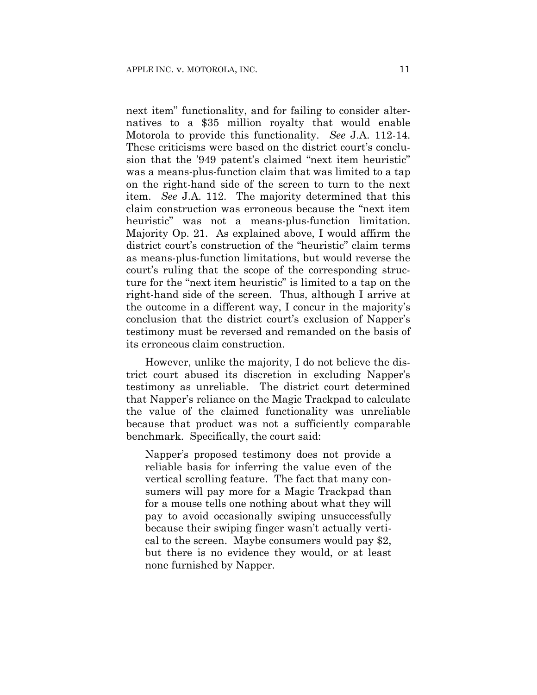next item" functionality, and for failing to consider alternatives to a \$35 million royalty that would enable Motorola to provide this functionality. *See* J.A. 112-14. These criticisms were based on the district court's conclusion that the '949 patent's claimed "next item heuristic" was a means-plus-function claim that was limited to a tap on the right-hand side of the screen to turn to the next item. *See* J.A. 112. The majority determined that this claim construction was erroneous because the "next item heuristic" was not a means-plus-function limitation. Majority Op. 21. As explained above, I would affirm the district court's construction of the "heuristic" claim terms as means-plus-function limitations, but would reverse the court's ruling that the scope of the corresponding structure for the "next item heuristic" is limited to a tap on the right-hand side of the screen. Thus, although I arrive at the outcome in a different way, I concur in the majority's conclusion that the district court's exclusion of Napper's testimony must be reversed and remanded on the basis of its erroneous claim construction.

However, unlike the majority, I do not believe the district court abused its discretion in excluding Napper's testimony as unreliable. The district court determined that Napper's reliance on the Magic Trackpad to calculate the value of the claimed functionality was unreliable because that product was not a sufficiently comparable benchmark. Specifically, the court said:

Napper's proposed testimony does not provide a reliable basis for inferring the value even of the vertical scrolling feature. The fact that many consumers will pay more for a Magic Trackpad than for a mouse tells one nothing about what they will pay to avoid occasionally swiping unsuccessfully because their swiping finger wasn't actually vertical to the screen. Maybe consumers would pay \$2, but there is no evidence they would, or at least none furnished by Napper.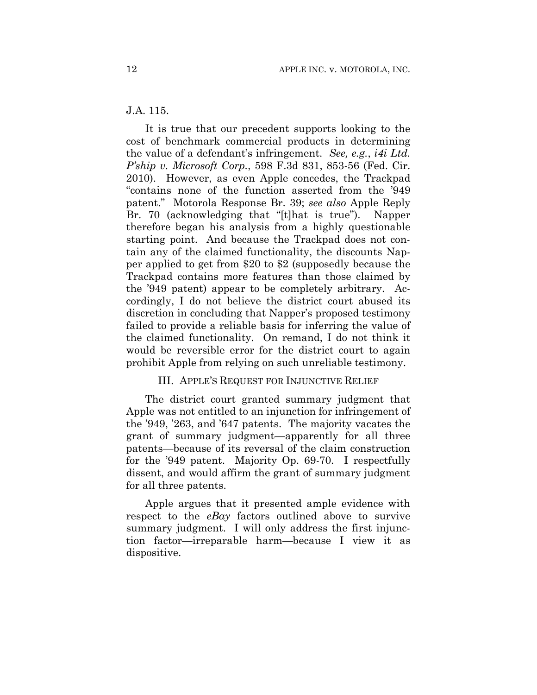#### J.A. 115.

It is true that our precedent supports looking to the cost of benchmark commercial products in determining the value of a defendant's infringement. *See, e.g.*, *i4i Ltd. P'ship v. Microsoft Corp.*, 598 F.3d 831, 853-56 (Fed. Cir. 2010). However, as even Apple concedes, the Trackpad "contains none of the function asserted from the '949 patent." Motorola Response Br. 39; *see also* Apple Reply Br. 70 (acknowledging that "[t]hat is true"). Napper therefore began his analysis from a highly questionable starting point. And because the Trackpad does not contain any of the claimed functionality, the discounts Napper applied to get from \$20 to \$2 (supposedly because the Trackpad contains more features than those claimed by the '949 patent) appear to be completely arbitrary. Accordingly, I do not believe the district court abused its discretion in concluding that Napper's proposed testimony failed to provide a reliable basis for inferring the value of the claimed functionality. On remand, I do not think it would be reversible error for the district court to again prohibit Apple from relying on such unreliable testimony.

### III. APPLE'S REQUEST FOR INJUNCTIVE RELIEF

The district court granted summary judgment that Apple was not entitled to an injunction for infringement of the '949, '263, and '647 patents. The majority vacates the grant of summary judgment—apparently for all three patents—because of its reversal of the claim construction for the '949 patent. Majority Op. 69-70. I respectfully dissent, and would affirm the grant of summary judgment for all three patents.

Apple argues that it presented ample evidence with respect to the *eBay* factors outlined above to survive summary judgment. I will only address the first injunction factor—irreparable harm—because I view it as dispositive.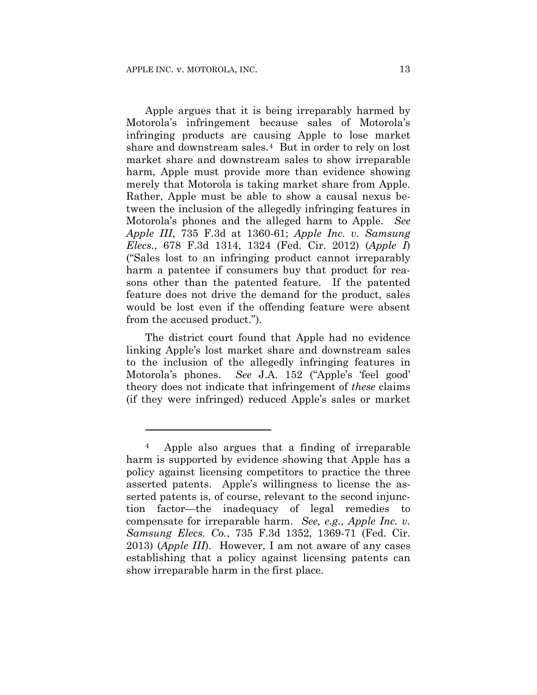1

Apple argues that it is being irreparably harmed by Motorola's infringement because sales of Motorola's infringing products are causing Apple to lose market share and downstream sales.4 But in order to rely on lost market share and downstream sales to show irreparable harm, Apple must provide more than evidence showing merely that Motorola is taking market share from Apple. Rather, Apple must be able to show a causal nexus between the inclusion of the allegedly infringing features in Motorola's phones and the alleged harm to Apple. *See Apple III*, 735 F.3d at 1360-61; *Apple Inc. v. Samsung Elecs.*, 678 F.3d 1314, 1324 (Fed. Cir. 2012) (*Apple I*) ("Sales lost to an infringing product cannot irreparably harm a patentee if consumers buy that product for reasons other than the patented feature. If the patented feature does not drive the demand for the product, sales would be lost even if the offending feature were absent from the accused product.").

The district court found that Apple had no evidence linking Apple's lost market share and downstream sales to the inclusion of the allegedly infringing features in Motorola's phones. *See* J.A. 152 ("Apple's 'feel good' theory does not indicate that infringement of *these* claims (if they were infringed) reduced Apple's sales or market

<sup>4</sup> Apple also argues that a finding of irreparable harm is supported by evidence showing that Apple has a policy against licensing competitors to practice the three asserted patents. Apple's willingness to license the asserted patents is, of course, relevant to the second injunction factor—the inadequacy of legal remedies to compensate for irreparable harm. *See, e.g.*, *Apple Inc. v. Samsung Elecs. Co.*, 735 F.3d 1352, 1369-71 (Fed. Cir. 2013) (*Apple III*). However, I am not aware of any cases establishing that a policy against licensing patents can show irreparable harm in the first place.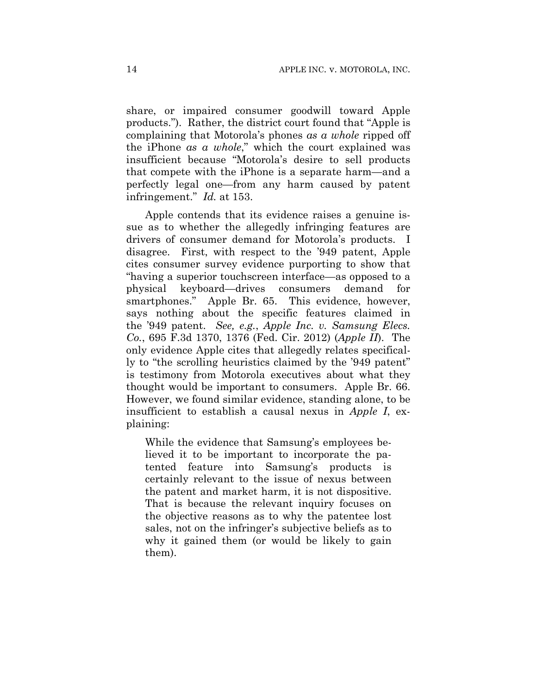share, or impaired consumer goodwill toward Apple products."). Rather, the district court found that "Apple is complaining that Motorola's phones *as a whole* ripped off the iPhone *as a whole*," which the court explained was insufficient because "Motorola's desire to sell products that compete with the iPhone is a separate harm—and a perfectly legal one—from any harm caused by patent infringement." *Id.* at 153.

Apple contends that its evidence raises a genuine issue as to whether the allegedly infringing features are drivers of consumer demand for Motorola's products. I disagree. First, with respect to the '949 patent, Apple cites consumer survey evidence purporting to show that "having a superior touchscreen interface—as opposed to a physical keyboard—drives consumers demand for smartphones." Apple Br. 65. This evidence, however, says nothing about the specific features claimed in the '949 patent. *See, e.g.*, *Apple Inc. v. Samsung Elecs. Co.*, 695 F.3d 1370, 1376 (Fed. Cir. 2012) (*Apple II*). The only evidence Apple cites that allegedly relates specifically to "the scrolling heuristics claimed by the '949 patent" is testimony from Motorola executives about what they thought would be important to consumers. Apple Br. 66. However, we found similar evidence, standing alone, to be insufficient to establish a causal nexus in *Apple I*, explaining:

While the evidence that Samsung's employees believed it to be important to incorporate the patented feature into Samsung's products is certainly relevant to the issue of nexus between the patent and market harm, it is not dispositive. That is because the relevant inquiry focuses on the objective reasons as to why the patentee lost sales, not on the infringer's subjective beliefs as to why it gained them (or would be likely to gain them).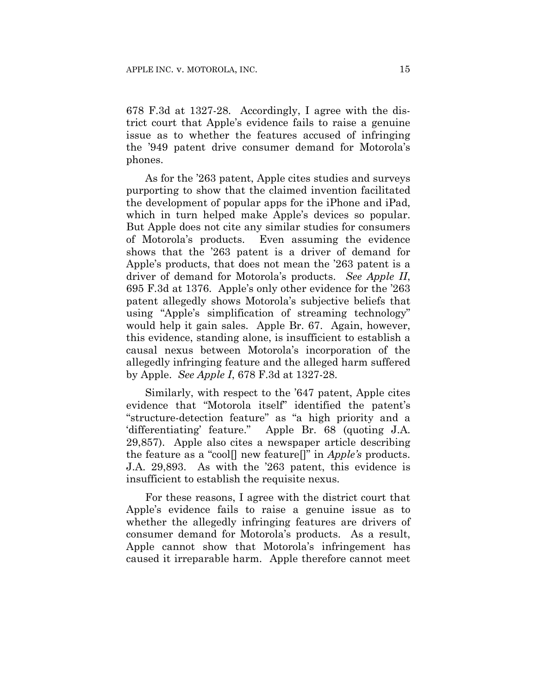678 F.3d at 1327-28. Accordingly, I agree with the district court that Apple's evidence fails to raise a genuine issue as to whether the features accused of infringing the '949 patent drive consumer demand for Motorola's phones.

As for the '263 patent, Apple cites studies and surveys purporting to show that the claimed invention facilitated the development of popular apps for the iPhone and iPad, which in turn helped make Apple's devices so popular. But Apple does not cite any similar studies for consumers of Motorola's products. Even assuming the evidence shows that the '263 patent is a driver of demand for Apple's products, that does not mean the '263 patent is a driver of demand for Motorola's products. *See Apple II*, 695 F.3d at 1376. Apple's only other evidence for the '263 patent allegedly shows Motorola's subjective beliefs that using "Apple's simplification of streaming technology" would help it gain sales. Apple Br. 67. Again, however, this evidence, standing alone, is insufficient to establish a causal nexus between Motorola's incorporation of the allegedly infringing feature and the alleged harm suffered by Apple. *See Apple I*, 678 F.3d at 1327-28.

Similarly, with respect to the '647 patent, Apple cites evidence that "Motorola itself" identified the patent's "structure-detection feature" as "a high priority and a 'differentiating' feature." Apple Br. 68 (quoting J.A. 29,857). Apple also cites a newspaper article describing the feature as a "cool[] new feature[]" in *Apple's* products. J.A. 29,893. As with the '263 patent, this evidence is insufficient to establish the requisite nexus.

For these reasons, I agree with the district court that Apple's evidence fails to raise a genuine issue as to whether the allegedly infringing features are drivers of consumer demand for Motorola's products. As a result, Apple cannot show that Motorola's infringement has caused it irreparable harm. Apple therefore cannot meet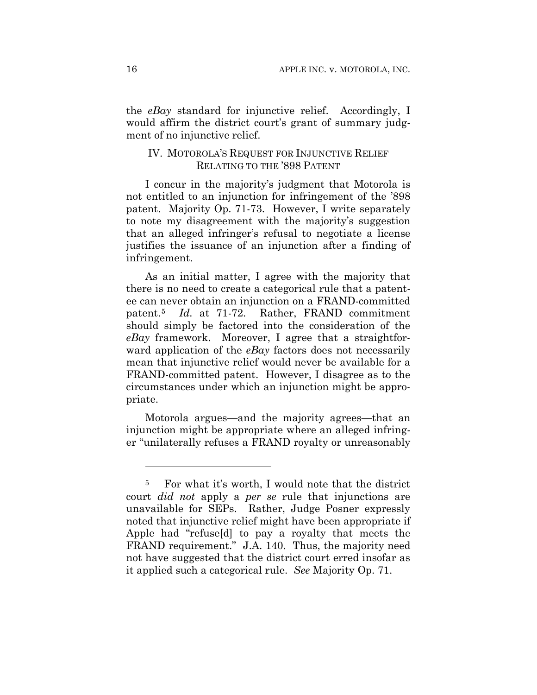the *eBay* standard for injunctive relief. Accordingly, I would affirm the district court's grant of summary judgment of no injunctive relief.

## IV. MOTOROLA'S REQUEST FOR INJUNCTIVE RELIEF RELATING TO THE '898 PATENT

I concur in the majority's judgment that Motorola is not entitled to an injunction for infringement of the '898 patent. Majority Op. 71-73. However, I write separately to note my disagreement with the majority's suggestion that an alleged infringer's refusal to negotiate a license justifies the issuance of an injunction after a finding of infringement.

As an initial matter, I agree with the majority that there is no need to create a categorical rule that a patentee can never obtain an injunction on a FRAND-committed patent.5 *Id.* at 71-72. Rather, FRAND commitment should simply be factored into the consideration of the *eBay* framework. Moreover, I agree that a straightforward application of the *eBay* factors does not necessarily mean that injunctive relief would never be available for a FRAND-committed patent. However, I disagree as to the circumstances under which an injunction might be appropriate.

Motorola argues—and the majority agrees—that an injunction might be appropriate where an alleged infringer "unilaterally refuses a FRAND royalty or unreasonably

1

<sup>5</sup> For what it's worth, I would note that the district court *did not* apply a *per se* rule that injunctions are unavailable for SEPs. Rather, Judge Posner expressly noted that injunctive relief might have been appropriate if Apple had "refuse[d] to pay a royalty that meets the FRAND requirement." J.A. 140. Thus, the majority need not have suggested that the district court erred insofar as it applied such a categorical rule. *See* Majority Op. 71.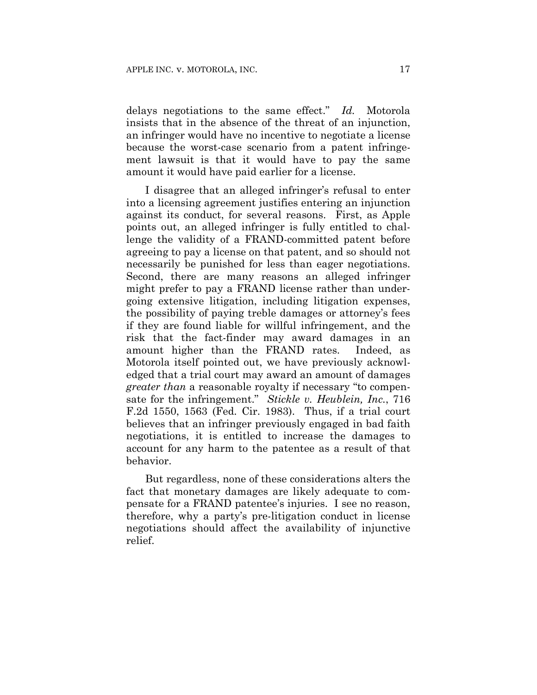delays negotiations to the same effect." *Id.* Motorola insists that in the absence of the threat of an injunction, an infringer would have no incentive to negotiate a license because the worst-case scenario from a patent infringement lawsuit is that it would have to pay the same amount it would have paid earlier for a license.

I disagree that an alleged infringer's refusal to enter into a licensing agreement justifies entering an injunction against its conduct, for several reasons. First, as Apple points out, an alleged infringer is fully entitled to challenge the validity of a FRAND-committed patent before agreeing to pay a license on that patent, and so should not necessarily be punished for less than eager negotiations. Second, there are many reasons an alleged infringer might prefer to pay a FRAND license rather than undergoing extensive litigation, including litigation expenses, the possibility of paying treble damages or attorney's fees if they are found liable for willful infringement, and the risk that the fact-finder may award damages in an amount higher than the FRAND rates. Indeed, as Motorola itself pointed out, we have previously acknowledged that a trial court may award an amount of damages *greater than* a reasonable royalty if necessary "to compensate for the infringement." *Stickle v. Heublein, Inc.*, 716 F.2d 1550, 1563 (Fed. Cir. 1983). Thus, if a trial court believes that an infringer previously engaged in bad faith negotiations, it is entitled to increase the damages to account for any harm to the patentee as a result of that behavior.

But regardless, none of these considerations alters the fact that monetary damages are likely adequate to compensate for a FRAND patentee's injuries. I see no reason, therefore, why a party's pre-litigation conduct in license negotiations should affect the availability of injunctive relief.